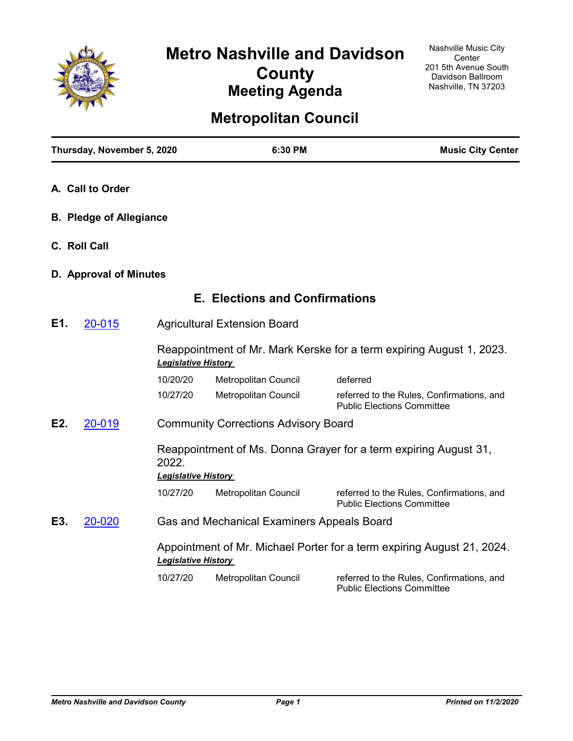

# **Metropolitan Council**

|     | Thursday, November 5, 2020     |                            | 6:30 PM                                     | <b>Music City Center</b>                                                       |
|-----|--------------------------------|----------------------------|---------------------------------------------|--------------------------------------------------------------------------------|
|     | A. Call to Order               |                            |                                             |                                                                                |
|     | <b>B. Pledge of Allegiance</b> |                            |                                             |                                                                                |
|     | C. Roll Call                   |                            |                                             |                                                                                |
|     | D. Approval of Minutes         |                            |                                             |                                                                                |
|     |                                |                            | <b>E. Elections and Confirmations</b>       |                                                                                |
| E1. | 20-015                         |                            | <b>Agricultural Extension Board</b>         |                                                                                |
|     |                                | <b>Legislative History</b> |                                             | Reappointment of Mr. Mark Kerske for a term expiring August 1, 2023.           |
|     |                                | 10/20/20                   | Metropolitan Council                        | deferred                                                                       |
|     |                                | 10/27/20                   | Metropolitan Council                        | referred to the Rules, Confirmations, and<br><b>Public Elections Committee</b> |
| E2. | 20-019                         |                            | <b>Community Corrections Advisory Board</b> |                                                                                |
|     |                                | 2022.                      |                                             | Reappointment of Ms. Donna Grayer for a term expiring August 31,               |
|     |                                | <b>Legislative History</b> |                                             |                                                                                |
|     |                                | 10/27/20                   | Metropolitan Council                        | referred to the Rules, Confirmations, and<br><b>Public Elections Committee</b> |
| E3. | 20-020                         |                            | Gas and Mechanical Examiners Appeals Board  |                                                                                |
|     |                                | <b>Legislative History</b> |                                             | Appointment of Mr. Michael Porter for a term expiring August 21, 2024.         |
|     |                                | 10/27/20                   | Metropolitan Council                        | referred to the Rules, Confirmations, and<br><b>Public Elections Committee</b> |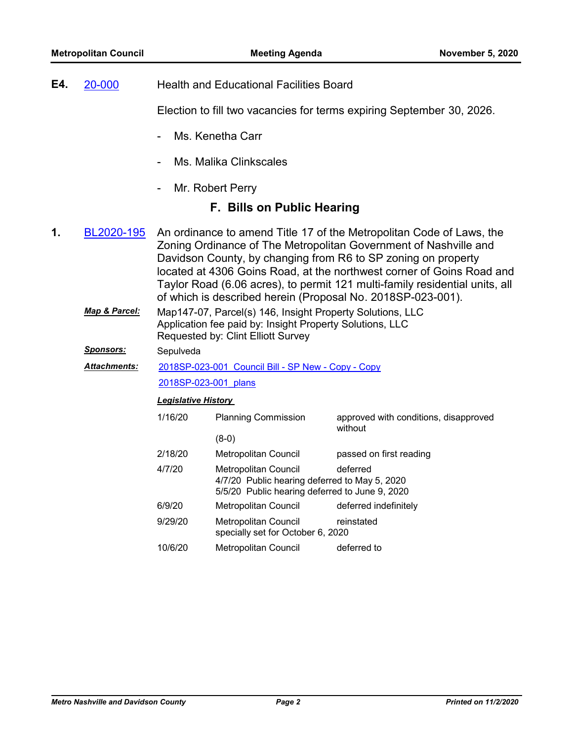| E4. | 20-000 | <b>Health and Educational Facilities Board</b> |
|-----|--------|------------------------------------------------|
|-----|--------|------------------------------------------------|

Election to fill two vacancies for terms expiring September 30, 2026.

- Ms. Kenetha Carr
- Ms. Malika Clinkscales
- Mr. Robert Perry

### **F. Bills on Public Hearing**

- An ordinance to amend Title 17 of the Metropolitan Code of Laws, the Zoning Ordinance of The Metropolitan Government of Nashville and Davidson County, by changing from R6 to SP zoning on property located at 4306 Goins Road, at the northwest corner of Goins Road and Taylor Road (6.06 acres), to permit 121 multi-family residential units, all of which is described herein (Proposal No. 2018SP-023-001). **1.** [BL2020-195](http://nashville.legistar.com/gateway.aspx?m=l&id=/matter.aspx?key=1344)
	- Map147-07, Parcel(s) 146, Insight Property Solutions, LLC Application fee paid by: Insight Property Solutions, LLC Requested by: Clint Elliott Survey *Map & Parcel:*
	- *Sponsors:* Sepulveda

#### [2018SP-023-001\\_Council Bill - SP New - Copy - Copy](http://nashville.legistar.com/gateway.aspx?M=F&ID=da29c7a2-f2b4-4280-8032-1d75e1517780.docx) *Attachments:*

[2018SP-023-001\\_plans](http://nashville.legistar.com/gateway.aspx?M=F&ID=24556527-839b-4f5a-83fc-98d1bf3f352f.pdf)

### *Legislative History*

1/16/20 Planning Commission approved with conditions, disapproved without (8-0) 2/18/20 Metropolitan Council passed on first reading 4/7/20 Metropolitan Council deferred 4/7/20 Public hearing deferred to May 5, 2020 5/5/20 Public hearing deferred to June 9, 2020 6/9/20 Metropolitan Council deferred indefinitely 9/29/20 Metropolitan Council reinstated specially set for October 6, 2020 10/6/20 Metropolitan Council deferred to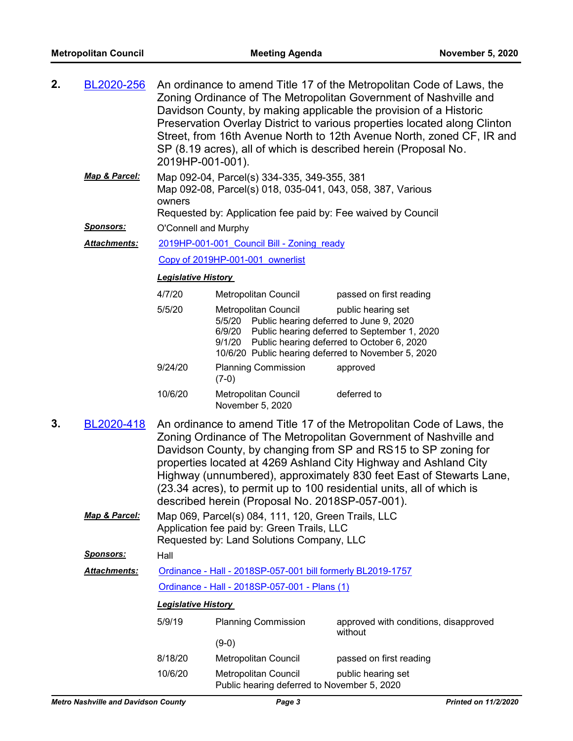| 2. | BL2020-256               | 2019HP-001-001).                                                                                                                                                                    |                                                                                                                                                                                              | An ordinance to amend Title 17 of the Metropolitan Code of Laws, the<br>Zoning Ordinance of The Metropolitan Government of Nashville and<br>Davidson County, by making applicable the provision of a Historic<br>Preservation Overlay District to various properties located along Clinton<br>Street, from 16th Avenue North to 12th Avenue North, zoned CF, IR and<br>SP (8.19 acres), all of which is described herein (Proposal No. |  |  |
|----|--------------------------|-------------------------------------------------------------------------------------------------------------------------------------------------------------------------------------|----------------------------------------------------------------------------------------------------------------------------------------------------------------------------------------------|----------------------------------------------------------------------------------------------------------------------------------------------------------------------------------------------------------------------------------------------------------------------------------------------------------------------------------------------------------------------------------------------------------------------------------------|--|--|
|    | Map & Parcel:            | Map 092-04, Parcel(s) 334-335, 349-355, 381<br>Map 092-08, Parcel(s) 018, 035-041, 043, 058, 387, Various<br>owners<br>Requested by: Application fee paid by: Fee waived by Council |                                                                                                                                                                                              |                                                                                                                                                                                                                                                                                                                                                                                                                                        |  |  |
|    | <b>Sponsors:</b>         | O'Connell and Murphy                                                                                                                                                                |                                                                                                                                                                                              |                                                                                                                                                                                                                                                                                                                                                                                                                                        |  |  |
|    | <u> Attachments:</u>     |                                                                                                                                                                                     | 2019HP-001-001 Council Bill - Zoning ready                                                                                                                                                   |                                                                                                                                                                                                                                                                                                                                                                                                                                        |  |  |
|    |                          |                                                                                                                                                                                     | Copy of 2019HP-001-001 ownerlist                                                                                                                                                             |                                                                                                                                                                                                                                                                                                                                                                                                                                        |  |  |
|    |                          | <u> Legislative History</u>                                                                                                                                                         |                                                                                                                                                                                              |                                                                                                                                                                                                                                                                                                                                                                                                                                        |  |  |
|    |                          | 4/7/20                                                                                                                                                                              | Metropolitan Council                                                                                                                                                                         | passed on first reading                                                                                                                                                                                                                                                                                                                                                                                                                |  |  |
|    |                          | 5/5/20                                                                                                                                                                              | Metropolitan Council<br>5/5/20 Public hearing deferred to June 9, 2020<br>6/9/20<br>9/1/20 Public hearing deferred to October 6, 2020<br>10/6/20 Public hearing deferred to November 5, 2020 | public hearing set<br>Public hearing deferred to September 1, 2020                                                                                                                                                                                                                                                                                                                                                                     |  |  |
|    |                          | 9/24/20                                                                                                                                                                             | <b>Planning Commission</b><br>$(7-0)$                                                                                                                                                        | approved                                                                                                                                                                                                                                                                                                                                                                                                                               |  |  |
|    |                          | 10/6/20                                                                                                                                                                             | Metropolitan Council<br>November 5, 2020                                                                                                                                                     | deferred to                                                                                                                                                                                                                                                                                                                                                                                                                            |  |  |
| 3. | BL2020-418               |                                                                                                                                                                                     | described herein (Proposal No. 2018SP-057-001).                                                                                                                                              | An ordinance to amend Title 17 of the Metropolitan Code of Laws, the<br>Zoning Ordinance of The Metropolitan Government of Nashville and<br>Davidson County, by changing from SP and RS15 to SP zoning for<br>properties located at 4269 Ashland City Highway and Ashland City<br>Highway (unnumbered), approximately 830 feet East of Stewarts Lane,<br>(23.34 acres), to permit up to 100 residential units, all of which is         |  |  |
|    | <b>Map &amp; Parcel:</b> | Map 069, Parcel(s) 084, 111, 120, Green Trails, LLC<br>Application fee paid by: Green Trails, LLC                                                                                   |                                                                                                                                                                                              |                                                                                                                                                                                                                                                                                                                                                                                                                                        |  |  |
|    |                          |                                                                                                                                                                                     | Requested by: Land Solutions Company, LLC                                                                                                                                                    |                                                                                                                                                                                                                                                                                                                                                                                                                                        |  |  |
|    | <b>Sponsors:</b>         | Hall                                                                                                                                                                                |                                                                                                                                                                                              |                                                                                                                                                                                                                                                                                                                                                                                                                                        |  |  |
|    | Attachments:             | Ordinance - Hall - 2018SP-057-001 bill formerly BL2019-1757                                                                                                                         |                                                                                                                                                                                              |                                                                                                                                                                                                                                                                                                                                                                                                                                        |  |  |
|    |                          |                                                                                                                                                                                     | Ordinance - Hall - 2018SP-057-001 - Plans (1)                                                                                                                                                |                                                                                                                                                                                                                                                                                                                                                                                                                                        |  |  |
|    |                          | <b>Legislative History</b>                                                                                                                                                          |                                                                                                                                                                                              |                                                                                                                                                                                                                                                                                                                                                                                                                                        |  |  |
|    |                          | 5/9/19                                                                                                                                                                              | <b>Planning Commission</b><br>$(9-0)$                                                                                                                                                        | approved with conditions, disapproved<br>without                                                                                                                                                                                                                                                                                                                                                                                       |  |  |
|    |                          | 8/18/20                                                                                                                                                                             | Metropolitan Council                                                                                                                                                                         | passed on first reading                                                                                                                                                                                                                                                                                                                                                                                                                |  |  |
|    |                          | 10/6/20                                                                                                                                                                             | Metropolitan Council<br>Public hearing deferred to November 5, 2020                                                                                                                          | public hearing set                                                                                                                                                                                                                                                                                                                                                                                                                     |  |  |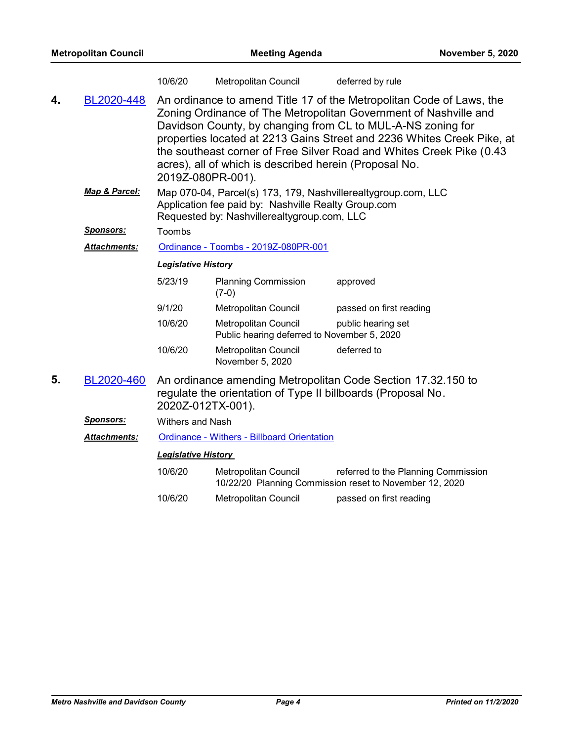|    |                     | 10/6/20                                                                                                                                                             | Metropolitan Council                                                | deferred by rule                                                                                                                                                                                                                                                                                                                                          |
|----|---------------------|---------------------------------------------------------------------------------------------------------------------------------------------------------------------|---------------------------------------------------------------------|-----------------------------------------------------------------------------------------------------------------------------------------------------------------------------------------------------------------------------------------------------------------------------------------------------------------------------------------------------------|
| 4. | BL2020-448          | 2019Z-080PR-001).                                                                                                                                                   | acres), all of which is described herein (Proposal No.              | An ordinance to amend Title 17 of the Metropolitan Code of Laws, the<br>Zoning Ordinance of The Metropolitan Government of Nashville and<br>Davidson County, by changing from CL to MUL-A-NS zoning for<br>properties located at 2213 Gains Street and 2236 Whites Creek Pike, at<br>the southeast corner of Free Silver Road and Whites Creek Pike (0.43 |
|    | Map & Parcel:       | Map 070-04, Parcel(s) 173, 179, Nashvillerealtygroup.com, LLC<br>Application fee paid by: Nashville Realty Group.com<br>Requested by: Nashvillerealtygroup.com, LLC |                                                                     |                                                                                                                                                                                                                                                                                                                                                           |
|    | <b>Sponsors:</b>    | Toombs                                                                                                                                                              |                                                                     |                                                                                                                                                                                                                                                                                                                                                           |
|    | <b>Attachments:</b> | Ordinance - Toombs - 2019Z-080PR-001                                                                                                                                |                                                                     |                                                                                                                                                                                                                                                                                                                                                           |
|    |                     | <b>Legislative History</b>                                                                                                                                          |                                                                     |                                                                                                                                                                                                                                                                                                                                                           |
|    |                     | 5/23/19                                                                                                                                                             | <b>Planning Commission</b><br>$(7-0)$                               | approved                                                                                                                                                                                                                                                                                                                                                  |
|    |                     | 9/1/20                                                                                                                                                              | Metropolitan Council                                                | passed on first reading                                                                                                                                                                                                                                                                                                                                   |
|    |                     | 10/6/20                                                                                                                                                             | Metropolitan Council<br>Public hearing deferred to November 5, 2020 | public hearing set                                                                                                                                                                                                                                                                                                                                        |
|    |                     | 10/6/20                                                                                                                                                             | Metropolitan Council<br>November 5, 2020                            | deferred to                                                                                                                                                                                                                                                                                                                                               |
| 5. | BL2020-460          | 2020Z-012TX-001).                                                                                                                                                   | regulate the orientation of Type II billboards (Proposal No.        | An ordinance amending Metropolitan Code Section 17.32.150 to                                                                                                                                                                                                                                                                                              |
|    | <b>Sponsors:</b>    | <b>Withers and Nash</b>                                                                                                                                             |                                                                     |                                                                                                                                                                                                                                                                                                                                                           |
|    | <b>Attachments:</b> |                                                                                                                                                                     | <b>Ordinance - Withers - Billboard Orientation</b>                  |                                                                                                                                                                                                                                                                                                                                                           |
|    |                     | <b>Legislative History</b>                                                                                                                                          |                                                                     |                                                                                                                                                                                                                                                                                                                                                           |
|    |                     | 10/6/20                                                                                                                                                             | <b>Metropolitan Council</b>                                         | referred to the Planning Commission<br>10/22/20 Planning Commission reset to November 12, 2020                                                                                                                                                                                                                                                            |
|    |                     | 10/6/20                                                                                                                                                             | <b>Metropolitan Council</b>                                         | passed on first reading                                                                                                                                                                                                                                                                                                                                   |
|    |                     |                                                                                                                                                                     |                                                                     |                                                                                                                                                                                                                                                                                                                                                           |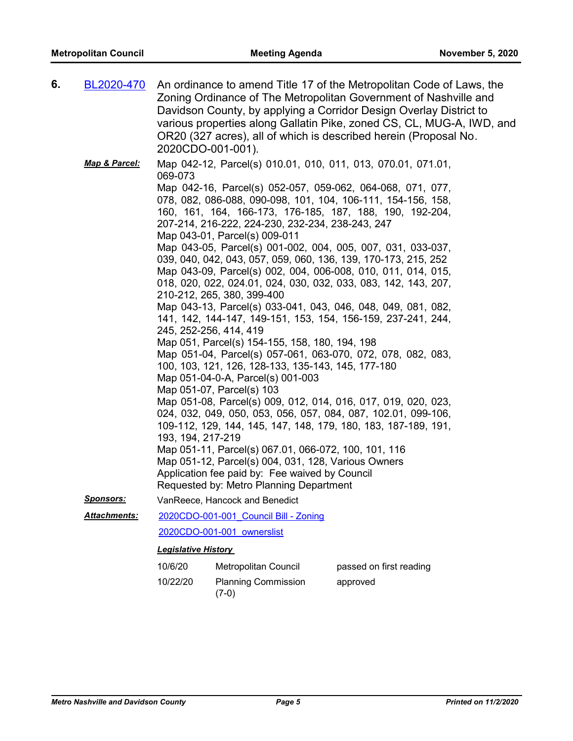| 6. | BL2020-470    | 2020CDO-001-001).            |                                                                                                                                                                                                                                                                                                                                                                                                                                                                                                                                                                                                                                                                                                                                                                                                                                                                                                                                                                                                                                                                                                                                                                                                                                                                                                                                                                                                                                                                 | An ordinance to amend Title 17 of the Metropolitan Code of Laws, the<br>Zoning Ordinance of The Metropolitan Government of Nashville and<br>Davidson County, by applying a Corridor Design Overlay District to<br>various properties along Gallatin Pike, zoned CS, CL, MUG-A, IWD, and<br>OR20 (327 acres), all of which is described herein (Proposal No. |
|----|---------------|------------------------------|-----------------------------------------------------------------------------------------------------------------------------------------------------------------------------------------------------------------------------------------------------------------------------------------------------------------------------------------------------------------------------------------------------------------------------------------------------------------------------------------------------------------------------------------------------------------------------------------------------------------------------------------------------------------------------------------------------------------------------------------------------------------------------------------------------------------------------------------------------------------------------------------------------------------------------------------------------------------------------------------------------------------------------------------------------------------------------------------------------------------------------------------------------------------------------------------------------------------------------------------------------------------------------------------------------------------------------------------------------------------------------------------------------------------------------------------------------------------|-------------------------------------------------------------------------------------------------------------------------------------------------------------------------------------------------------------------------------------------------------------------------------------------------------------------------------------------------------------|
|    | Map & Parcel: | 069-073<br>193, 194, 217-219 | Map 042-12, Parcel(s) 010.01, 010, 011, 013, 070.01, 071.01,<br>Map 042-16, Parcel(s) 052-057, 059-062, 064-068, 071, 077,<br>078, 082, 086-088, 090-098, 101, 104, 106-111, 154-156, 158,<br>160, 161, 164, 166-173, 176-185, 187, 188, 190, 192-204,<br>207-214, 216-222, 224-230, 232-234, 238-243, 247<br>Map 043-01, Parcel(s) 009-011<br>Map 043-05, Parcel(s) 001-002, 004, 005, 007, 031, 033-037,<br>039, 040, 042, 043, 057, 059, 060, 136, 139, 170-173, 215, 252<br>Map 043-09, Parcel(s) 002, 004, 006-008, 010, 011, 014, 015,<br>018, 020, 022, 024.01, 024, 030, 032, 033, 083, 142, 143, 207,<br>210-212, 265, 380, 399-400<br>Map 043-13, Parcel(s) 033-041, 043, 046, 048, 049, 081, 082,<br>141, 142, 144-147, 149-151, 153, 154, 156-159, 237-241, 244,<br>245, 252-256, 414, 419<br>Map 051, Parcel(s) 154-155, 158, 180, 194, 198<br>Map 051-04, Parcel(s) 057-061, 063-070, 072, 078, 082, 083,<br>100, 103, 121, 126, 128-133, 135-143, 145, 177-180<br>Map 051-04-0-A, Parcel(s) 001-003<br>Map 051-07, Parcel(s) 103<br>Map 051-08, Parcel(s) 009, 012, 014, 016, 017, 019, 020, 023,<br>024, 032, 049, 050, 053, 056, 057, 084, 087, 102.01, 099-106,<br>109-112, 129, 144, 145, 147, 148, 179, 180, 183, 187-189, 191,<br>Map 051-11, Parcel(s) 067.01, 066-072, 100, 101, 116<br>Map 051-12, Parcel(s) 004, 031, 128, Various Owners<br>Application fee paid by: Fee waived by Council<br>Requested by: Metro Planning Department |                                                                                                                                                                                                                                                                                                                                                             |
|    | Sponsors:     |                              | VanReece, Hancock and Benedict                                                                                                                                                                                                                                                                                                                                                                                                                                                                                                                                                                                                                                                                                                                                                                                                                                                                                                                                                                                                                                                                                                                                                                                                                                                                                                                                                                                                                                  |                                                                                                                                                                                                                                                                                                                                                             |
|    | Attachments:  |                              | 2020CDO-001-001 Council Bill - Zoning                                                                                                                                                                                                                                                                                                                                                                                                                                                                                                                                                                                                                                                                                                                                                                                                                                                                                                                                                                                                                                                                                                                                                                                                                                                                                                                                                                                                                           |                                                                                                                                                                                                                                                                                                                                                             |
|    |               |                              | 2020CDO-001-001 ownerslist                                                                                                                                                                                                                                                                                                                                                                                                                                                                                                                                                                                                                                                                                                                                                                                                                                                                                                                                                                                                                                                                                                                                                                                                                                                                                                                                                                                                                                      |                                                                                                                                                                                                                                                                                                                                                             |
|    |               | <b>Legislative History</b>   |                                                                                                                                                                                                                                                                                                                                                                                                                                                                                                                                                                                                                                                                                                                                                                                                                                                                                                                                                                                                                                                                                                                                                                                                                                                                                                                                                                                                                                                                 |                                                                                                                                                                                                                                                                                                                                                             |
|    |               | 10/6/20                      | Metropolitan Council                                                                                                                                                                                                                                                                                                                                                                                                                                                                                                                                                                                                                                                                                                                                                                                                                                                                                                                                                                                                                                                                                                                                                                                                                                                                                                                                                                                                                                            | passed on first reading                                                                                                                                                                                                                                                                                                                                     |
|    |               | 10/22/20                     | <b>Planning Commission</b><br>$(7-0)$                                                                                                                                                                                                                                                                                                                                                                                                                                                                                                                                                                                                                                                                                                                                                                                                                                                                                                                                                                                                                                                                                                                                                                                                                                                                                                                                                                                                                           | approved                                                                                                                                                                                                                                                                                                                                                    |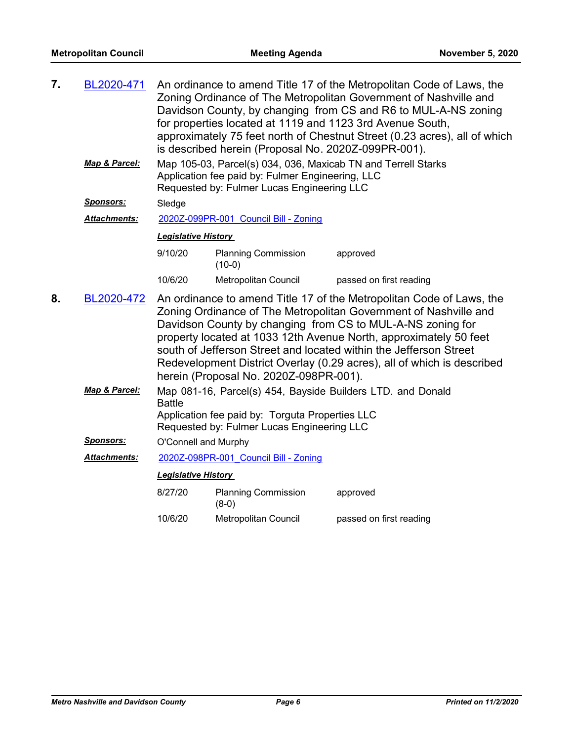| 7. | BL2020-471          | An ordinance to amend Title 17 of the Metropolitan Code of Laws, the<br>Zoning Ordinance of The Metropolitan Government of Nashville and<br>Davidson County, by changing from CS and R6 to MUL-A-NS zoning<br>for properties located at 1119 and 1123 3rd Avenue South,<br>approximately 75 feet north of Chestnut Street (0.23 acres), all of which<br>is described herein (Proposal No. 2020Z-099PR-001).                                                          |                                                                                                                                                                 |                         |  |
|----|---------------------|----------------------------------------------------------------------------------------------------------------------------------------------------------------------------------------------------------------------------------------------------------------------------------------------------------------------------------------------------------------------------------------------------------------------------------------------------------------------|-----------------------------------------------------------------------------------------------------------------------------------------------------------------|-------------------------|--|
|    | Map & Parcel:       |                                                                                                                                                                                                                                                                                                                                                                                                                                                                      | Map 105-03, Parcel(s) 034, 036, Maxicab TN and Terrell Starks<br>Application fee paid by: Fulmer Engineering, LLC<br>Requested by: Fulmer Lucas Engineering LLC |                         |  |
|    | Sponsors:           | Sledge                                                                                                                                                                                                                                                                                                                                                                                                                                                               |                                                                                                                                                                 |                         |  |
|    | <b>Attachments:</b> |                                                                                                                                                                                                                                                                                                                                                                                                                                                                      | 2020Z-099PR-001 Council Bill - Zoning                                                                                                                           |                         |  |
|    |                     | <b>Legislative History</b>                                                                                                                                                                                                                                                                                                                                                                                                                                           |                                                                                                                                                                 |                         |  |
|    |                     | 9/10/20                                                                                                                                                                                                                                                                                                                                                                                                                                                              | <b>Planning Commission</b><br>$(10-0)$                                                                                                                          | approved                |  |
|    |                     | 10/6/20                                                                                                                                                                                                                                                                                                                                                                                                                                                              | Metropolitan Council                                                                                                                                            | passed on first reading |  |
| 8. | BL2020-472          | An ordinance to amend Title 17 of the Metropolitan Code of Laws, the<br>Zoning Ordinance of The Metropolitan Government of Nashville and<br>Davidson County by changing from CS to MUL-A-NS zoning for<br>property located at 1033 12th Avenue North, approximately 50 feet<br>south of Jefferson Street and located within the Jefferson Street<br>Redevelopment District Overlay (0.29 acres), all of which is described<br>herein (Proposal No. 2020Z-098PR-001). |                                                                                                                                                                 |                         |  |
|    | Map & Parcel:       | Map 081-16, Parcel(s) 454, Bayside Builders LTD. and Donald<br><b>Battle</b><br>Application fee paid by: Torguta Properties LLC<br>Requested by: Fulmer Lucas Engineering LLC                                                                                                                                                                                                                                                                                        |                                                                                                                                                                 |                         |  |
|    | <u>Sponsors:</u>    | O'Connell and Murphy                                                                                                                                                                                                                                                                                                                                                                                                                                                 |                                                                                                                                                                 |                         |  |
|    | Attachments:        | 2020Z-098PR-001 Council Bill - Zoning                                                                                                                                                                                                                                                                                                                                                                                                                                |                                                                                                                                                                 |                         |  |
|    |                     | <b>Legislative History</b>                                                                                                                                                                                                                                                                                                                                                                                                                                           |                                                                                                                                                                 |                         |  |
|    |                     | 8/27/20                                                                                                                                                                                                                                                                                                                                                                                                                                                              | <b>Planning Commission</b><br>$(8-0)$                                                                                                                           | approved                |  |
|    |                     | 10/6/20                                                                                                                                                                                                                                                                                                                                                                                                                                                              | Metropolitan Council                                                                                                                                            | passed on first reading |  |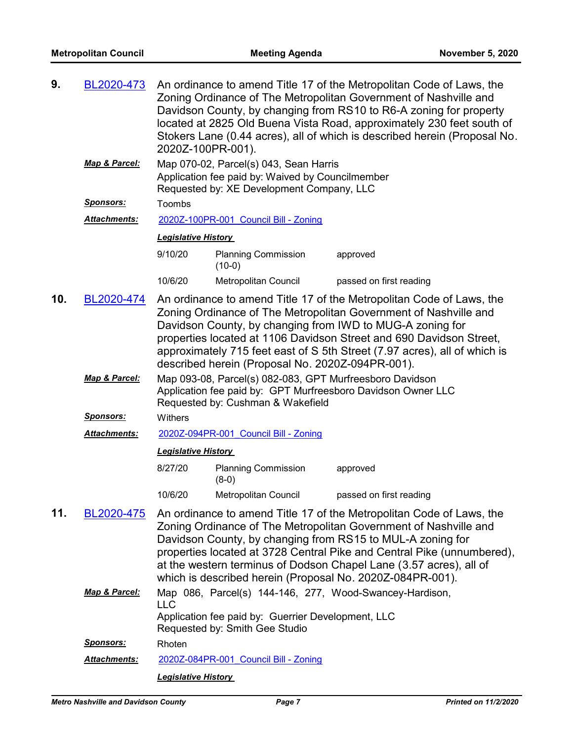| 9.  | BL2020-473                                                                                                                                                                                                                                                                                                                                                                                                                  | An ordinance to amend Title 17 of the Metropolitan Code of Laws, the<br>Zoning Ordinance of The Metropolitan Government of Nashville and<br>Davidson County, by changing from RS10 to R6-A zoning for property<br>located at 2825 Old Buena Vista Road, approximately 230 feet south of<br>Stokers Lane (0.44 acres), all of which is described herein (Proposal No.<br>2020Z-100PR-001). |                                                                                      |                                                                                                                                                                                                                                                                                                                                                                                                                     |  |  |
|-----|-----------------------------------------------------------------------------------------------------------------------------------------------------------------------------------------------------------------------------------------------------------------------------------------------------------------------------------------------------------------------------------------------------------------------------|-------------------------------------------------------------------------------------------------------------------------------------------------------------------------------------------------------------------------------------------------------------------------------------------------------------------------------------------------------------------------------------------|--------------------------------------------------------------------------------------|---------------------------------------------------------------------------------------------------------------------------------------------------------------------------------------------------------------------------------------------------------------------------------------------------------------------------------------------------------------------------------------------------------------------|--|--|
|     | Map & Parcel:                                                                                                                                                                                                                                                                                                                                                                                                               | Map 070-02, Parcel(s) 043, Sean Harris<br>Application fee paid by: Waived by Councilmember<br>Requested by: XE Development Company, LLC                                                                                                                                                                                                                                                   |                                                                                      |                                                                                                                                                                                                                                                                                                                                                                                                                     |  |  |
|     | <b>Sponsors:</b>                                                                                                                                                                                                                                                                                                                                                                                                            | Toombs                                                                                                                                                                                                                                                                                                                                                                                    |                                                                                      |                                                                                                                                                                                                                                                                                                                                                                                                                     |  |  |
|     | Attachments:                                                                                                                                                                                                                                                                                                                                                                                                                |                                                                                                                                                                                                                                                                                                                                                                                           | 2020Z-100PR-001 Council Bill - Zoning                                                |                                                                                                                                                                                                                                                                                                                                                                                                                     |  |  |
|     |                                                                                                                                                                                                                                                                                                                                                                                                                             | <b>Legislative History</b>                                                                                                                                                                                                                                                                                                                                                                |                                                                                      |                                                                                                                                                                                                                                                                                                                                                                                                                     |  |  |
|     |                                                                                                                                                                                                                                                                                                                                                                                                                             | 9/10/20                                                                                                                                                                                                                                                                                                                                                                                   | <b>Planning Commission</b><br>$(10-0)$                                               | approved                                                                                                                                                                                                                                                                                                                                                                                                            |  |  |
|     |                                                                                                                                                                                                                                                                                                                                                                                                                             | 10/6/20                                                                                                                                                                                                                                                                                                                                                                                   | Metropolitan Council                                                                 | passed on first reading                                                                                                                                                                                                                                                                                                                                                                                             |  |  |
| 10. | An ordinance to amend Title 17 of the Metropolitan Code of Laws, the<br>BL2020-474<br>Zoning Ordinance of The Metropolitan Government of Nashville and<br>Davidson County, by changing from IWD to MUG-A zoning for<br>properties located at 1106 Davidson Street and 690 Davidson Street,<br>approximately 715 feet east of S 5th Street (7.97 acres), all of which is<br>described herein (Proposal No. 2020Z-094PR-001). |                                                                                                                                                                                                                                                                                                                                                                                           |                                                                                      |                                                                                                                                                                                                                                                                                                                                                                                                                     |  |  |
|     | Map & Parcel:                                                                                                                                                                                                                                                                                                                                                                                                               | Map 093-08, Parcel(s) 082-083, GPT Murfreesboro Davidson<br>Application fee paid by: GPT Murfreesboro Davidson Owner LLC<br>Requested by: Cushman & Wakefield                                                                                                                                                                                                                             |                                                                                      |                                                                                                                                                                                                                                                                                                                                                                                                                     |  |  |
|     | <b>Sponsors:</b>                                                                                                                                                                                                                                                                                                                                                                                                            | Withers                                                                                                                                                                                                                                                                                                                                                                                   |                                                                                      |                                                                                                                                                                                                                                                                                                                                                                                                                     |  |  |
|     | Attachments:                                                                                                                                                                                                                                                                                                                                                                                                                |                                                                                                                                                                                                                                                                                                                                                                                           | 2020Z-094PR-001 Council Bill - Zoning                                                |                                                                                                                                                                                                                                                                                                                                                                                                                     |  |  |
|     |                                                                                                                                                                                                                                                                                                                                                                                                                             | <b>Legislative History</b>                                                                                                                                                                                                                                                                                                                                                                |                                                                                      |                                                                                                                                                                                                                                                                                                                                                                                                                     |  |  |
|     |                                                                                                                                                                                                                                                                                                                                                                                                                             | 8/27/20                                                                                                                                                                                                                                                                                                                                                                                   | <b>Planning Commission</b><br>$(8-0)$                                                | approved                                                                                                                                                                                                                                                                                                                                                                                                            |  |  |
|     |                                                                                                                                                                                                                                                                                                                                                                                                                             | 10/6/20                                                                                                                                                                                                                                                                                                                                                                                   | Metropolitan Council                                                                 | passed on first reading                                                                                                                                                                                                                                                                                                                                                                                             |  |  |
| 11. | BL2020-475                                                                                                                                                                                                                                                                                                                                                                                                                  |                                                                                                                                                                                                                                                                                                                                                                                           |                                                                                      | An ordinance to amend Title 17 of the Metropolitan Code of Laws, the<br>Zoning Ordinance of The Metropolitan Government of Nashville and<br>Davidson County, by changing from RS15 to MUL-A zoning for<br>properties located at 3728 Central Pike and Central Pike (unnumbered),<br>at the western terminus of Dodson Chapel Lane (3.57 acres), all of<br>which is described herein (Proposal No. 2020Z-084PR-001). |  |  |
|     | Map & Parcel:                                                                                                                                                                                                                                                                                                                                                                                                               |                                                                                                                                                                                                                                                                                                                                                                                           |                                                                                      | Map 086, Parcel(s) 144-146, 277, Wood-Swancey-Hardison,                                                                                                                                                                                                                                                                                                                                                             |  |  |
|     |                                                                                                                                                                                                                                                                                                                                                                                                                             | <b>LLC</b>                                                                                                                                                                                                                                                                                                                                                                                | Application fee paid by: Guerrier Development, LLC<br>Requested by: Smith Gee Studio |                                                                                                                                                                                                                                                                                                                                                                                                                     |  |  |
|     | <u>Sponsors:</u>                                                                                                                                                                                                                                                                                                                                                                                                            | Rhoten                                                                                                                                                                                                                                                                                                                                                                                    |                                                                                      |                                                                                                                                                                                                                                                                                                                                                                                                                     |  |  |
|     | Attachments:                                                                                                                                                                                                                                                                                                                                                                                                                |                                                                                                                                                                                                                                                                                                                                                                                           | 2020Z-084PR-001 Council Bill - Zoning                                                |                                                                                                                                                                                                                                                                                                                                                                                                                     |  |  |
|     |                                                                                                                                                                                                                                                                                                                                                                                                                             | <b>Legislative History</b>                                                                                                                                                                                                                                                                                                                                                                |                                                                                      |                                                                                                                                                                                                                                                                                                                                                                                                                     |  |  |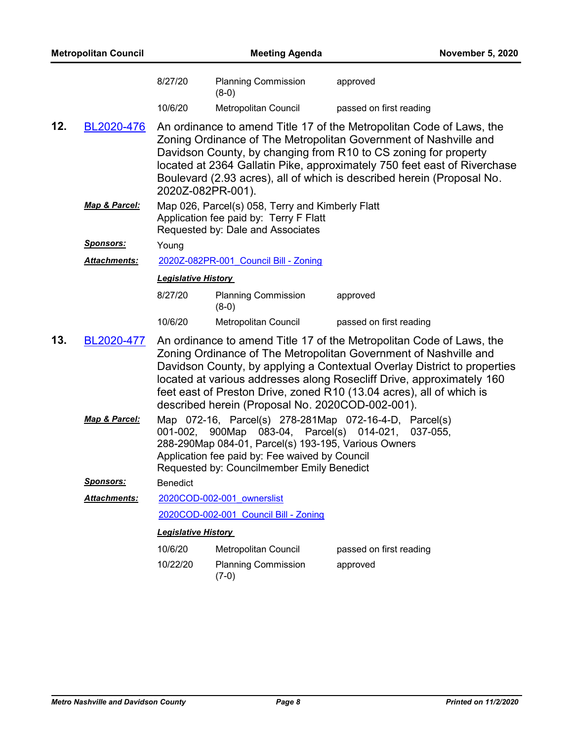| <b>Metropolitan Council</b> |                  |                                                                                                                                 | <b>November 5, 2020</b>                                                                                                                                                                                                                                      |                                                                                                                                                                                                                                                                                                                                                                       |
|-----------------------------|------------------|---------------------------------------------------------------------------------------------------------------------------------|--------------------------------------------------------------------------------------------------------------------------------------------------------------------------------------------------------------------------------------------------------------|-----------------------------------------------------------------------------------------------------------------------------------------------------------------------------------------------------------------------------------------------------------------------------------------------------------------------------------------------------------------------|
|                             |                  | 8/27/20                                                                                                                         | <b>Planning Commission</b><br>$(8-0)$                                                                                                                                                                                                                        | approved                                                                                                                                                                                                                                                                                                                                                              |
|                             |                  | 10/6/20                                                                                                                         | Metropolitan Council                                                                                                                                                                                                                                         | passed on first reading                                                                                                                                                                                                                                                                                                                                               |
| 12.                         | BL2020-476       | 2020Z-082PR-001).                                                                                                               |                                                                                                                                                                                                                                                              | An ordinance to amend Title 17 of the Metropolitan Code of Laws, the<br>Zoning Ordinance of The Metropolitan Government of Nashville and<br>Davidson County, by changing from R10 to CS zoning for property<br>located at 2364 Gallatin Pike, approximately 750 feet east of Riverchase<br>Boulevard (2.93 acres), all of which is described herein (Proposal No.     |
|                             | Map & Parcel:    | Map 026, Parcel(s) 058, Terry and Kimberly Flatt<br>Application fee paid by: Terry F Flatt<br>Requested by: Dale and Associates |                                                                                                                                                                                                                                                              |                                                                                                                                                                                                                                                                                                                                                                       |
|                             | <u>Sponsors:</u> | Young                                                                                                                           |                                                                                                                                                                                                                                                              |                                                                                                                                                                                                                                                                                                                                                                       |
|                             | Attachments:     | 2020Z-082PR-001 Council Bill - Zoning                                                                                           |                                                                                                                                                                                                                                                              |                                                                                                                                                                                                                                                                                                                                                                       |
|                             |                  | <b>Legislative History</b>                                                                                                      |                                                                                                                                                                                                                                                              |                                                                                                                                                                                                                                                                                                                                                                       |
|                             |                  | 8/27/20                                                                                                                         | <b>Planning Commission</b><br>$(8-0)$                                                                                                                                                                                                                        | approved                                                                                                                                                                                                                                                                                                                                                              |
|                             |                  | 10/6/20                                                                                                                         | <b>Metropolitan Council</b>                                                                                                                                                                                                                                  | passed on first reading                                                                                                                                                                                                                                                                                                                                               |
| 13.                         | BL2020-477       |                                                                                                                                 | described herein (Proposal No. 2020COD-002-001).                                                                                                                                                                                                             | An ordinance to amend Title 17 of the Metropolitan Code of Laws, the<br>Zoning Ordinance of The Metropolitan Government of Nashville and<br>Davidson County, by applying a Contextual Overlay District to properties<br>located at various addresses along Rosecliff Drive, approximately 160<br>feet east of Preston Drive, zoned R10 (13.04 acres), all of which is |
|                             | Map & Parcel:    |                                                                                                                                 | Map 072-16, Parcel(s) 278-281Map 072-16-4-D, Parcel(s)<br>001-002, 900Map 083-04, Parcel(s) 014-021,<br>288-290Map 084-01, Parcel(s) 193-195, Various Owners<br>Application fee paid by: Fee waived by Council<br>Requested by: Councilmember Emily Benedict | 037-055,                                                                                                                                                                                                                                                                                                                                                              |
|                             | <b>Sponsors:</b> | <b>Benedict</b>                                                                                                                 |                                                                                                                                                                                                                                                              |                                                                                                                                                                                                                                                                                                                                                                       |
|                             | Attachments:     |                                                                                                                                 | 2020COD-002-001 ownerslist                                                                                                                                                                                                                                   |                                                                                                                                                                                                                                                                                                                                                                       |
|                             |                  |                                                                                                                                 | 2020COD-002-001 Council Bill - Zoning                                                                                                                                                                                                                        |                                                                                                                                                                                                                                                                                                                                                                       |
|                             |                  | <b>Legislative History</b>                                                                                                      |                                                                                                                                                                                                                                                              |                                                                                                                                                                                                                                                                                                                                                                       |
|                             |                  | 10/6/20                                                                                                                         | Metropolitan Council                                                                                                                                                                                                                                         | passed on first reading                                                                                                                                                                                                                                                                                                                                               |
|                             |                  | 10/22/20                                                                                                                        | <b>Planning Commission</b><br>$(7-0)$                                                                                                                                                                                                                        | approved                                                                                                                                                                                                                                                                                                                                                              |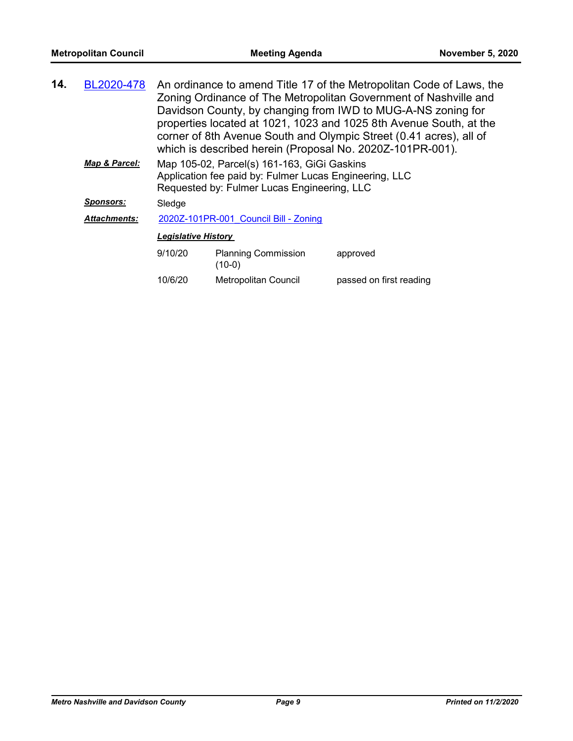| 14.                        | BL2020-478          |                                                                                                                                                      | An ordinance to amend Title 17 of the Metropolitan Code of Laws, the<br>Zoning Ordinance of The Metropolitan Government of Nashville and<br>Davidson County, by changing from IWD to MUG-A-NS zoning for<br>properties located at 1021, 1023 and 1025 8th Avenue South, at the<br>corner of 8th Avenue South and Olympic Street (0.41 acres), all of<br>which is described herein (Proposal No. 2020Z-101PR-001). |                         |  |
|----------------------------|---------------------|------------------------------------------------------------------------------------------------------------------------------------------------------|-------------------------------------------------------------------------------------------------------------------------------------------------------------------------------------------------------------------------------------------------------------------------------------------------------------------------------------------------------------------------------------------------------------------|-------------------------|--|
|                            | Map & Parcel:       | Map 105-02, Parcel(s) 161-163, GiGi Gaskins<br>Application fee paid by: Fulmer Lucas Engineering, LLC<br>Requested by: Fulmer Lucas Engineering, LLC |                                                                                                                                                                                                                                                                                                                                                                                                                   |                         |  |
| <b>Sponsors:</b><br>Sledge |                     |                                                                                                                                                      |                                                                                                                                                                                                                                                                                                                                                                                                                   |                         |  |
|                            | <b>Attachments:</b> |                                                                                                                                                      | 2020Z-101PR-001 Council Bill - Zoning                                                                                                                                                                                                                                                                                                                                                                             |                         |  |
|                            |                     | <b>Legislative History</b>                                                                                                                           |                                                                                                                                                                                                                                                                                                                                                                                                                   |                         |  |
|                            |                     | 9/10/20                                                                                                                                              | <b>Planning Commission</b><br>$(10-0)$                                                                                                                                                                                                                                                                                                                                                                            | approved                |  |
|                            |                     | 10/6/20                                                                                                                                              | Metropolitan Council                                                                                                                                                                                                                                                                                                                                                                                              | passed on first reading |  |
|                            |                     |                                                                                                                                                      |                                                                                                                                                                                                                                                                                                                                                                                                                   |                         |  |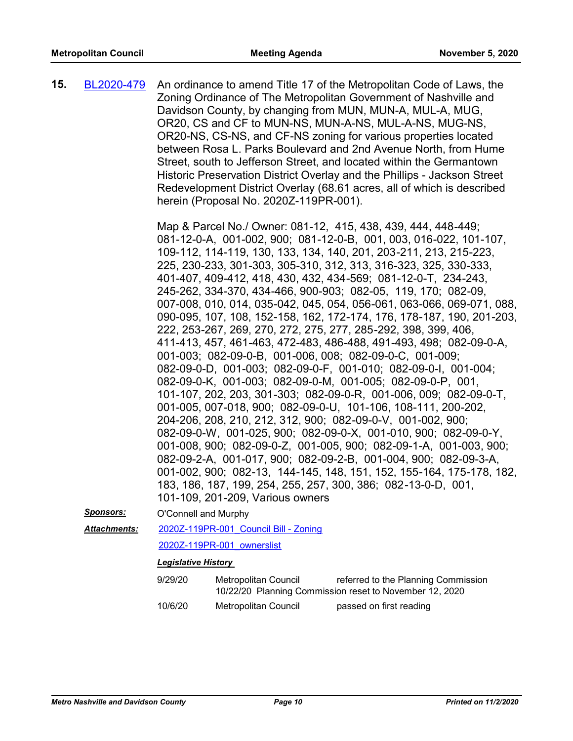An ordinance to amend Title 17 of the Metropolitan Code of Laws, the Zoning Ordinance of The Metropolitan Government of Nashville and Davidson County, by changing from MUN, MUN-A, MUL-A, MUG, OR20, CS and CF to MUN-NS, MUN-A-NS, MUL-A-NS, MUG-NS, OR20-NS, CS-NS, and CF-NS zoning for various properties located between Rosa L. Parks Boulevard and 2nd Avenue North, from Hume Street, south to Jefferson Street, and located within the Germantown Historic Preservation District Overlay and the Phillips - Jackson Street Redevelopment District Overlay (68.61 acres, all of which is described herein (Proposal No. 2020Z-119PR-001). **15.** [BL2020-479](http://nashville.legistar.com/gateway.aspx?m=l&id=/matter.aspx?key=1372)

> Map & Parcel No./ Owner: 081-12, 415, 438, 439, 444, 448-449; 081-12-0-A, 001-002, 900; 081-12-0-B, 001, 003, 016-022, 101-107, 109-112, 114-119, 130, 133, 134, 140, 201, 203-211, 213, 215-223, 225, 230-233, 301-303, 305-310, 312, 313, 316-323, 325, 330-333, 401-407, 409-412, 418, 430, 432, 434-569; 081-12-0-T, 234-243, 245-262, 334-370, 434-466, 900-903; 082-05, 119, 170; 082-09, 007-008, 010, 014, 035-042, 045, 054, 056-061, 063-066, 069-071, 088, 090-095, 107, 108, 152-158, 162, 172-174, 176, 178-187, 190, 201-203, 222, 253-267, 269, 270, 272, 275, 277, 285-292, 398, 399, 406, 411-413, 457, 461-463, 472-483, 486-488, 491-493, 498; 082-09-0-A, 001-003; 082-09-0-B, 001-006, 008; 082-09-0-C, 001-009; 082-09-0-D, 001-003; 082-09-0-F, 001-010; 082-09-0-I, 001-004; 082-09-0-K, 001-003; 082-09-0-M, 001-005; 082-09-0-P, 001, 101-107, 202, 203, 301-303; 082-09-0-R, 001-006, 009; 082-09-0-T, 001-005, 007-018, 900; 082-09-0-U, 101-106, 108-111, 200-202, 204-206, 208, 210, 212, 312, 900; 082-09-0-V, 001-002, 900; 082-09-0-W, 001-025, 900; 082-09-0-X, 001-010, 900; 082-09-0-Y, 001-008, 900; 082-09-0-Z, 001-005, 900; 082-09-1-A, 001-003, 900; 082-09-2-A, 001-017, 900; 082-09-2-B, 001-004, 900; 082-09-3-A, 001-002, 900; 082-13, 144-145, 148, 151, 152, 155-164, 175-178, 182, 183, 186, 187, 199, 254, 255, 257, 300, 386; 082-13-0-D, 001, 101-109, 201-209, Various owners

*Sponsors:* O'Connell and Murphy

[2020Z-119PR-001\\_Council Bill - Zoning](http://nashville.legistar.com/gateway.aspx?M=F&ID=846a8af9-2062-4ec8-ab5a-bef638bc05ee.docx) *Attachments:*

[2020Z-119PR-001\\_ownerslist](http://nashville.legistar.com/gateway.aspx?M=F&ID=261649b2-1efb-4c87-8af2-b020bd6cedca.xlsx)

#### *Legislative History*

| 9/29/20 | Metropolitan Council | referred to the Planning Commission                     |
|---------|----------------------|---------------------------------------------------------|
|         |                      | 10/22/20 Planning Commission reset to November 12, 2020 |
| 10/6/20 | Metropolitan Council | passed on first reading                                 |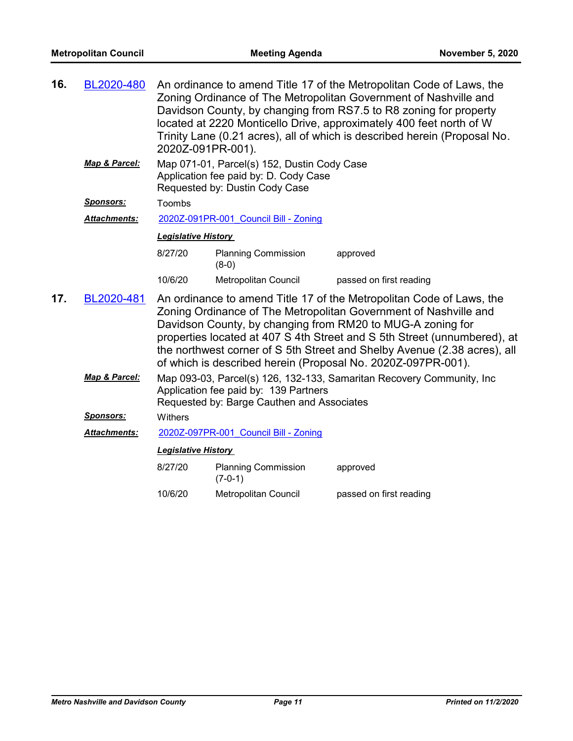| 16.                                                                                                                                                                           | BL2020-480          | An ordinance to amend Title 17 of the Metropolitan Code of Laws, the<br>Zoning Ordinance of The Metropolitan Government of Nashville and<br>Davidson County, by changing from RS7.5 to R8 zoning for property<br>located at 2220 Monticello Drive, approximately 400 feet north of W<br>Trinity Lane (0.21 acres), all of which is described herein (Proposal No.<br>2020Z-091PR-001). |                                         |                                                                                                                                                                                                                                                                                                                                                                                                                                |  |  |
|-------------------------------------------------------------------------------------------------------------------------------------------------------------------------------|---------------------|----------------------------------------------------------------------------------------------------------------------------------------------------------------------------------------------------------------------------------------------------------------------------------------------------------------------------------------------------------------------------------------|-----------------------------------------|--------------------------------------------------------------------------------------------------------------------------------------------------------------------------------------------------------------------------------------------------------------------------------------------------------------------------------------------------------------------------------------------------------------------------------|--|--|
|                                                                                                                                                                               | Map & Parcel:       | Map 071-01, Parcel(s) 152, Dustin Cody Case<br>Application fee paid by: D. Cody Case<br>Requested by: Dustin Cody Case                                                                                                                                                                                                                                                                 |                                         |                                                                                                                                                                                                                                                                                                                                                                                                                                |  |  |
|                                                                                                                                                                               | <u>Sponsors:</u>    | Toombs                                                                                                                                                                                                                                                                                                                                                                                 |                                         |                                                                                                                                                                                                                                                                                                                                                                                                                                |  |  |
|                                                                                                                                                                               | <b>Attachments:</b> |                                                                                                                                                                                                                                                                                                                                                                                        | 2020Z-091PR-001 Council Bill - Zoning   |                                                                                                                                                                                                                                                                                                                                                                                                                                |  |  |
| <b>Legislative History</b>                                                                                                                                                    |                     |                                                                                                                                                                                                                                                                                                                                                                                        |                                         |                                                                                                                                                                                                                                                                                                                                                                                                                                |  |  |
|                                                                                                                                                                               |                     | 8/27/20                                                                                                                                                                                                                                                                                                                                                                                | <b>Planning Commission</b><br>$(8-0)$   | approved                                                                                                                                                                                                                                                                                                                                                                                                                       |  |  |
|                                                                                                                                                                               |                     | 10/6/20                                                                                                                                                                                                                                                                                                                                                                                | <b>Metropolitan Council</b>             | passed on first reading                                                                                                                                                                                                                                                                                                                                                                                                        |  |  |
| 17.                                                                                                                                                                           | BL2020-481          |                                                                                                                                                                                                                                                                                                                                                                                        |                                         | An ordinance to amend Title 17 of the Metropolitan Code of Laws, the<br>Zoning Ordinance of The Metropolitan Government of Nashville and<br>Davidson County, by changing from RM20 to MUG-A zoning for<br>properties located at 407 S 4th Street and S 5th Street (unnumbered), at<br>the northwest corner of S 5th Street and Shelby Avenue (2.38 acres), all<br>of which is described herein (Proposal No. 2020Z-097PR-001). |  |  |
| Map & Parcel:<br>Map 093-03, Parcel(s) 126, 132-133, Samaritan Recovery Community, Inc<br>Application fee paid by: 139 Partners<br>Requested by: Barge Cauthen and Associates |                     |                                                                                                                                                                                                                                                                                                                                                                                        |                                         |                                                                                                                                                                                                                                                                                                                                                                                                                                |  |  |
|                                                                                                                                                                               | <u>Sponsors:</u>    | Withers                                                                                                                                                                                                                                                                                                                                                                                |                                         |                                                                                                                                                                                                                                                                                                                                                                                                                                |  |  |
|                                                                                                                                                                               | <b>Attachments:</b> |                                                                                                                                                                                                                                                                                                                                                                                        | 2020Z-097PR-001 Council Bill - Zoning   |                                                                                                                                                                                                                                                                                                                                                                                                                                |  |  |
|                                                                                                                                                                               |                     | <b>Legislative History</b>                                                                                                                                                                                                                                                                                                                                                             |                                         |                                                                                                                                                                                                                                                                                                                                                                                                                                |  |  |
|                                                                                                                                                                               |                     | 8/27/20                                                                                                                                                                                                                                                                                                                                                                                | <b>Planning Commission</b><br>$(7-0-1)$ | approved                                                                                                                                                                                                                                                                                                                                                                                                                       |  |  |
|                                                                                                                                                                               |                     | 10/6/20                                                                                                                                                                                                                                                                                                                                                                                | <b>Metropolitan Council</b>             | passed on first reading                                                                                                                                                                                                                                                                                                                                                                                                        |  |  |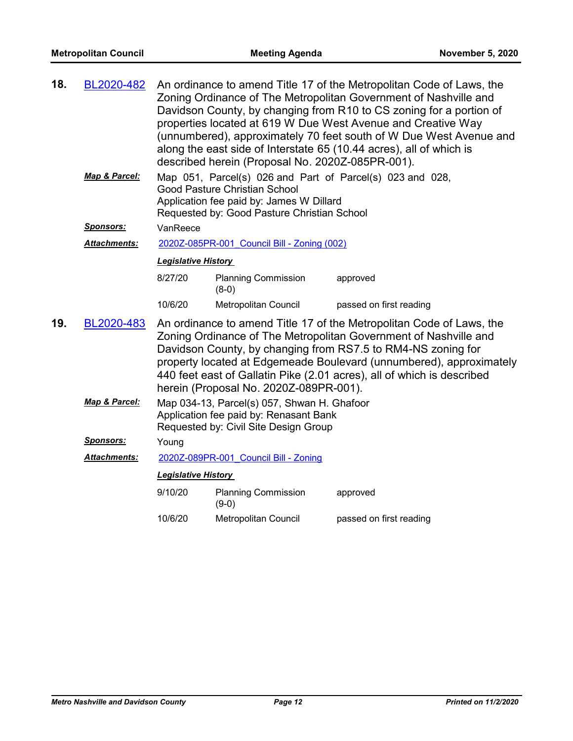| 18.                        | BL2020-482          | An ordinance to amend Title 17 of the Metropolitan Code of Laws, the<br>Zoning Ordinance of The Metropolitan Government of Nashville and<br>Davidson County, by changing from R10 to CS zoning for a portion of<br>properties located at 619 W Due West Avenue and Creative Way<br>(unnumbered), approximately 70 feet south of W Due West Avenue and<br>along the east side of Interstate 65 (10.44 acres), all of which is<br>described herein (Proposal No. 2020Z-085PR-001). |                                        |                                                                                                                                                                                                                                                                                                                                                           |  |  |
|----------------------------|---------------------|----------------------------------------------------------------------------------------------------------------------------------------------------------------------------------------------------------------------------------------------------------------------------------------------------------------------------------------------------------------------------------------------------------------------------------------------------------------------------------|----------------------------------------|-----------------------------------------------------------------------------------------------------------------------------------------------------------------------------------------------------------------------------------------------------------------------------------------------------------------------------------------------------------|--|--|
|                            | Map & Parcel:       | Map 051, Parcel(s) 026 and Part of Parcel(s) 023 and 028,<br>Good Pasture Christian School<br>Application fee paid by: James W Dillard<br>Requested by: Good Pasture Christian School                                                                                                                                                                                                                                                                                            |                                        |                                                                                                                                                                                                                                                                                                                                                           |  |  |
|                            | <b>Sponsors:</b>    | VanReece                                                                                                                                                                                                                                                                                                                                                                                                                                                                         |                                        |                                                                                                                                                                                                                                                                                                                                                           |  |  |
|                            | <b>Attachments:</b> | 2020Z-085PR-001 Council Bill - Zoning (002)                                                                                                                                                                                                                                                                                                                                                                                                                                      |                                        |                                                                                                                                                                                                                                                                                                                                                           |  |  |
| <b>Legislative History</b> |                     |                                                                                                                                                                                                                                                                                                                                                                                                                                                                                  |                                        |                                                                                                                                                                                                                                                                                                                                                           |  |  |
|                            |                     | 8/27/20                                                                                                                                                                                                                                                                                                                                                                                                                                                                          | <b>Planning Commission</b><br>$(8-0)$  | approved                                                                                                                                                                                                                                                                                                                                                  |  |  |
|                            |                     | 10/6/20                                                                                                                                                                                                                                                                                                                                                                                                                                                                          | <b>Metropolitan Council</b>            | passed on first reading                                                                                                                                                                                                                                                                                                                                   |  |  |
| 19.                        | BL2020-483          |                                                                                                                                                                                                                                                                                                                                                                                                                                                                                  | herein (Proposal No. 2020Z-089PR-001). | An ordinance to amend Title 17 of the Metropolitan Code of Laws, the<br>Zoning Ordinance of The Metropolitan Government of Nashville and<br>Davidson County, by changing from RS7.5 to RM4-NS zoning for<br>property located at Edgemeade Boulevard (unnumbered), approximately<br>440 feet east of Gallatin Pike (2.01 acres), all of which is described |  |  |
|                            | Map & Parcel:       | Map 034-13, Parcel(s) 057, Shwan H. Ghafoor<br>Application fee paid by: Renasant Bank<br>Requested by: Civil Site Design Group                                                                                                                                                                                                                                                                                                                                                   |                                        |                                                                                                                                                                                                                                                                                                                                                           |  |  |
|                            | <u>Sponsors:</u>    | Young                                                                                                                                                                                                                                                                                                                                                                                                                                                                            |                                        |                                                                                                                                                                                                                                                                                                                                                           |  |  |
|                            | Attachments:        | 2020Z-089PR-001 Council Bill - Zoning                                                                                                                                                                                                                                                                                                                                                                                                                                            |                                        |                                                                                                                                                                                                                                                                                                                                                           |  |  |
|                            |                     | <b>Legislative History</b>                                                                                                                                                                                                                                                                                                                                                                                                                                                       |                                        |                                                                                                                                                                                                                                                                                                                                                           |  |  |
|                            |                     | 9/10/20                                                                                                                                                                                                                                                                                                                                                                                                                                                                          | <b>Planning Commission</b><br>$(9-0)$  | approved                                                                                                                                                                                                                                                                                                                                                  |  |  |
|                            |                     | 10/6/20                                                                                                                                                                                                                                                                                                                                                                                                                                                                          | <b>Metropolitan Council</b>            | passed on first reading                                                                                                                                                                                                                                                                                                                                   |  |  |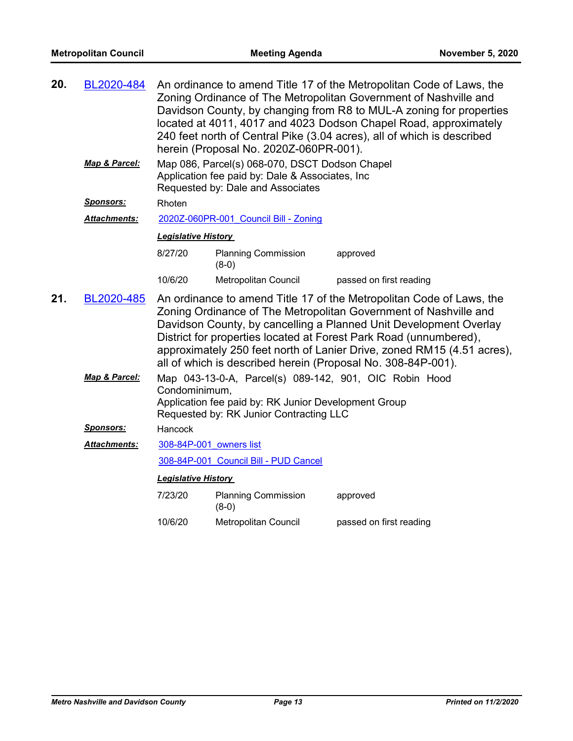| 20. | BL2020-484          | An ordinance to amend Title 17 of the Metropolitan Code of Laws, the<br>Zoning Ordinance of The Metropolitan Government of Nashville and<br>Davidson County, by changing from R8 to MUL-A zoning for properties<br>located at 4011, 4017 and 4023 Dodson Chapel Road, approximately<br>240 feet north of Central Pike (3.04 acres), all of which is described<br>herein (Proposal No. 2020Z-060PR-001). |                                                                                                                                        |                                                                                                                                                                                                                                                                                                                                                                                                                              |  |
|-----|---------------------|---------------------------------------------------------------------------------------------------------------------------------------------------------------------------------------------------------------------------------------------------------------------------------------------------------------------------------------------------------------------------------------------------------|----------------------------------------------------------------------------------------------------------------------------------------|------------------------------------------------------------------------------------------------------------------------------------------------------------------------------------------------------------------------------------------------------------------------------------------------------------------------------------------------------------------------------------------------------------------------------|--|
|     | Map & Parcel:       |                                                                                                                                                                                                                                                                                                                                                                                                         | Map 086, Parcel(s) 068-070, DSCT Dodson Chapel<br>Application fee paid by: Dale & Associates, Inc<br>Requested by: Dale and Associates |                                                                                                                                                                                                                                                                                                                                                                                                                              |  |
|     | Sponsors:           | Rhoten                                                                                                                                                                                                                                                                                                                                                                                                  |                                                                                                                                        |                                                                                                                                                                                                                                                                                                                                                                                                                              |  |
|     | Attachments:        |                                                                                                                                                                                                                                                                                                                                                                                                         | 2020Z-060PR-001 Council Bill - Zoning                                                                                                  |                                                                                                                                                                                                                                                                                                                                                                                                                              |  |
|     |                     | <b>Legislative History</b>                                                                                                                                                                                                                                                                                                                                                                              |                                                                                                                                        |                                                                                                                                                                                                                                                                                                                                                                                                                              |  |
|     |                     | 8/27/20                                                                                                                                                                                                                                                                                                                                                                                                 | <b>Planning Commission</b><br>$(8-0)$                                                                                                  | approved                                                                                                                                                                                                                                                                                                                                                                                                                     |  |
|     |                     | 10/6/20                                                                                                                                                                                                                                                                                                                                                                                                 | Metropolitan Council                                                                                                                   | passed on first reading                                                                                                                                                                                                                                                                                                                                                                                                      |  |
| 21. | BL2020-485          |                                                                                                                                                                                                                                                                                                                                                                                                         |                                                                                                                                        | An ordinance to amend Title 17 of the Metropolitan Code of Laws, the<br>Zoning Ordinance of The Metropolitan Government of Nashville and<br>Davidson County, by cancelling a Planned Unit Development Overlay<br>District for properties located at Forest Park Road (unnumbered),<br>approximately 250 feet north of Lanier Drive, zoned RM15 (4.51 acres),<br>all of which is described herein (Proposal No. 308-84P-001). |  |
|     | Map & Parcel:       | Map 043-13-0-A, Parcel(s) 089-142, 901, OIC Robin Hood<br>Condominimum,<br>Application fee paid by: RK Junior Development Group<br>Requested by: RK Junior Contracting LLC                                                                                                                                                                                                                              |                                                                                                                                        |                                                                                                                                                                                                                                                                                                                                                                                                                              |  |
|     | Sponsors:           | Hancock                                                                                                                                                                                                                                                                                                                                                                                                 |                                                                                                                                        |                                                                                                                                                                                                                                                                                                                                                                                                                              |  |
|     | <b>Attachments:</b> | 308-84P-001 owners list                                                                                                                                                                                                                                                                                                                                                                                 |                                                                                                                                        |                                                                                                                                                                                                                                                                                                                                                                                                                              |  |
|     |                     |                                                                                                                                                                                                                                                                                                                                                                                                         | 308-84P-001 Council Bill - PUD Cancel                                                                                                  |                                                                                                                                                                                                                                                                                                                                                                                                                              |  |
|     |                     | <b>Legislative History</b>                                                                                                                                                                                                                                                                                                                                                                              |                                                                                                                                        |                                                                                                                                                                                                                                                                                                                                                                                                                              |  |
|     |                     | 7/23/20                                                                                                                                                                                                                                                                                                                                                                                                 | <b>Planning Commission</b><br>$(8-0)$                                                                                                  | approved                                                                                                                                                                                                                                                                                                                                                                                                                     |  |
|     |                     | 10/6/20                                                                                                                                                                                                                                                                                                                                                                                                 | Metropolitan Council                                                                                                                   | passed on first reading                                                                                                                                                                                                                                                                                                                                                                                                      |  |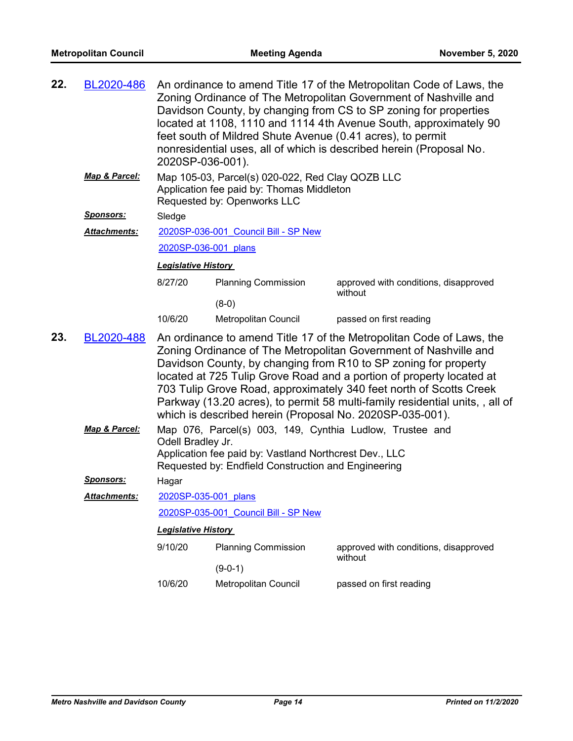| 22. | BL2020-486          | 2020SP-036-001).           | feet south of Mildred Shute Avenue (0.41 acres), to permit                                                                                                                | An ordinance to amend Title 17 of the Metropolitan Code of Laws, the<br>Zoning Ordinance of The Metropolitan Government of Nashville and<br>Davidson County, by changing from CS to SP zoning for properties<br>located at 1108, 1110 and 1114 4th Avenue South, approximately 90<br>nonresidential uses, all of which is described herein (Proposal No.                                                                                 |
|-----|---------------------|----------------------------|---------------------------------------------------------------------------------------------------------------------------------------------------------------------------|------------------------------------------------------------------------------------------------------------------------------------------------------------------------------------------------------------------------------------------------------------------------------------------------------------------------------------------------------------------------------------------------------------------------------------------|
|     | Map & Parcel:       |                            | Map 105-03, Parcel(s) 020-022, Red Clay QOZB LLC<br>Application fee paid by: Thomas Middleton<br>Requested by: Openworks LLC                                              |                                                                                                                                                                                                                                                                                                                                                                                                                                          |
|     | <b>Sponsors:</b>    | Sledge                     |                                                                                                                                                                           |                                                                                                                                                                                                                                                                                                                                                                                                                                          |
|     | <b>Attachments:</b> |                            | 2020SP-036-001 Council Bill - SP New                                                                                                                                      |                                                                                                                                                                                                                                                                                                                                                                                                                                          |
|     |                     | 2020SP-036-001 plans       |                                                                                                                                                                           |                                                                                                                                                                                                                                                                                                                                                                                                                                          |
|     |                     | <b>Legislative History</b> |                                                                                                                                                                           |                                                                                                                                                                                                                                                                                                                                                                                                                                          |
|     |                     | 8/27/20                    | <b>Planning Commission</b><br>$(8-0)$                                                                                                                                     | approved with conditions, disapproved<br>without                                                                                                                                                                                                                                                                                                                                                                                         |
|     |                     | 10/6/20                    | Metropolitan Council                                                                                                                                                      | passed on first reading                                                                                                                                                                                                                                                                                                                                                                                                                  |
| 23. | BL2020-488          |                            | which is described herein (Proposal No. 2020SP-035-001).                                                                                                                  | An ordinance to amend Title 17 of the Metropolitan Code of Laws, the<br>Zoning Ordinance of The Metropolitan Government of Nashville and<br>Davidson County, by changing from R10 to SP zoning for property<br>located at 725 Tulip Grove Road and a portion of property located at<br>703 Tulip Grove Road, approximately 340 feet north of Scotts Creek<br>Parkway (13.20 acres), to permit 58 multi-family residential units,, all of |
|     | Map & Parcel:       | Odell Bradley Jr.          | Map 076, Parcel(s) 003, 149, Cynthia Ludlow, Trustee and<br>Application fee paid by: Vastland Northcrest Dev., LLC<br>Requested by: Endfield Construction and Engineering |                                                                                                                                                                                                                                                                                                                                                                                                                                          |
|     | <b>Sponsors:</b>    | Hagar                      |                                                                                                                                                                           |                                                                                                                                                                                                                                                                                                                                                                                                                                          |
|     | Attachments:        | 2020SP-035-001 plans       |                                                                                                                                                                           |                                                                                                                                                                                                                                                                                                                                                                                                                                          |
|     |                     |                            | 2020SP-035-001 Council Bill - SP New                                                                                                                                      |                                                                                                                                                                                                                                                                                                                                                                                                                                          |
|     |                     | <b>Legislative History</b> |                                                                                                                                                                           |                                                                                                                                                                                                                                                                                                                                                                                                                                          |
|     |                     | 9/10/20                    | <b>Planning Commission</b>                                                                                                                                                | approved with conditions, disapproved<br>without                                                                                                                                                                                                                                                                                                                                                                                         |
|     |                     |                            | $(9-0-1)$                                                                                                                                                                 |                                                                                                                                                                                                                                                                                                                                                                                                                                          |
|     |                     | 10/6/20                    | Metropolitan Council                                                                                                                                                      | passed on first reading                                                                                                                                                                                                                                                                                                                                                                                                                  |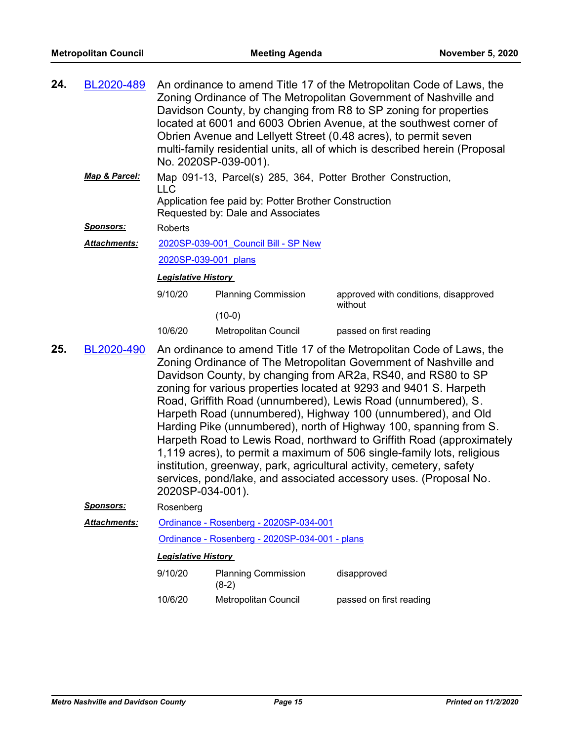| 24. | BL2020-489       |                            | No. 2020SP-039-001).                                                                                                                                      | An ordinance to amend Title 17 of the Metropolitan Code of Laws, the<br>Zoning Ordinance of The Metropolitan Government of Nashville and<br>Davidson County, by changing from R8 to SP zoning for properties<br>located at 6001 and 6003 Obrien Avenue, at the southwest corner of<br>Obrien Avenue and Lellyett Street (0.48 acres), to permit seven<br>multi-family residential units, all of which is described herein (Proposal                                                                                                                                                                                                                                                                                                                                                 |  |  |  |
|-----|------------------|----------------------------|-----------------------------------------------------------------------------------------------------------------------------------------------------------|-------------------------------------------------------------------------------------------------------------------------------------------------------------------------------------------------------------------------------------------------------------------------------------------------------------------------------------------------------------------------------------------------------------------------------------------------------------------------------------------------------------------------------------------------------------------------------------------------------------------------------------------------------------------------------------------------------------------------------------------------------------------------------------|--|--|--|
|     | Map & Parcel:    | <b>LLC</b>                 | Map 091-13, Parcel(s) 285, 364, Potter Brother Construction,<br>Application fee paid by: Potter Brother Construction<br>Requested by: Dale and Associates |                                                                                                                                                                                                                                                                                                                                                                                                                                                                                                                                                                                                                                                                                                                                                                                     |  |  |  |
|     | <b>Sponsors:</b> | Roberts                    |                                                                                                                                                           |                                                                                                                                                                                                                                                                                                                                                                                                                                                                                                                                                                                                                                                                                                                                                                                     |  |  |  |
|     | Attachments:     |                            | 2020SP-039-001 Council Bill - SP New                                                                                                                      |                                                                                                                                                                                                                                                                                                                                                                                                                                                                                                                                                                                                                                                                                                                                                                                     |  |  |  |
|     |                  | 2020SP-039-001 plans       |                                                                                                                                                           |                                                                                                                                                                                                                                                                                                                                                                                                                                                                                                                                                                                                                                                                                                                                                                                     |  |  |  |
|     |                  | <b>Legislative History</b> |                                                                                                                                                           |                                                                                                                                                                                                                                                                                                                                                                                                                                                                                                                                                                                                                                                                                                                                                                                     |  |  |  |
|     |                  | 9/10/20                    | <b>Planning Commission</b>                                                                                                                                | approved with conditions, disapproved                                                                                                                                                                                                                                                                                                                                                                                                                                                                                                                                                                                                                                                                                                                                               |  |  |  |
|     |                  |                            | $(10-0)$                                                                                                                                                  | without                                                                                                                                                                                                                                                                                                                                                                                                                                                                                                                                                                                                                                                                                                                                                                             |  |  |  |
|     |                  | 10/6/20                    | Metropolitan Council                                                                                                                                      | passed on first reading                                                                                                                                                                                                                                                                                                                                                                                                                                                                                                                                                                                                                                                                                                                                                             |  |  |  |
| 25. | BL2020-490       | 2020SP-034-001).           |                                                                                                                                                           | An ordinance to amend Title 17 of the Metropolitan Code of Laws, the<br>Zoning Ordinance of The Metropolitan Government of Nashville and<br>Davidson County, by changing from AR2a, RS40, and RS80 to SP<br>zoning for various properties located at 9293 and 9401 S. Harpeth<br>Road, Griffith Road (unnumbered), Lewis Road (unnumbered), S.<br>Harpeth Road (unnumbered), Highway 100 (unnumbered), and Old<br>Harding Pike (unnumbered), north of Highway 100, spanning from S.<br>Harpeth Road to Lewis Road, northward to Griffith Road (approximately<br>1,119 acres), to permit a maximum of 506 single-family lots, religious<br>institution, greenway, park, agricultural activity, cemetery, safety<br>services, pond/lake, and associated accessory uses. (Proposal No. |  |  |  |
|     | <u>Sponsors:</u> | Rosenberg                  |                                                                                                                                                           |                                                                                                                                                                                                                                                                                                                                                                                                                                                                                                                                                                                                                                                                                                                                                                                     |  |  |  |
|     | Attachments:     |                            | Ordinance - Rosenberg - 2020SP-034-001                                                                                                                    |                                                                                                                                                                                                                                                                                                                                                                                                                                                                                                                                                                                                                                                                                                                                                                                     |  |  |  |
|     |                  |                            | Ordinance - Rosenberg - 2020SP-034-001 - plans                                                                                                            |                                                                                                                                                                                                                                                                                                                                                                                                                                                                                                                                                                                                                                                                                                                                                                                     |  |  |  |
|     |                  | <b>Legislative History</b> |                                                                                                                                                           |                                                                                                                                                                                                                                                                                                                                                                                                                                                                                                                                                                                                                                                                                                                                                                                     |  |  |  |
|     |                  | 9/10/20                    | <b>Planning Commission</b><br>$(8-2)$                                                                                                                     | disapproved                                                                                                                                                                                                                                                                                                                                                                                                                                                                                                                                                                                                                                                                                                                                                                         |  |  |  |
|     |                  | 10/6/20                    | Metropolitan Council                                                                                                                                      | passed on first reading                                                                                                                                                                                                                                                                                                                                                                                                                                                                                                                                                                                                                                                                                                                                                             |  |  |  |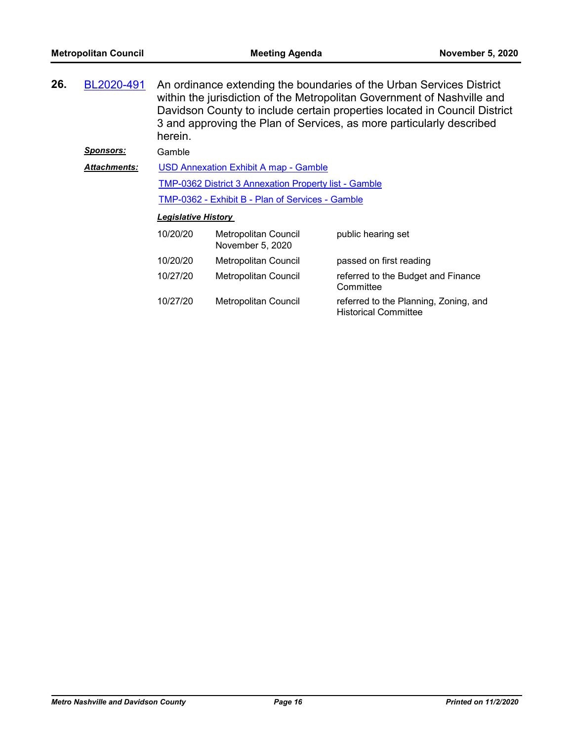| 26. | BL2020-491          | herein.                    |                                                              | An ordinance extending the boundaries of the Urban Services District<br>within the jurisdiction of the Metropolitan Government of Nashville and<br>Davidson County to include certain properties located in Council District<br>3 and approving the Plan of Services, as more particularly described |
|-----|---------------------|----------------------------|--------------------------------------------------------------|------------------------------------------------------------------------------------------------------------------------------------------------------------------------------------------------------------------------------------------------------------------------------------------------------|
|     | <u>Sponsors:</u>    | Gamble                     |                                                              |                                                                                                                                                                                                                                                                                                      |
|     | <b>Attachments:</b> |                            | <b>USD Annexation Exhibit A map - Gamble</b>                 |                                                                                                                                                                                                                                                                                                      |
|     |                     |                            | <b>TMP-0362 District 3 Annexation Property list - Gamble</b> |                                                                                                                                                                                                                                                                                                      |
|     |                     |                            | TMP-0362 - Exhibit B - Plan of Services - Gamble             |                                                                                                                                                                                                                                                                                                      |
|     |                     | <b>Legislative History</b> |                                                              |                                                                                                                                                                                                                                                                                                      |
|     |                     | 10/20/20                   | Metropolitan Council<br>November 5, 2020                     | public hearing set                                                                                                                                                                                                                                                                                   |
|     |                     | 10/20/20                   | Metropolitan Council                                         | passed on first reading                                                                                                                                                                                                                                                                              |
|     |                     | 10/27/20                   | Metropolitan Council                                         | referred to the Budget and Finance<br>Committee                                                                                                                                                                                                                                                      |
|     |                     | 10/27/20                   | Metropolitan Council                                         | referred to the Planning, Zoning, and                                                                                                                                                                                                                                                                |

Historical Committee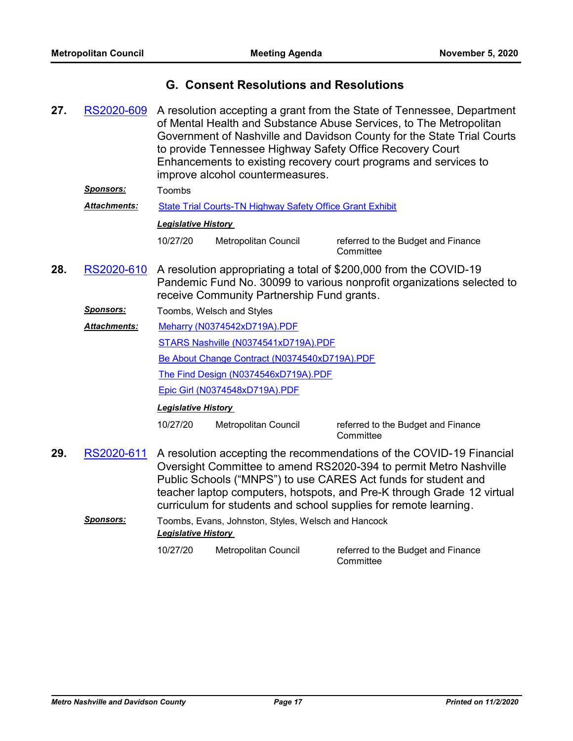### **G. Consent Resolutions and Resolutions**

- A resolution accepting a grant from the State of Tennessee, Department of Mental Health and Substance Abuse Services, to The Metropolitan Government of Nashville and Davidson County for the State Trial Courts to provide Tennessee Highway Safety Office Recovery Court Enhancements to existing recovery court programs and services to improve alcohol countermeasures. **27.** [RS2020-609](http://nashville.legistar.com/gateway.aspx?m=l&id=/matter.aspx?key=1522) *Sponsors:* Toombs *Attachments:* [State Trial Courts-TN Highway Safety Office Grant Exhibit](http://nashville.legistar.com/gateway.aspx?M=F&ID=cc31c761-5675-413e-b443-3a634d85e96d.PDF) *Legislative History*  10/27/20 Metropolitan Council referred to the Budget and Finance **Committee** A resolution appropriating a total of \$200,000 from the COVID-19 Pandemic Fund No. 30099 to various nonprofit organizations selected to receive Community Partnership Fund grants. **28.** [RS2020-610](http://nashville.legistar.com/gateway.aspx?m=l&id=/matter.aspx?key=1536) *Sponsors:* Toombs, Welsch and Styles [Meharry \(N0374542xD719A\).PDF](http://nashville.legistar.com/gateway.aspx?M=F&ID=ea958085-dba2-442d-8292-867d46c632eb.PDF) [STARS Nashville \(N0374541xD719A\).PDF](http://nashville.legistar.com/gateway.aspx?M=F&ID=f4c16d80-a195-4267-b7bb-80c06d2ecd44.PDF) [Be About Change Contract \(N0374540xD719A\).PDF](http://nashville.legistar.com/gateway.aspx?M=F&ID=be6505cb-98cf-4f7b-82ce-27b8553eb22f.PDF) [The Find Design \(N0374546xD719A\).PDF](http://nashville.legistar.com/gateway.aspx?M=F&ID=c6131e01-3787-4dde-bec0-bf06c6676706.PDF) [Epic Girl \(N0374548xD719A\).PDF](http://nashville.legistar.com/gateway.aspx?M=F&ID=c03ddcc3-6c34-45e8-bbb8-f3a6ee77abb2.PDF) *Attachments: Legislative History*  10/27/20 Metropolitan Council referred to the Budget and Finance **Committee** A resolution accepting the recommendations of the COVID-19 Financial Oversight Committee to amend RS2020-394 to permit Metro Nashville Public Schools ("MNPS") to use CARES Act funds for student and teacher laptop computers, hotspots, and Pre-K through Grade 12 virtual **29.** [RS2020-611](http://nashville.legistar.com/gateway.aspx?m=l&id=/matter.aspx?key=1550)
	- curriculum for students and school supplies for remote learning. *Sponsors:* Toombs, Evans, Johnston, Styles, Welsch and Hancock

*Legislative History* 

10/27/20 Metropolitan Council referred to the Budget and Finance **Committee**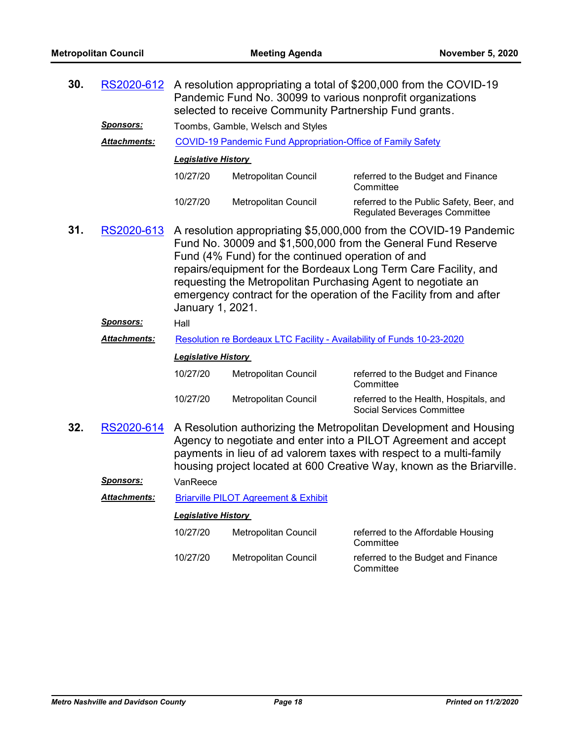| 30. | RS2020-612          |                            | selected to receive Community Partnership Fund grants.                 | A resolution appropriating a total of \$200,000 from the COVID-19<br>Pandemic Fund No. 30099 to various nonprofit organizations                                                                                                                                                                                                             |
|-----|---------------------|----------------------------|------------------------------------------------------------------------|---------------------------------------------------------------------------------------------------------------------------------------------------------------------------------------------------------------------------------------------------------------------------------------------------------------------------------------------|
|     | <b>Sponsors:</b>    |                            | Toombs, Gamble, Welsch and Styles                                      |                                                                                                                                                                                                                                                                                                                                             |
|     | Attachments:        |                            | <b>COVID-19 Pandemic Fund Appropriation-Office of Family Safety</b>    |                                                                                                                                                                                                                                                                                                                                             |
|     |                     | <b>Legislative History</b> |                                                                        |                                                                                                                                                                                                                                                                                                                                             |
|     |                     | 10/27/20                   | Metropolitan Council                                                   | referred to the Budget and Finance<br>Committee                                                                                                                                                                                                                                                                                             |
|     |                     | 10/27/20                   | Metropolitan Council                                                   | referred to the Public Safety, Beer, and<br><b>Regulated Beverages Committee</b>                                                                                                                                                                                                                                                            |
| 31. | RS2020-613          | January 1, 2021.           | Fund (4% Fund) for the continued operation of and                      | A resolution appropriating \$5,000,000 from the COVID-19 Pandemic<br>Fund No. 30009 and \$1,500,000 from the General Fund Reserve<br>repairs/equipment for the Bordeaux Long Term Care Facility, and<br>requesting the Metropolitan Purchasing Agent to negotiate an<br>emergency contract for the operation of the Facility from and after |
|     | <u>Sponsors:</u>    | Hall                       |                                                                        |                                                                                                                                                                                                                                                                                                                                             |
|     | Attachments:        |                            | Resolution re Bordeaux LTC Facility - Availability of Funds 10-23-2020 |                                                                                                                                                                                                                                                                                                                                             |
|     |                     | <b>Legislative History</b> |                                                                        |                                                                                                                                                                                                                                                                                                                                             |
|     |                     | 10/27/20                   | Metropolitan Council                                                   | referred to the Budget and Finance<br>Committee                                                                                                                                                                                                                                                                                             |
|     |                     | 10/27/20                   | Metropolitan Council                                                   | referred to the Health, Hospitals, and<br><b>Social Services Committee</b>                                                                                                                                                                                                                                                                  |
| 32. | RS2020-614          |                            |                                                                        | A Resolution authorizing the Metropolitan Development and Housing<br>Agency to negotiate and enter into a PILOT Agreement and accept<br>payments in lieu of ad valorem taxes with respect to a multi-family<br>housing project located at 600 Creative Way, known as the Briarville.                                                        |
|     | <u> Sponsors:</u>   | VanReece                   |                                                                        |                                                                                                                                                                                                                                                                                                                                             |
|     | <b>Attachments:</b> |                            | <b>Briarville PILOT Agreement &amp; Exhibit</b>                        |                                                                                                                                                                                                                                                                                                                                             |
|     |                     | <b>Legislative History</b> |                                                                        |                                                                                                                                                                                                                                                                                                                                             |
|     |                     | 10/27/20                   | Metropolitan Council                                                   | referred to the Affordable Housing<br>Committee                                                                                                                                                                                                                                                                                             |

10/27/20 Metropolitan Council referred to the Budget and Finance

Committee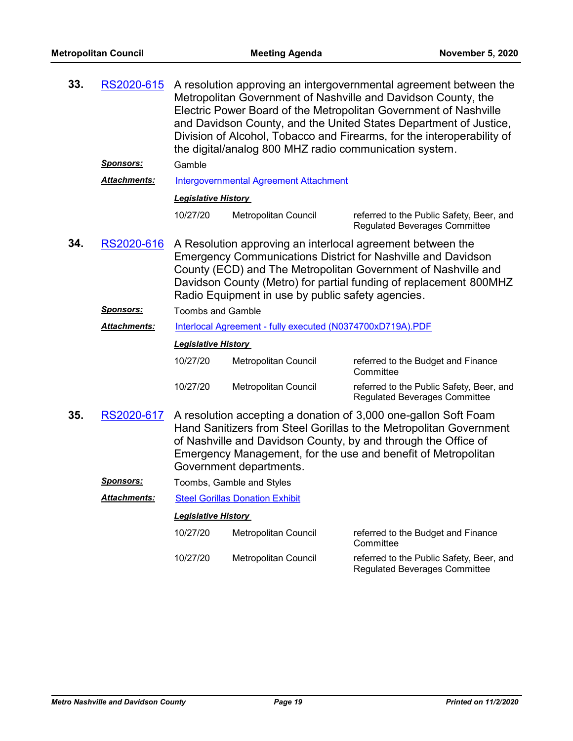| 33. | RS2020-615          |                            | the digital/analog 800 MHZ radio communication system.     | A resolution approving an intergovernmental agreement between the<br>Metropolitan Government of Nashville and Davidson County, the<br>Electric Power Board of the Metropolitan Government of Nashville<br>and Davidson County, and the United States Department of Justice,<br>Division of Alcohol, Tobacco and Firearms, for the interoperability of |
|-----|---------------------|----------------------------|------------------------------------------------------------|-------------------------------------------------------------------------------------------------------------------------------------------------------------------------------------------------------------------------------------------------------------------------------------------------------------------------------------------------------|
|     | <u>Sponsors:</u>    | Gamble                     |                                                            |                                                                                                                                                                                                                                                                                                                                                       |
|     | Attachments:        |                            | <b>Intergovernmental Agreement Attachment</b>              |                                                                                                                                                                                                                                                                                                                                                       |
|     |                     | <b>Legislative History</b> |                                                            |                                                                                                                                                                                                                                                                                                                                                       |
|     |                     | 10/27/20                   | <b>Metropolitan Council</b>                                | referred to the Public Safety, Beer, and<br><b>Regulated Beverages Committee</b>                                                                                                                                                                                                                                                                      |
| 34. | RS2020-616          |                            | Radio Equipment in use by public safety agencies.          | A Resolution approving an interlocal agreement between the<br><b>Emergency Communications District for Nashville and Davidson</b><br>County (ECD) and The Metropolitan Government of Nashville and<br>Davidson County (Metro) for partial funding of replacement 800MHZ                                                                               |
|     | Sponsors:           | <b>Toombs and Gamble</b>   |                                                            |                                                                                                                                                                                                                                                                                                                                                       |
|     | <b>Attachments:</b> |                            | Interlocal Agreement - fully executed (N0374700xD719A).PDF |                                                                                                                                                                                                                                                                                                                                                       |
|     |                     | <b>Legislative History</b> |                                                            |                                                                                                                                                                                                                                                                                                                                                       |
|     |                     | 10/27/20                   | Metropolitan Council                                       | referred to the Budget and Finance<br>Committee                                                                                                                                                                                                                                                                                                       |
|     |                     | 10/27/20                   | Metropolitan Council                                       | referred to the Public Safety, Beer, and<br><b>Regulated Beverages Committee</b>                                                                                                                                                                                                                                                                      |
| 35. | RS2020-617          |                            | Government departments.                                    | A resolution accepting a donation of 3,000 one-gallon Soft Foam<br>Hand Sanitizers from Steel Gorillas to the Metropolitan Government<br>of Nashville and Davidson County, by and through the Office of<br>Emergency Management, for the use and benefit of Metropolitan                                                                              |
|     | <b>Sponsors:</b>    |                            | Toombs, Gamble and Styles                                  |                                                                                                                                                                                                                                                                                                                                                       |
|     | Attachments:        |                            | <b>Steel Gorillas Donation Exhibit</b>                     |                                                                                                                                                                                                                                                                                                                                                       |
|     |                     | <b>Legislative History</b> |                                                            |                                                                                                                                                                                                                                                                                                                                                       |
|     |                     | 10/27/20                   | <b>Metropolitan Council</b>                                | referred to the Budget and Finance<br>Committee                                                                                                                                                                                                                                                                                                       |
|     |                     | 10/27/20                   | <b>Metropolitan Council</b>                                | referred to the Public Safety, Beer, and<br><b>Regulated Beverages Committee</b>                                                                                                                                                                                                                                                                      |
|     |                     |                            |                                                            |                                                                                                                                                                                                                                                                                                                                                       |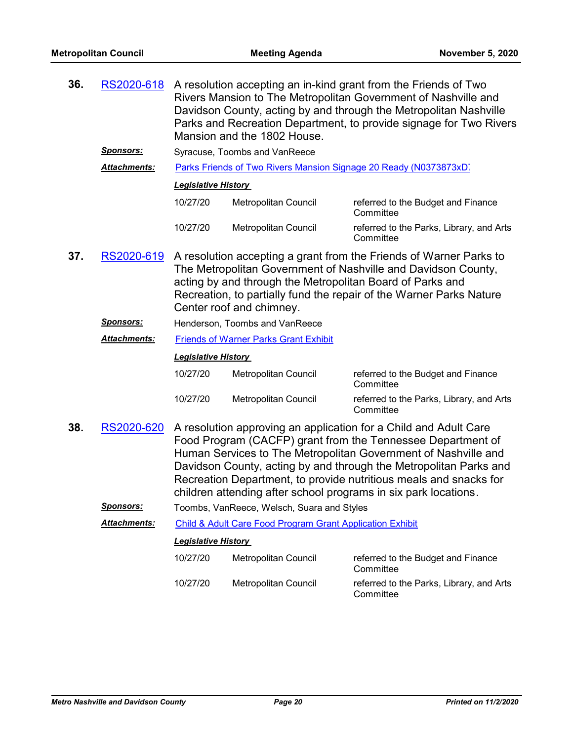| 36. | RS2020-618          |                            | Mansion and the 1802 House.                                                           | A resolution accepting an in-kind grant from the Friends of Two<br>Rivers Mansion to The Metropolitan Government of Nashville and<br>Davidson County, acting by and through the Metropolitan Nashville<br>Parks and Recreation Department, to provide signage for Two Rivers                                                                                                                                   |
|-----|---------------------|----------------------------|---------------------------------------------------------------------------------------|----------------------------------------------------------------------------------------------------------------------------------------------------------------------------------------------------------------------------------------------------------------------------------------------------------------------------------------------------------------------------------------------------------------|
|     | <u>Sponsors:</u>    |                            | Syracuse, Toombs and VanReece                                                         |                                                                                                                                                                                                                                                                                                                                                                                                                |
|     | <b>Attachments:</b> |                            |                                                                                       | Parks Friends of Two Rivers Mansion Signage 20 Ready (N0373873xD)                                                                                                                                                                                                                                                                                                                                              |
|     |                     | <b>Legislative History</b> |                                                                                       |                                                                                                                                                                                                                                                                                                                                                                                                                |
|     |                     | 10/27/20                   | Metropolitan Council                                                                  | referred to the Budget and Finance<br>Committee                                                                                                                                                                                                                                                                                                                                                                |
|     |                     | 10/27/20                   | Metropolitan Council                                                                  | referred to the Parks, Library, and Arts<br>Committee                                                                                                                                                                                                                                                                                                                                                          |
| 37. | RS2020-619          |                            | acting by and through the Metropolitan Board of Parks and<br>Center roof and chimney. | A resolution accepting a grant from the Friends of Warner Parks to<br>The Metropolitan Government of Nashville and Davidson County,<br>Recreation, to partially fund the repair of the Warner Parks Nature                                                                                                                                                                                                     |
|     | <u>Sponsors:</u>    |                            | Henderson, Toombs and VanReece                                                        |                                                                                                                                                                                                                                                                                                                                                                                                                |
|     | <b>Attachments:</b> |                            | <b>Friends of Warner Parks Grant Exhibit</b>                                          |                                                                                                                                                                                                                                                                                                                                                                                                                |
|     |                     | <b>Legislative History</b> |                                                                                       |                                                                                                                                                                                                                                                                                                                                                                                                                |
|     |                     | 10/27/20                   | Metropolitan Council                                                                  | referred to the Budget and Finance<br>Committee                                                                                                                                                                                                                                                                                                                                                                |
|     |                     | 10/27/20                   | Metropolitan Council                                                                  | referred to the Parks, Library, and Arts<br>Committee                                                                                                                                                                                                                                                                                                                                                          |
| 38. | RS2020-620          |                            |                                                                                       | A resolution approving an application for a Child and Adult Care<br>Food Program (CACFP) grant from the Tennessee Department of<br>Human Services to The Metropolitan Government of Nashville and<br>Davidson County, acting by and through the Metropolitan Parks and<br>Recreation Department, to provide nutritious meals and snacks for<br>children attending after school programs in six park locations. |
|     | <b>Sponsors:</b>    |                            | Toombs, VanReece, Welsch, Suara and Styles                                            |                                                                                                                                                                                                                                                                                                                                                                                                                |
|     | Attachments:        |                            | Child & Adult Care Food Program Grant Application Exhibit                             |                                                                                                                                                                                                                                                                                                                                                                                                                |
|     |                     | <b>Legislative History</b> |                                                                                       |                                                                                                                                                                                                                                                                                                                                                                                                                |
|     |                     | 10/27/20                   | Metropolitan Council                                                                  | referred to the Budget and Finance<br>Committee                                                                                                                                                                                                                                                                                                                                                                |
|     |                     | 10/27/20                   | <b>Metropolitan Council</b>                                                           | referred to the Parks, Library, and Arts<br>Committee                                                                                                                                                                                                                                                                                                                                                          |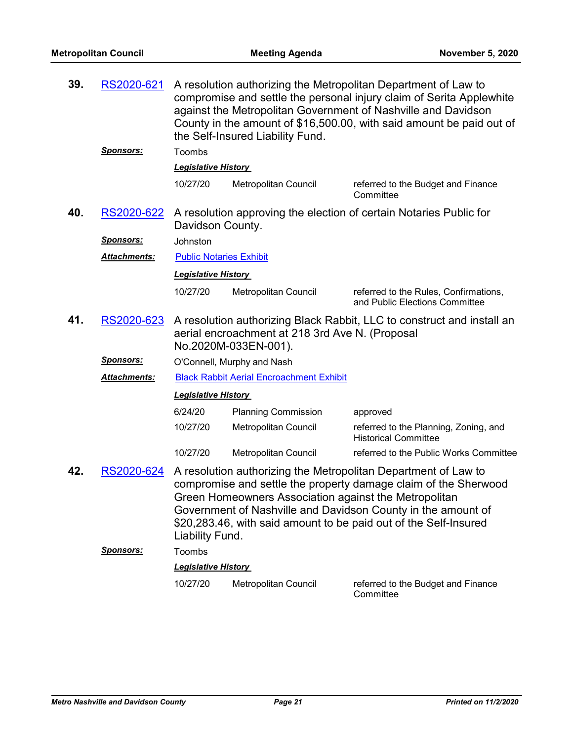| 39. | RS2020-621          |                                | the Self-Insured Liability Fund.                                        | A resolution authorizing the Metropolitan Department of Law to<br>compromise and settle the personal injury claim of Serita Applewhite<br>against the Metropolitan Government of Nashville and Davidson<br>County in the amount of \$16,500.00, with said amount be paid out of |
|-----|---------------------|--------------------------------|-------------------------------------------------------------------------|---------------------------------------------------------------------------------------------------------------------------------------------------------------------------------------------------------------------------------------------------------------------------------|
|     | <u>Sponsors:</u>    | Toombs                         |                                                                         |                                                                                                                                                                                                                                                                                 |
|     |                     | <b>Legislative History</b>     |                                                                         |                                                                                                                                                                                                                                                                                 |
|     |                     | 10/27/20                       | Metropolitan Council                                                    | referred to the Budget and Finance<br>Committee                                                                                                                                                                                                                                 |
| 40. | RS2020-622          | Davidson County.               |                                                                         | A resolution approving the election of certain Notaries Public for                                                                                                                                                                                                              |
|     | <u>Sponsors:</u>    | Johnston                       |                                                                         |                                                                                                                                                                                                                                                                                 |
|     | Attachments:        | <b>Public Notaries Exhibit</b> |                                                                         |                                                                                                                                                                                                                                                                                 |
|     |                     | <b>Legislative History</b>     |                                                                         |                                                                                                                                                                                                                                                                                 |
|     |                     | 10/27/20                       | Metropolitan Council                                                    | referred to the Rules, Confirmations,<br>and Public Elections Committee                                                                                                                                                                                                         |
| 41. | RS2020-623          |                                | aerial encroachment at 218 3rd Ave N. (Proposal<br>No.2020M-033EN-001). | A resolution authorizing Black Rabbit, LLC to construct and install an                                                                                                                                                                                                          |
|     | <u>Sponsors:</u>    |                                | O'Connell, Murphy and Nash                                              |                                                                                                                                                                                                                                                                                 |
|     | <b>Attachments:</b> |                                | <b>Black Rabbit Aerial Encroachment Exhibit</b>                         |                                                                                                                                                                                                                                                                                 |
|     |                     | <b>Legislative History</b>     |                                                                         |                                                                                                                                                                                                                                                                                 |
|     |                     | 6/24/20                        | <b>Planning Commission</b>                                              | approved                                                                                                                                                                                                                                                                        |
|     |                     | 10/27/20                       | Metropolitan Council                                                    | referred to the Planning, Zoning, and<br><b>Historical Committee</b>                                                                                                                                                                                                            |
|     |                     | 10/27/20                       | Metropolitan Council                                                    | referred to the Public Works Committee                                                                                                                                                                                                                                          |
| 42. | RS2020-624          | Liability Fund.                | Green Homeowners Association against the Metropolitan                   | A resolution authorizing the Metropolitan Department of Law to<br>compromise and settle the property damage claim of the Sherwood<br>Government of Nashville and Davidson County in the amount of<br>\$20,283.46, with said amount to be paid out of the Self-Insured           |
|     | Sponsors:           | Toombs                         |                                                                         |                                                                                                                                                                                                                                                                                 |
|     |                     | <b>Legislative History</b>     |                                                                         |                                                                                                                                                                                                                                                                                 |
|     |                     | 10/27/20                       | <b>Metropolitan Council</b>                                             | referred to the Budget and Finance<br>Committee                                                                                                                                                                                                                                 |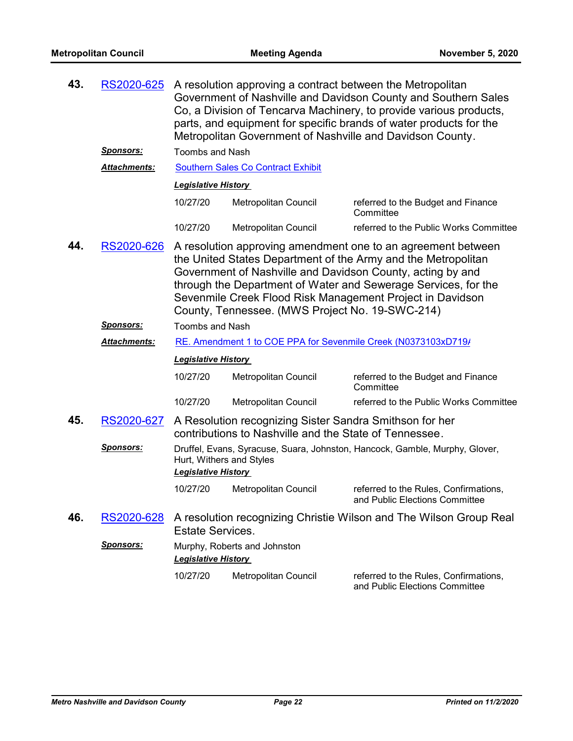| 43. | RS2020-625          |                                                        | A resolution approving a contract between the Metropolitan                                                        | Government of Nashville and Davidson County and Southern Sales<br>Co, a Division of Tencarva Machinery, to provide various products,<br>parts, and equipment for specific brands of water products for the<br>Metropolitan Government of Nashville and Davidson County.                                                    |
|-----|---------------------|--------------------------------------------------------|-------------------------------------------------------------------------------------------------------------------|----------------------------------------------------------------------------------------------------------------------------------------------------------------------------------------------------------------------------------------------------------------------------------------------------------------------------|
|     | <u>Sponsors:</u>    | <b>Toombs and Nash</b>                                 |                                                                                                                   |                                                                                                                                                                                                                                                                                                                            |
|     | Attachments:        |                                                        | <b>Southern Sales Co Contract Exhibit</b>                                                                         |                                                                                                                                                                                                                                                                                                                            |
|     |                     | <b>Legislative History</b>                             |                                                                                                                   |                                                                                                                                                                                                                                                                                                                            |
|     |                     | 10/27/20                                               | Metropolitan Council                                                                                              | referred to the Budget and Finance<br>Committee                                                                                                                                                                                                                                                                            |
|     |                     | 10/27/20                                               | Metropolitan Council                                                                                              | referred to the Public Works Committee                                                                                                                                                                                                                                                                                     |
| 44. | RS2020-626          |                                                        | County, Tennessee. (MWS Project No. 19-SWC-214)                                                                   | A resolution approving amendment one to an agreement between<br>the United States Department of the Army and the Metropolitan<br>Government of Nashville and Davidson County, acting by and<br>through the Department of Water and Sewerage Services, for the<br>Sevenmile Creek Flood Risk Management Project in Davidson |
|     | <u>Sponsors:</u>    | <b>Toombs and Nash</b>                                 |                                                                                                                   |                                                                                                                                                                                                                                                                                                                            |
|     | <b>Attachments:</b> |                                                        |                                                                                                                   | RE. Amendment 1 to COE PPA for Sevenmile Creek (N0373103xD719/                                                                                                                                                                                                                                                             |
|     |                     | <b>Legislative History</b>                             |                                                                                                                   |                                                                                                                                                                                                                                                                                                                            |
|     |                     | 10/27/20                                               | Metropolitan Council                                                                                              | referred to the Budget and Finance<br>Committee                                                                                                                                                                                                                                                                            |
|     |                     | 10/27/20                                               | Metropolitan Council                                                                                              | referred to the Public Works Committee                                                                                                                                                                                                                                                                                     |
| 45. | RS2020-627          |                                                        | A Resolution recognizing Sister Sandra Smithson for her<br>contributions to Nashville and the State of Tennessee. |                                                                                                                                                                                                                                                                                                                            |
|     | Sponsors:           | Hurt, Withers and Styles<br><b>Legislative History</b> |                                                                                                                   | Druffel, Evans, Syracuse, Suara, Johnston, Hancock, Gamble, Murphy, Glover,                                                                                                                                                                                                                                                |
|     |                     | 10/27/20                                               | Metropolitan Council                                                                                              | referred to the Rules, Confirmations,<br>and Public Elections Committee                                                                                                                                                                                                                                                    |
| 46. | RS2020-628          | <b>Estate Services.</b>                                |                                                                                                                   | A resolution recognizing Christie Wilson and The Wilson Group Real                                                                                                                                                                                                                                                         |
|     | <b>Sponsors:</b>    | <b>Legislative History</b>                             | Murphy, Roberts and Johnston                                                                                      |                                                                                                                                                                                                                                                                                                                            |
|     |                     | 10/27/20                                               | Metropolitan Council                                                                                              | referred to the Rules, Confirmations,<br>and Public Elections Committee                                                                                                                                                                                                                                                    |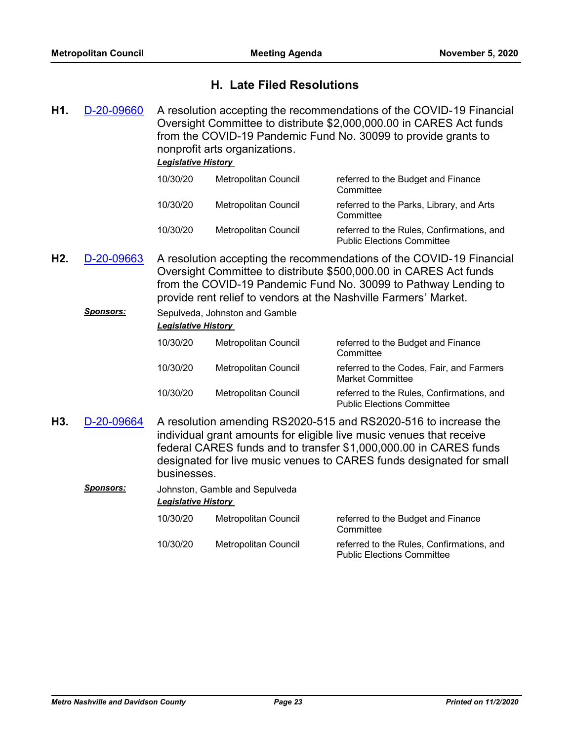### **H. Late Filed Resolutions**

A resolution accepting the recommendations of the COVID-19 Financial Oversight Committee to distribute \$2,000,000.00 in CARES Act funds from the COVID-19 Pandemic Fund No. 30099 to provide grants to nonprofit arts organizations. **H1.** [D-20-09660](http://nashville.legistar.com/gateway.aspx?m=l&id=/matter.aspx?key=1596)

### *Legislative History*

| 10/30/20 | Metropolitan Council | referred to the Budget and Finance<br>Committee                                |
|----------|----------------------|--------------------------------------------------------------------------------|
| 10/30/20 | Metropolitan Council | referred to the Parks, Library, and Arts<br>Committee                          |
| 10/30/20 | Metropolitan Council | referred to the Rules, Confirmations, and<br><b>Public Elections Committee</b> |

- A resolution accepting the recommendations of the COVID-19 Financial Oversight Committee to distribute \$500,000.00 in CARES Act funds from the COVID-19 Pandemic Fund No. 30099 to Pathway Lending to provide rent relief to vendors at the Nashville Farmers' Market. **H2.** [D-20-09663](http://nashville.legistar.com/gateway.aspx?m=l&id=/matter.aspx?key=1602)
	- **Sponsors:** Sepulveda, Johnston and Gamble *Legislative History*  10/30/20 Metropolitan Council referred to the Budget and Finance **Committee** 10/30/20 Metropolitan Council referred to the Codes, Fair, and Farmers Market Committee 10/30/20 Metropolitan Council referred to the Rules, Confirmations, and Public Elections Committee
- A resolution amending RS2020-515 and RS2020-516 to increase the individual grant amounts for eligible live music venues that receive federal CARES funds and to transfer \$1,000,000.00 in CARES funds designated for live music venues to CARES funds designated for small businesses. **H3.** [D-20-09664](http://nashville.legistar.com/gateway.aspx?m=l&id=/matter.aspx?key=1603)
	- *Sponsors:* Johnston, Gamble and Sepulveda *Legislative History* 
		- 10/30/20 Metropolitan Council referred to the Budget and Finance **Committee** 10/30/20 Metropolitan Council referred to the Rules, Confirmations, and Public Elections Committee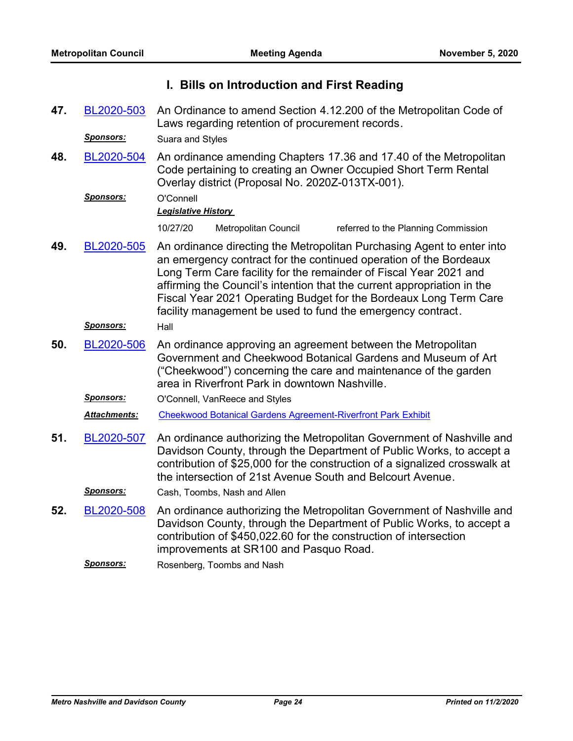|     |                     | I. Bills on Introduction and First Reading                                                                                                                                                                                                                                                                                                                                                                                      |
|-----|---------------------|---------------------------------------------------------------------------------------------------------------------------------------------------------------------------------------------------------------------------------------------------------------------------------------------------------------------------------------------------------------------------------------------------------------------------------|
| 47. | BL2020-503          | An Ordinance to amend Section 4.12.200 of the Metropolitan Code of<br>Laws regarding retention of procurement records.                                                                                                                                                                                                                                                                                                          |
|     | Sponsors:           | Suara and Styles                                                                                                                                                                                                                                                                                                                                                                                                                |
| 48. | BL2020-504          | An ordinance amending Chapters 17.36 and 17.40 of the Metropolitan<br>Code pertaining to creating an Owner Occupied Short Term Rental<br>Overlay district (Proposal No. 2020Z-013TX-001).                                                                                                                                                                                                                                       |
|     | Sponsors:           | O'Connell                                                                                                                                                                                                                                                                                                                                                                                                                       |
|     |                     | <b>Legislative History</b>                                                                                                                                                                                                                                                                                                                                                                                                      |
|     |                     | 10/27/20<br>Metropolitan Council<br>referred to the Planning Commission                                                                                                                                                                                                                                                                                                                                                         |
| 49. | BL2020-505          | An ordinance directing the Metropolitan Purchasing Agent to enter into<br>an emergency contract for the continued operation of the Bordeaux<br>Long Term Care facility for the remainder of Fiscal Year 2021 and<br>affirming the Council's intention that the current appropriation in the<br>Fiscal Year 2021 Operating Budget for the Bordeaux Long Term Care<br>facility management be used to fund the emergency contract. |
|     | <b>Sponsors:</b>    | Hall                                                                                                                                                                                                                                                                                                                                                                                                                            |
| 50. | BL2020-506          | An ordinance approving an agreement between the Metropolitan<br>Government and Cheekwood Botanical Gardens and Museum of Art<br>("Cheekwood") concerning the care and maintenance of the garden<br>area in Riverfront Park in downtown Nashville.                                                                                                                                                                               |
|     | <u>Sponsors:</u>    | O'Connell, VanReece and Styles                                                                                                                                                                                                                                                                                                                                                                                                  |
|     | <b>Attachments:</b> | <b>Cheekwood Botanical Gardens Agreement-Riverfront Park Exhibit</b>                                                                                                                                                                                                                                                                                                                                                            |
| 51. | BL2020-507          | An ordinance authorizing the Metropolitan Government of Nashville and<br>Davidson County, through the Department of Public Works, to accept a<br>contribution of \$25,000 for the construction of a signalized crosswalk at<br>the intersection of 21st Avenue South and Belcourt Avenue.                                                                                                                                       |
|     | Sponsors:           | Cash, Toombs, Nash and Allen                                                                                                                                                                                                                                                                                                                                                                                                    |
| 52. | BL2020-508          | An ordinance authorizing the Metropolitan Government of Nashville and<br>Davidson County, through the Department of Public Works, to accept a<br>contribution of \$450,022.60 for the construction of intersection<br>improvements at SR100 and Pasquo Road.                                                                                                                                                                    |
|     |                     |                                                                                                                                                                                                                                                                                                                                                                                                                                 |

*Sponsors:* Rosenberg, Toombs and Nash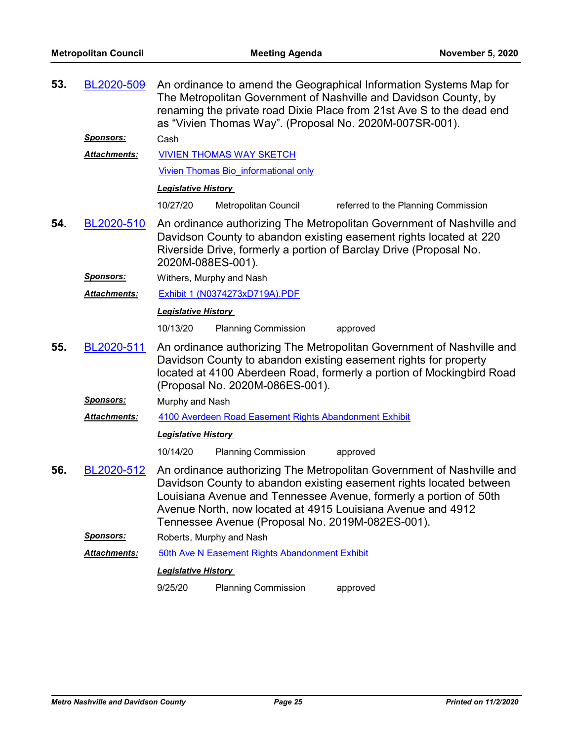| 53. | BL2020-509       | An ordinance to amend the Geographical Information Systems Map for<br>The Metropolitan Government of Nashville and Davidson County, by<br>renaming the private road Dixie Place from 21st Ave S to the dead end<br>as "Vivien Thomas Way". (Proposal No. 2020M-007SR-001).                                                           |
|-----|------------------|--------------------------------------------------------------------------------------------------------------------------------------------------------------------------------------------------------------------------------------------------------------------------------------------------------------------------------------|
|     | <u>Sponsors:</u> | Cash                                                                                                                                                                                                                                                                                                                                 |
|     | Attachments:     | <b>VIVIEN THOMAS WAY SKETCH</b>                                                                                                                                                                                                                                                                                                      |
|     |                  | Vivien Thomas Bio informational only                                                                                                                                                                                                                                                                                                 |
|     |                  | <b>Legislative History</b>                                                                                                                                                                                                                                                                                                           |
|     |                  | 10/27/20<br>Metropolitan Council<br>referred to the Planning Commission                                                                                                                                                                                                                                                              |
| 54. | BL2020-510       | An ordinance authorizing The Metropolitan Government of Nashville and<br>Davidson County to abandon existing easement rights located at 220<br>Riverside Drive, formerly a portion of Barclay Drive (Proposal No.<br>2020M-088ES-001).                                                                                               |
|     | <u>Sponsors:</u> | Withers, Murphy and Nash                                                                                                                                                                                                                                                                                                             |
|     | Attachments:     | Exhibit 1 (N0374273xD719A).PDF                                                                                                                                                                                                                                                                                                       |
|     |                  | <b>Legislative History</b>                                                                                                                                                                                                                                                                                                           |
|     |                  | 10/13/20<br><b>Planning Commission</b><br>approved                                                                                                                                                                                                                                                                                   |
| 55. | BL2020-511       | An ordinance authorizing The Metropolitan Government of Nashville and<br>Davidson County to abandon existing easement rights for property<br>located at 4100 Aberdeen Road, formerly a portion of Mockingbird Road                                                                                                                   |
|     |                  | (Proposal No. 2020M-086ES-001).                                                                                                                                                                                                                                                                                                      |
|     | Sponsors:        | Murphy and Nash                                                                                                                                                                                                                                                                                                                      |
|     | Attachments:     | 4100 Averdeen Road Easement Rights Abandonment Exhibit                                                                                                                                                                                                                                                                               |
|     |                  | <b>Legislative History</b>                                                                                                                                                                                                                                                                                                           |
|     |                  | 10/14/20<br><b>Planning Commission</b><br>approved                                                                                                                                                                                                                                                                                   |
| 56. | BL2020-512       | An ordinance authorizing The Metropolitan Government of Nashville and<br>Davidson County to abandon existing easement rights located between<br>Louisiana Avenue and Tennessee Avenue, formerly a portion of 50th<br>Avenue North, now located at 4915 Louisiana Avenue and 4912<br>Tennessee Avenue (Proposal No. 2019M-082ES-001). |
|     | <b>Sponsors:</b> | Roberts, Murphy and Nash                                                                                                                                                                                                                                                                                                             |
|     | Attachments:     | 50th Ave N Easement Rights Abandonment Exhibit                                                                                                                                                                                                                                                                                       |
|     |                  | <b>Legislative History</b>                                                                                                                                                                                                                                                                                                           |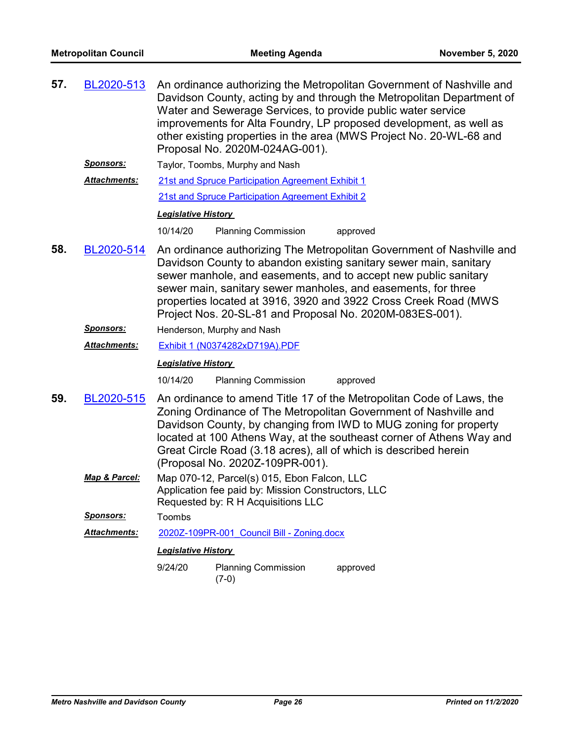| 57. | BL2020-513       | An ordinance authorizing the Metropolitan Government of Nashville and<br>Davidson County, acting by and through the Metropolitan Department of<br>Water and Sewerage Services, to provide public water service<br>improvements for Alta Foundry, LP proposed development, as well as<br>other existing properties in the area (MWS Project No. 20-WL-68 and<br>Proposal No. 2020M-024AG-001).                 |                                                                                                                                         |          |  |
|-----|------------------|---------------------------------------------------------------------------------------------------------------------------------------------------------------------------------------------------------------------------------------------------------------------------------------------------------------------------------------------------------------------------------------------------------------|-----------------------------------------------------------------------------------------------------------------------------------------|----------|--|
|     | <u>Sponsors:</u> |                                                                                                                                                                                                                                                                                                                                                                                                               | Taylor, Toombs, Murphy and Nash                                                                                                         |          |  |
|     | Attachments:     | 21st and Spruce Participation Agreement Exhibit 1                                                                                                                                                                                                                                                                                                                                                             |                                                                                                                                         |          |  |
|     |                  | 21st and Spruce Participation Agreement Exhibit 2                                                                                                                                                                                                                                                                                                                                                             |                                                                                                                                         |          |  |
|     |                  | <b>Legislative History</b>                                                                                                                                                                                                                                                                                                                                                                                    |                                                                                                                                         |          |  |
|     |                  | 10/14/20                                                                                                                                                                                                                                                                                                                                                                                                      | <b>Planning Commission</b>                                                                                                              | approved |  |
| 58. | BL2020-514       | An ordinance authorizing The Metropolitan Government of Nashville and<br>Davidson County to abandon existing sanitary sewer main, sanitary<br>sewer manhole, and easements, and to accept new public sanitary<br>sewer main, sanitary sewer manholes, and easements, for three<br>properties located at 3916, 3920 and 3922 Cross Creek Road (MWS<br>Project Nos. 20-SL-81 and Proposal No. 2020M-083ES-001). |                                                                                                                                         |          |  |
|     | <b>Sponsors:</b> | Henderson, Murphy and Nash                                                                                                                                                                                                                                                                                                                                                                                    |                                                                                                                                         |          |  |
|     | Attachments:     | Exhibit 1 (N0374282xD719A).PDF                                                                                                                                                                                                                                                                                                                                                                                |                                                                                                                                         |          |  |
|     |                  | <b>Legislative History</b>                                                                                                                                                                                                                                                                                                                                                                                    |                                                                                                                                         |          |  |
|     |                  | 10/14/20                                                                                                                                                                                                                                                                                                                                                                                                      | <b>Planning Commission</b>                                                                                                              | approved |  |
| 59. | BL2020-515       | An ordinance to amend Title 17 of the Metropolitan Code of Laws, the<br>Zoning Ordinance of The Metropolitan Government of Nashville and<br>Davidson County, by changing from IWD to MUG zoning for property<br>located at 100 Athens Way, at the southeast corner of Athens Way and<br>Great Circle Road (3.18 acres), all of which is described herein<br>(Proposal No. 2020Z-109PR-001).                   |                                                                                                                                         |          |  |
|     | Map & Parcel:    |                                                                                                                                                                                                                                                                                                                                                                                                               | Map 070-12, Parcel(s) 015, Ebon Falcon, LLC<br>Application fee paid by: Mission Constructors, LLC<br>Requested by: R H Acquisitions LLC |          |  |
|     | <b>Sponsors:</b> | Toombs                                                                                                                                                                                                                                                                                                                                                                                                        |                                                                                                                                         |          |  |
|     | Attachments:     |                                                                                                                                                                                                                                                                                                                                                                                                               | 2020Z-109PR-001 Council Bill - Zoning.docx                                                                                              |          |  |
|     |                  | <b>Legislative History</b>                                                                                                                                                                                                                                                                                                                                                                                    |                                                                                                                                         |          |  |
|     |                  | 9/24/20                                                                                                                                                                                                                                                                                                                                                                                                       | <b>Planning Commission</b>                                                                                                              | approved |  |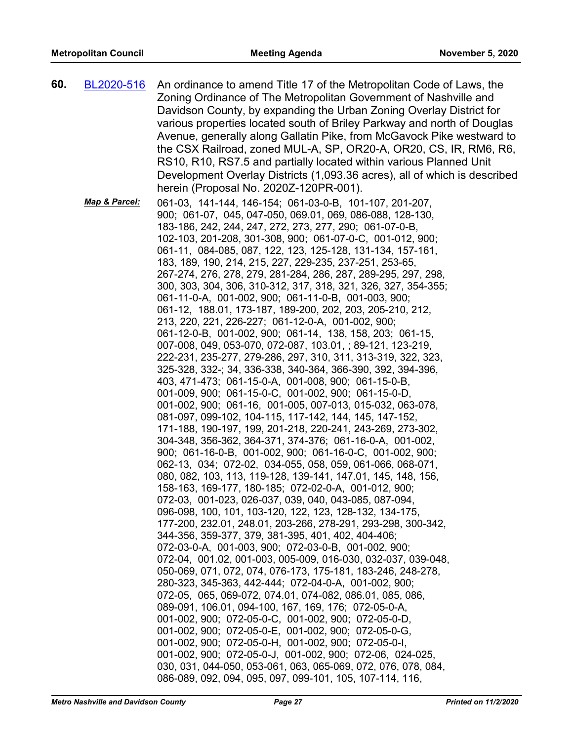| 60. | BL2020-516    | An ordinance to amend Title 17 of the Metropolitan Code of Laws, the<br>Zoning Ordinance of The Metropolitan Government of Nashville and<br>Davidson County, by expanding the Urban Zoning Overlay District for<br>various properties located south of Briley Parkway and north of Douglas<br>Avenue, generally along Gallatin Pike, from McGavock Pike westward to<br>the CSX Railroad, zoned MUL-A, SP, OR20-A, OR20, CS, IR, RM6, R6,<br>RS10, R10, RS7.5 and partially located within various Planned Unit<br>Development Overlay Districts (1,093.36 acres), all of which is described<br>herein (Proposal No. 2020Z-120PR-001).                                                                                                                                                                                                                                                                                                                                                                                                                                                                                                                                                                                                                                                                                                                                                                                                                                                                                                                                                                                                                                                                                                                                                                                                                                                                                                                                                                                                                                                                                                                                                                                                                                                                                                                                                                                                                                                                                                |
|-----|---------------|--------------------------------------------------------------------------------------------------------------------------------------------------------------------------------------------------------------------------------------------------------------------------------------------------------------------------------------------------------------------------------------------------------------------------------------------------------------------------------------------------------------------------------------------------------------------------------------------------------------------------------------------------------------------------------------------------------------------------------------------------------------------------------------------------------------------------------------------------------------------------------------------------------------------------------------------------------------------------------------------------------------------------------------------------------------------------------------------------------------------------------------------------------------------------------------------------------------------------------------------------------------------------------------------------------------------------------------------------------------------------------------------------------------------------------------------------------------------------------------------------------------------------------------------------------------------------------------------------------------------------------------------------------------------------------------------------------------------------------------------------------------------------------------------------------------------------------------------------------------------------------------------------------------------------------------------------------------------------------------------------------------------------------------------------------------------------------------------------------------------------------------------------------------------------------------------------------------------------------------------------------------------------------------------------------------------------------------------------------------------------------------------------------------------------------------------------------------------------------------------------------------------------------------|
|     | Map & Parcel: | 061-03, 141-144, 146-154; 061-03-0-B, 101-107, 201-207,<br>900; 061-07, 045, 047-050, 069.01, 069, 086-088, 128-130,<br>183-186, 242, 244, 247, 272, 273, 277, 290; 061-07-0-B,<br>102-103, 201-208, 301-308, 900; 061-07-0-C, 001-012, 900;<br>061-11, 084-085, 087, 122, 123, 125-128, 131-134, 157-161,<br>183, 189, 190, 214, 215, 227, 229-235, 237-251, 253-65,<br>267-274, 276, 278, 279, 281-284, 286, 287, 289-295, 297, 298,<br>300, 303, 304, 306, 310-312, 317, 318, 321, 326, 327, 354-355;<br>061-11-0-A, 001-002, 900; 061-11-0-B, 001-003, 900;<br>061-12, 188.01, 173-187, 189-200, 202, 203, 205-210, 212,<br>213, 220, 221, 226-227; 061-12-0-A, 001-002, 900;<br>061-12-0-B, 001-002, 900; 061-14, 138, 158, 203; 061-15,<br>007-008, 049, 053-070, 072-087, 103.01, ; 89-121, 123-219,<br>222-231, 235-277, 279-286, 297, 310, 311, 313-319, 322, 323,<br>325-328, 332-; 34, 336-338, 340-364, 366-390, 392, 394-396,<br>403, 471-473; 061-15-0-A, 001-008, 900; 061-15-0-B,<br>001-009, 900; 061-15-0-C, 001-002, 900; 061-15-0-D,<br>001-002, 900; 061-16, 001-005, 007-013, 015-032, 063-078,<br>081-097, 099-102, 104-115, 117-142, 144, 145, 147-152,<br>171-188, 190-197, 199, 201-218, 220-241, 243-269, 273-302,<br>304-348, 356-362, 364-371, 374-376; 061-16-0-A, 001-002,<br>900; 061-16-0-B, 001-002, 900; 061-16-0-C, 001-002, 900;<br>062-13, 034; 072-02, 034-055, 058, 059, 061-066, 068-071,<br>080, 082, 103, 113, 119-128, 139-141, 147.01, 145, 148, 156,<br>158-163, 169-177, 180-185; 072-02-0-A, 001-012, 900;<br>072-03, 001-023, 026-037, 039, 040, 043-085, 087-094,<br>096-098, 100, 101, 103-120, 122, 123, 128-132, 134-175,<br>177-200, 232.01, 248.01, 203-266, 278-291, 293-298, 300-342,<br>344-356, 359-377, 379, 381-395, 401, 402, 404-406;<br>072-03-0-A, 001-003, 900; 072-03-0-B, 001-002, 900;<br>072-04, 001.02, 001-003, 005-009, 016-030, 032-037, 039-048,<br>050-069, 071, 072, 074, 076-173, 175-181, 183-246, 248-278,<br>280-323, 345-363, 442-444; 072-04-0-A, 001-002, 900;<br>072-05, 065, 069-072, 074.01, 074-082, 086.01, 085, 086,<br>089-091, 106.01, 094-100, 167, 169, 176; 072-05-0-A,<br>001-002, 900; 072-05-0-C, 001-002, 900; 072-05-0-D,<br>001-002, 900; 072-05-0-E, 001-002, 900; 072-05-0-G,<br>001-002, 900; 072-05-0-H, 001-002, 900; 072-05-0-I,<br>001-002, 900; 072-05-0-J, 001-002, 900; 072-06, 024-025,<br>030, 031, 044-050, 053-061, 063, 065-069, 072, 076, 078, 084,<br>086-089, 092, 094, 095, 097, 099-101, 105, 107-114, 116, |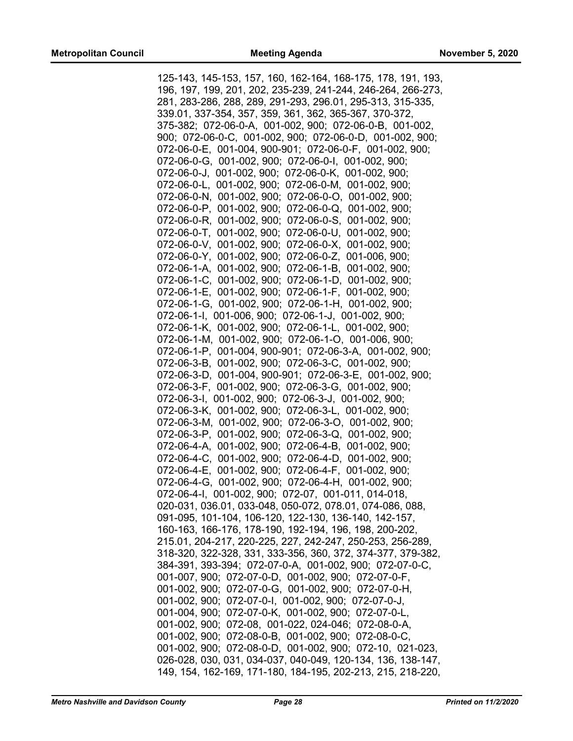125-143, 145-153, 157, 160, 162-164, 168-175, 178, 191, 193, 196, 197, 199, 201, 202, 235-239, 241-244, 246-264, 266-273, 281, 283-286, 288, 289, 291-293, 296.01, 295-313, 315-335, 339.01, 337-354, 357, 359, 361, 362, 365-367, 370-372, 375-382; 072-06-0-A, 001-002, 900; 072-06-0-B, 001-002, 900; 072-06-0-C, 001-002, 900; 072-06-0-D, 001-002, 900; 072-06-0-E, 001-004, 900-901; 072-06-0-F, 001-002, 900; 072-06-0-G, 001-002, 900; 072-06-0-I, 001-002, 900; 072-06-0-J, 001-002, 900; 072-06-0-K, 001-002, 900; 072-06-0-L, 001-002, 900; 072-06-0-M, 001-002, 900; 072-06-0-N, 001-002, 900; 072-06-0-O, 001-002, 900; 072-06-0-P, 001-002, 900; 072-06-0-Q, 001-002, 900; 072-06-0-R, 001-002, 900; 072-06-0-S, 001-002, 900; 072-06-0-T, 001-002, 900; 072-06-0-U, 001-002, 900; 072-06-0-V, 001-002, 900; 072-06-0-X, 001-002, 900; 072-06-0-Y, 001-002, 900; 072-06-0-Z, 001-006, 900; 072-06-1-A, 001-002, 900; 072-06-1-B, 001-002, 900; 072-06-1-C, 001-002, 900; 072-06-1-D, 001-002, 900; 072-06-1-E, 001-002, 900; 072-06-1-F, 001-002, 900; 072-06-1-G, 001-002, 900; 072-06-1-H, 001-002, 900; 072-06-1-I, 001-006, 900; 072-06-1-J, 001-002, 900; 072-06-1-K, 001-002, 900; 072-06-1-L, 001-002, 900; 072-06-1-M, 001-002, 900; 072-06-1-O, 001-006, 900; 072-06-1-P, 001-004, 900-901; 072-06-3-A, 001-002, 900; 072-06-3-B, 001-002, 900; 072-06-3-C, 001-002, 900; 072-06-3-D, 001-004, 900-901; 072-06-3-E, 001-002, 900; 072-06-3-F, 001-002, 900; 072-06-3-G, 001-002, 900; 072-06-3-I, 001-002, 900; 072-06-3-J, 001-002, 900; 072-06-3-K, 001-002, 900; 072-06-3-L, 001-002, 900; 072-06-3-M, 001-002, 900; 072-06-3-O, 001-002, 900; 072-06-3-P, 001-002, 900; 072-06-3-Q, 001-002, 900; 072-06-4-A, 001-002, 900; 072-06-4-B, 001-002, 900; 072-06-4-C, 001-002, 900; 072-06-4-D, 001-002, 900; 072-06-4-E, 001-002, 900; 072-06-4-F, 001-002, 900; 072-06-4-G, 001-002, 900; 072-06-4-H, 001-002, 900; 072-06-4-I, 001-002, 900; 072-07, 001-011, 014-018, 020-031, 036.01, 033-048, 050-072, 078.01, 074-086, 088, 091-095, 101-104, 106-120, 122-130, 136-140, 142-157, 160-163, 166-176, 178-190, 192-194, 196, 198, 200-202, 215.01, 204-217, 220-225, 227, 242-247, 250-253, 256-289, 318-320, 322-328, 331, 333-356, 360, 372, 374-377, 379-382, 384-391, 393-394; 072-07-0-A, 001-002, 900; 072-07-0-C, 001-007, 900; 072-07-0-D, 001-002, 900; 072-07-0-F, 001-002, 900; 072-07-0-G, 001-002, 900; 072-07-0-H, 001-002, 900; 072-07-0-I, 001-002, 900; 072-07-0-J, 001-004, 900; 072-07-0-K, 001-002, 900; 072-07-0-L, 001-002, 900; 072-08, 001-022, 024-046; 072-08-0-A, 001-002, 900; 072-08-0-B, 001-002, 900; 072-08-0-C, 001-002, 900; 072-08-0-D, 001-002, 900; 072-10, 021-023, 026-028, 030, 031, 034-037, 040-049, 120-134, 136, 138-147, 149, 154, 162-169, 171-180, 184-195, 202-213, 215, 218-220,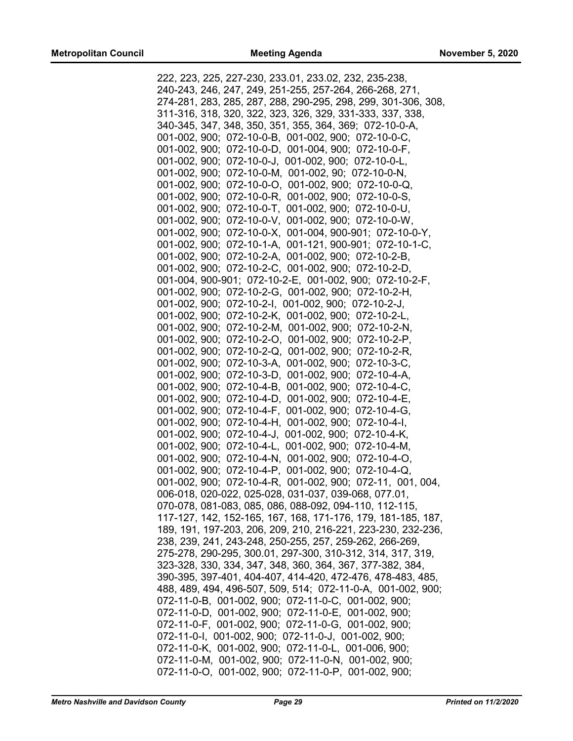| 222, 223, 225, 227-230, 233.01, 233.02, 232, 235-238,         |
|---------------------------------------------------------------|
| 240-243, 246, 247, 249, 251-255, 257-264, 266-268, 271,       |
| 274-281, 283, 285, 287, 288, 290-295, 298, 299, 301-306, 308, |
| 311-316, 318, 320, 322, 323, 326, 329, 331-333, 337, 338,     |
| 340-345, 347, 348, 350, 351, 355, 364, 369; 072-10-0-A,       |
| 001-002, 900; 072-10-0-B, 001-002, 900; 072-10-0-C,           |
| 001-002, 900; 072-10-0-D, 001-004, 900; 072-10-0-F,           |
| 001-002, 900; 072-10-0-J, 001-002, 900; 072-10-0-L,           |
|                                                               |
| 001-002, 900; 072-10-0-M, 001-002, 90; 072-10-0-N,            |
| 001-002, 900; 072-10-0-O, 001-002, 900; 072-10-0-Q,           |
| 001-002, 900; 072-10-0-R, 001-002, 900; 072-10-0-S,           |
| 001-002, 900; 072-10-0-T, 001-002, 900; 072-10-0-U,           |
| 001-002, 900; 072-10-0-V, 001-002, 900; 072-10-0-W,           |
| 001-002, 900; 072-10-0-X, 001-004, 900-901; 072-10-0-Y,       |
| 001-002, 900; 072-10-1-A, 001-121, 900-901; 072-10-1-C,       |
| 001-002, 900; 072-10-2-A, 001-002, 900; 072-10-2-B,           |
| 001-002, 900; 072-10-2-C, 001-002, 900; 072-10-2-D,           |
| 001-004, 900-901; 072-10-2-E, 001-002, 900; 072-10-2-F,       |
| 001-002, 900; 072-10-2-G, 001-002, 900; 072-10-2-H,           |
| 001-002, 900; 072-10-2-1, 001-002, 900; 072-10-2-J,           |
| 001-002, 900; 072-10-2-K, 001-002, 900; 072-10-2-L,           |
| 001-002, 900; 072-10-2-M, 001-002, 900; 072-10-2-N,           |
| 001-002, 900; 072-10-2-O, 001-002, 900; 072-10-2-P,           |
| 001-002, 900; 072-10-2-Q, 001-002, 900; 072-10-2-R,           |
|                                                               |
| 001-002, 900; 072-10-3-A, 001-002, 900; 072-10-3-C,           |
| 001-002, 900; 072-10-3-D, 001-002, 900; 072-10-4-A,           |
| 001-002, 900; 072-10-4-B, 001-002, 900; 072-10-4-C,           |
| 001-002, 900; 072-10-4-D, 001-002, 900; 072-10-4-E,           |
| 001-002, 900; 072-10-4-F, 001-002, 900; 072-10-4-G,           |
| 001-002, 900; 072-10-4-H, 001-002, 900; 072-10-4-I,           |
| 001-002, 900; 072-10-4-J, 001-002, 900; 072-10-4-K,           |
| 001-002, 900; 072-10-4-L, 001-002, 900; 072-10-4-M,           |
| 001-002, 900; 072-10-4-N, 001-002, 900; 072-10-4-O,           |
| 001-002, 900; 072-10-4-P, 001-002, 900; 072-10-4-Q,           |
| 001-002, 900; 072-10-4-R, 001-002, 900; 072-11, 001, 004,     |
| 006-018, 020-022, 025-028, 031-037, 039-068, 077.01,          |
| 070-078, 081-083, 085, 086, 088-092, 094-110, 112-115,        |
| 117-127, 142, 152-165, 167, 168, 171-176, 179, 181-185, 187,  |
| 189, 191, 197-203, 206, 209, 210, 216-221, 223-230, 232-236,  |
| 238, 239, 241, 243-248, 250-255, 257, 259-262, 266-269,       |
| 275-278, 290-295, 300.01, 297-300, 310-312, 314, 317, 319,    |
| 323-328, 330, 334, 347, 348, 360, 364, 367, 377-382, 384,     |
| 390-395, 397-401, 404-407, 414-420, 472-476, 478-483, 485,    |
| 488, 489, 494, 496-507, 509, 514; 072-11-0-A, 001-002, 900;   |
| 072-11-0-B, 001-002, 900; 072-11-0-C, 001-002, 900;           |
| 072-11-0-D, 001-002, 900; 072-11-0-E, 001-002, 900;           |
| 072-11-0-F, 001-002, 900; 072-11-0-G, 001-002, 900;           |
|                                                               |
| 072-11-0-1, 001-002, 900; 072-11-0-J, 001-002, 900;           |
| 072-11-0-K, 001-002, 900; 072-11-0-L, 001-006, 900;           |
| 072-11-0-M, 001-002, 900; 072-11-0-N, 001-002, 900;           |
| 072-11-0-O, 001-002, 900; 072-11-0-P, 001-002, 900;           |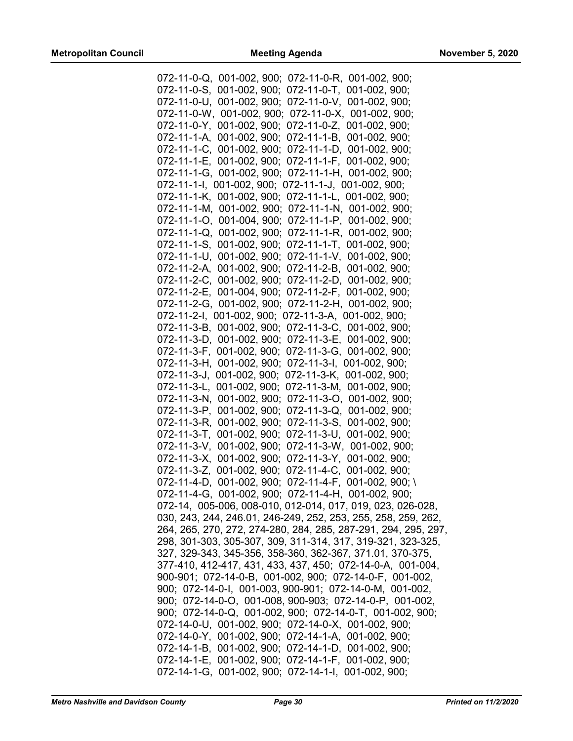| 072-11-0-Q, 001-002, 900; 072-11-0-R, 001-002, 900;            |
|----------------------------------------------------------------|
| 072-11-0-S, 001-002, 900; 072-11-0-T, 001-002, 900;            |
| 072-11-0-U, 001-002, 900; 072-11-0-V, 001-002, 900;            |
| 072-11-0-W, 001-002, 900; 072-11-0-X, 001-002, 900;            |
|                                                                |
| 072-11-0-Y, 001-002, 900; 072-11-0-Z, 001-002, 900;            |
| 072-11-1-A, 001-002, 900; 072-11-1-B, 001-002, 900;            |
| 072-11-1-C, 001-002, 900; 072-11-1-D, 001-002, 900;            |
| 072-11-1-E, 001-002, 900; 072-11-1-F, 001-002, 900;            |
| 072-11-1-G, 001-002, 900; 072-11-1-H, 001-002, 900;            |
|                                                                |
| 072-11-1-I, 001-002, 900; 072-11-1-J, 001-002, 900;            |
| 072-11-1-K, 001-002, 900; 072-11-1-L, 001-002, 900;            |
| 072-11-1-M, 001-002, 900; 072-11-1-N, 001-002, 900;            |
| 072-11-1-O, 001-004, 900; 072-11-1-P, 001-002, 900;            |
| 072-11-1-Q, 001-002, 900; 072-11-1-R, 001-002, 900;            |
|                                                                |
| 072-11-1-S, 001-002, 900; 072-11-1-T, 001-002, 900;            |
| 072-11-1-U, 001-002, 900; 072-11-1-V, 001-002, 900;            |
| 072-11-2-A, 001-002, 900; 072-11-2-B, 001-002, 900;            |
| 072-11-2-C, 001-002, 900; 072-11-2-D, 001-002, 900;            |
| 072-11-2-E, 001-004, 900; 072-11-2-F, 001-002, 900;            |
|                                                                |
| 072-11-2-G, 001-002, 900; 072-11-2-H, 001-002, 900;            |
| 072-11-2-I, 001-002, 900; 072-11-3-A, 001-002, 900;            |
| 072-11-3-B, 001-002, 900; 072-11-3-C, 001-002, 900;            |
| 072-11-3-D, 001-002, 900; 072-11-3-E, 001-002, 900;            |
| 072-11-3-F, 001-002, 900; 072-11-3-G, 001-002, 900;            |
| 072-11-3-H, 001-002, 900; 072-11-3-I, 001-002, 900;            |
| 072-11-3-J, 001-002, 900; 072-11-3-K, 001-002, 900;            |
|                                                                |
| 072-11-3-L, 001-002, 900; 072-11-3-M, 001-002, 900;            |
| 072-11-3-N, 001-002, 900; 072-11-3-O, 001-002, 900;            |
| 072-11-3-P, 001-002, 900; 072-11-3-Q, 001-002, 900;            |
| 072-11-3-R, 001-002, 900; 072-11-3-S, 001-002, 900;            |
| 072-11-3-T, 001-002, 900; 072-11-3-U, 001-002, 900;            |
| 072-11-3-V, 001-002, 900; 072-11-3-W, 001-002, 900;            |
| 072-11-3-X, 001-002, 900; 072-11-3-Y, 001-002, 900;            |
|                                                                |
| 072-11-3-Z, 001-002, 900; 072-11-4-C, 001-002, 900;            |
| 072-11-4-D, 001-002, 900; 072-11-4-F, 001-002, 900; \          |
| 072-11-4-G, 001-002, 900; 072-11-4-H, 001-002, 900;            |
| 072-14, 005-006, 008-010, 012-014, 017, 019, 023, 026-028,     |
| 030, 243, 244, 246.01, 246-249, 252, 253, 255, 258, 259, 262,  |
| 264, 265, 270, 272, 274-280, 284, 285, 287-291, 294, 295, 297, |
| 298, 301-303, 305-307, 309, 311-314, 317, 319-321, 323-325,    |
|                                                                |
| 327, 329-343, 345-356, 358-360, 362-367, 371.01, 370-375,      |
| 377-410, 412-417, 431, 433, 437, 450; 072-14-0-A, 001-004,     |
| 900-901; 072-14-0-B, 001-002, 900; 072-14-0-F, 001-002,        |
| 900; 072-14-0-1, 001-003, 900-901; 072-14-0-M, 001-002,        |
| 900; 072-14-0-O, 001-008, 900-903; 072-14-0-P, 001-002,        |
| 900; 072-14-0-Q, 001-002, 900; 072-14-0-T, 001-002, 900;       |
| 072-14-0-U, 001-002, 900; 072-14-0-X, 001-002, 900;            |
|                                                                |
| 072-14-0-Y, 001-002, 900; 072-14-1-A, 001-002, 900;            |
| 072-14-1-B, 001-002, 900; 072-14-1-D, 001-002, 900;            |
| 072-14-1-E, 001-002, 900; 072-14-1-F, 001-002, 900;            |
| 072-14-1-G, 001-002, 900; 072-14-1-I, 001-002, 900;            |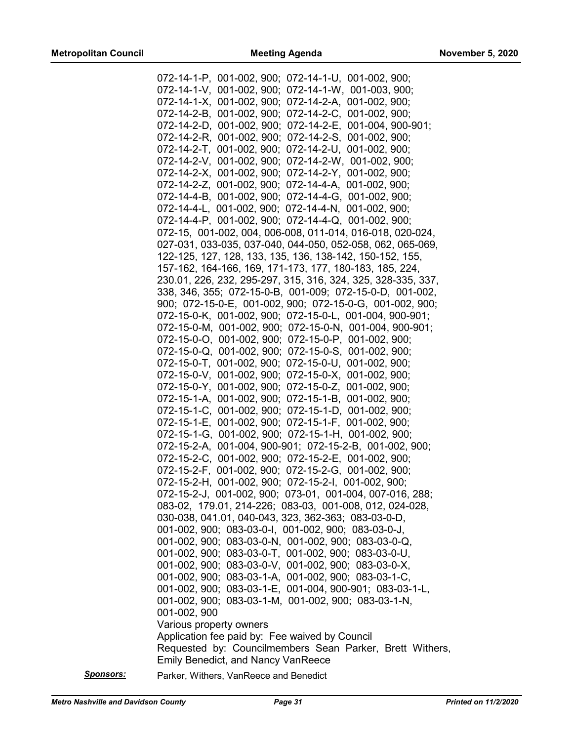| 072-14-1-P, 001-002, 900; 072-14-1-U, 001-002, 900;                                                                  |
|----------------------------------------------------------------------------------------------------------------------|
| 072-14-1-V, 001-002, 900; 072-14-1-W, 001-003, 900;                                                                  |
| 072-14-1-X, 001-002, 900; 072-14-2-A, 001-002, 900;                                                                  |
| 072-14-2-B, 001-002, 900; 072-14-2-C, 001-002, 900;                                                                  |
| 072-14-2-D, 001-002, 900; 072-14-2-E, 001-004, 900-901;                                                              |
| 072-14-2-R, 001-002, 900; 072-14-2-S, 001-002, 900;                                                                  |
| 072-14-2-T, 001-002, 900; 072-14-2-U, 001-002, 900;                                                                  |
| 072-14-2-V, 001-002, 900; 072-14-2-W, 001-002, 900;                                                                  |
| 072-14-2-X, 001-002, 900; 072-14-2-Y, 001-002, 900;                                                                  |
| 072-14-2-Z, 001-002, 900; 072-14-4-A, 001-002, 900;                                                                  |
| 072-14-4-B, 001-002, 900; 072-14-4-G, 001-002, 900;                                                                  |
| 072-14-4-L, 001-002, 900; 072-14-4-N, 001-002, 900;                                                                  |
| 072-14-4-P, 001-002, 900; 072-14-4-Q, 001-002, 900;                                                                  |
| 072-15, 001-002, 004, 006-008, 011-014, 016-018, 020-024,                                                            |
| 027-031, 033-035, 037-040, 044-050, 052-058, 062, 065-069,                                                           |
| 122-125, 127, 128, 133, 135, 136, 138-142, 150-152, 155,                                                             |
| 157-162, 164-166, 169, 171-173, 177, 180-183, 185, 224,                                                              |
| 230.01, 226, 232, 295-297, 315, 316, 324, 325, 328-335, 337,                                                         |
|                                                                                                                      |
| 338, 346, 355; 072-15-0-B, 001-009; 072-15-0-D, 001-002,<br>900; 072-15-0-E, 001-002, 900; 072-15-0-G, 001-002, 900; |
| 072-15-0-K, 001-002, 900; 072-15-0-L, 001-004, 900-901;                                                              |
| 072-15-0-M, 001-002, 900; 072-15-0-N, 001-004, 900-901;                                                              |
| 072-15-0-O, 001-002, 900; 072-15-0-P, 001-002, 900;                                                                  |
| 072-15-0-Q, 001-002, 900; 072-15-0-S, 001-002, 900;                                                                  |
| 072-15-0-T, 001-002, 900; 072-15-0-U, 001-002, 900;                                                                  |
| $072 - 15 - 0 - V$ , $001 - 002$ , $900$ ; $072 - 15 - 0 - X$ , $001 - 002$ , $900$ ;                                |
| 072-15-0-Y, 001-002, 900; 072-15-0-Z, 001-002, 900;                                                                  |
| 072-15-1-A, 001-002, 900; 072-15-1-B, 001-002, 900;                                                                  |
| 072-15-1-C, 001-002, 900; 072-15-1-D, 001-002, 900;                                                                  |
| 072-15-1-E, 001-002, 900; 072-15-1-F, 001-002, 900;                                                                  |
| 072-15-1-G, 001-002, 900; 072-15-1-H, 001-002, 900;                                                                  |
| 072-15-2-A, 001-004, 900-901; 072-15-2-B, 001-002, 900;                                                              |
| 072-15-2-C, 001-002, 900; 072-15-2-E, 001-002, 900;                                                                  |
| 072-15-2-F, 001-002, 900; 072-15-2-G, 001-002, 900;                                                                  |
| 072-15-2-H, 001-002, 900; 072-15-2-I, 001-002, 900;                                                                  |
| 072-15-2-J, 001-002, 900; 073-01, 001-004, 007-016, 288;                                                             |
| 083-02, 179.01, 214-226; 083-03, 001-008, 012, 024-028,                                                              |
| 030-038, 041.01, 040-043, 323, 362-363; 083-03-0-D,                                                                  |
| 001-002, 900; 083-03-0-1, 001-002, 900; 083-03-0-J,                                                                  |
| 001-002, 900; 083-03-0-N, 001-002, 900; 083-03-0-Q,                                                                  |
| 001-002, 900; 083-03-0-T, 001-002, 900; 083-03-0-U,                                                                  |
| 001-002, 900; 083-03-0-V, 001-002, 900; 083-03-0-X,                                                                  |
| 001-002, 900; 083-03-1-A, 001-002, 900; 083-03-1-C,                                                                  |
| 001-002, 900; 083-03-1-E, 001-004, 900-901; 083-03-1-L,                                                              |
| 001-002, 900; 083-03-1-M, 001-002, 900; 083-03-1-N,                                                                  |
| 001-002, 900                                                                                                         |
| Various property owners                                                                                              |
| Application fee paid by: Fee waived by Council                                                                       |
| Requested by: Councilmembers Sean Parker, Brett Withers,                                                             |
| <b>Emily Benedict, and Nancy VanReece</b>                                                                            |
|                                                                                                                      |

*Sponsors:* Parker, Withers, VanReece and Benedict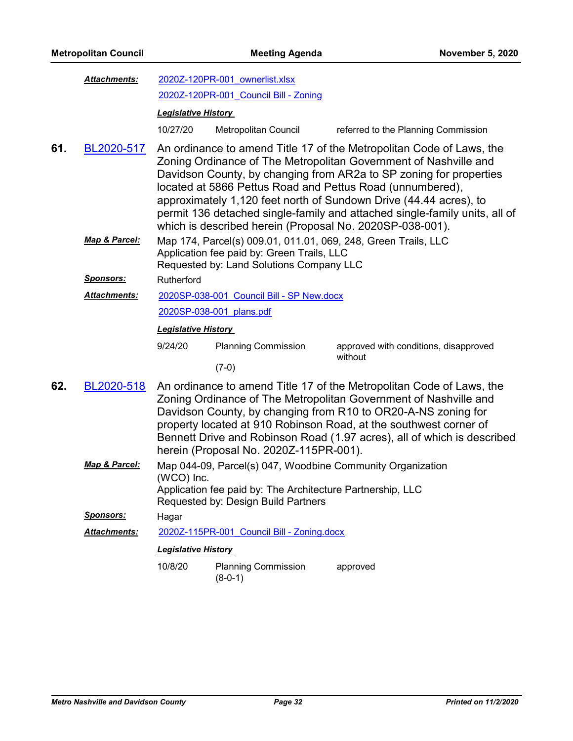| Attachments: | 2020Z-120PR-001 ownerlist.xlsx |                                       |  |
|--------------|--------------------------------|---------------------------------------|--|
|              |                                | 2020Z-120PR-001 Council Bill - Zoning |  |

### *Legislative History*

- 10/27/20 Metropolitan Council referred to the Planning Commission
- An ordinance to amend Title 17 of the Metropolitan Code of Laws, the Zoning Ordinance of The Metropolitan Government of Nashville and Davidson County, by changing from AR2a to SP zoning for properties located at 5866 Pettus Road and Pettus Road (unnumbered), approximately 1,120 feet north of Sundown Drive (44.44 acres), to permit 136 detached single-family and attached single-family units, all of which is described herein (Proposal No. 2020SP-038-001). **61.** [BL2020-517](http://nashville.legistar.com/gateway.aspx?m=l&id=/matter.aspx?key=1567)
	- Map 174, Parcel(s) 009.01, 011.01, 069, 248, Green Trails, LLC Application fee paid by: Green Trails, LLC Requested by: Land Solutions Company LLC *Map & Parcel:*

*Sponsors:* Rutherford

[2020SP-038-001\\_Council Bill - SP New.docx](http://nashville.legistar.com/gateway.aspx?M=F&ID=13891933-aba1-4e16-b8fa-1444bbc0d831.docx) [2020SP-038-001\\_plans.pdf](http://nashville.legistar.com/gateway.aspx?M=F&ID=74f20a1c-2da7-4b45-aa05-a6fd7fc8e4a2.pdf) *Attachments:*

## *Legislative History*

9/24/20 Planning Commission approved with conditions, disapproved

without

- (7-0)
- An ordinance to amend Title 17 of the Metropolitan Code of Laws, the Zoning Ordinance of The Metropolitan Government of Nashville and Davidson County, by changing from R10 to OR20-A-NS zoning for property located at 910 Robinson Road, at the southwest corner of Bennett Drive and Robinson Road (1.97 acres), all of which is described herein (Proposal No. 2020Z-115PR-001). **62.** [BL2020-518](http://nashville.legistar.com/gateway.aspx?m=l&id=/matter.aspx?key=1576)
	- Map 044-09, Parcel(s) 047, Woodbine Community Organization (WCO) Inc. Application fee paid by: The Architecture Partnership, LLC *Map & Parcel:*

Requested by: Design Build Partners

*Sponsors:* Hagar

*Attachments:* [2020Z-115PR-001\\_Council Bill - Zoning.docx](http://nashville.legistar.com/gateway.aspx?M=F&ID=b9092da0-1272-43da-83ba-e56352dcf1e7.docx)

### *Legislative History*

10/8/20 Planning Commission approved (8-0-1)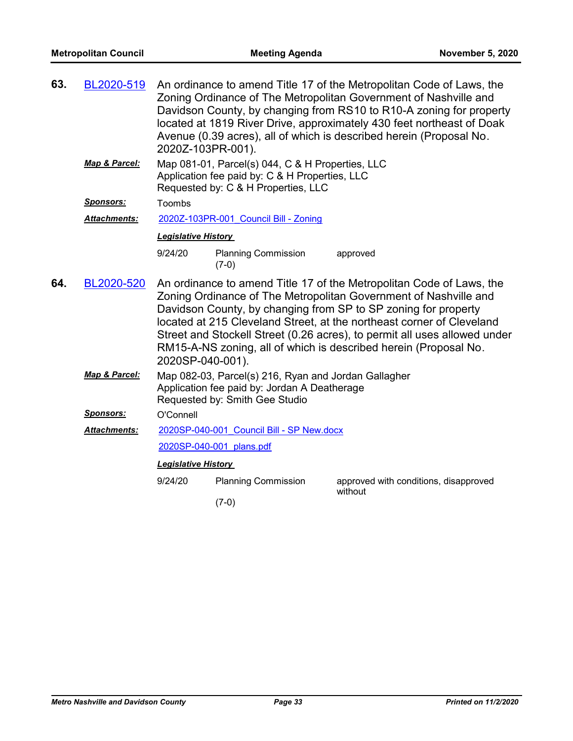| 63. | BL2020-519          | An ordinance to amend Title 17 of the Metropolitan Code of Laws, the<br>Zoning Ordinance of The Metropolitan Government of Nashville and<br>Davidson County, by changing from RS10 to R10-A zoning for property<br>located at 1819 River Drive, approximately 430 feet northeast of Doak<br>Avenue (0.39 acres), all of which is described herein (Proposal No.<br>2020Z-103PR-001).                                                                     |                                                                                                                                           |                                       |  |  |
|-----|---------------------|----------------------------------------------------------------------------------------------------------------------------------------------------------------------------------------------------------------------------------------------------------------------------------------------------------------------------------------------------------------------------------------------------------------------------------------------------------|-------------------------------------------------------------------------------------------------------------------------------------------|---------------------------------------|--|--|
|     | Map & Parcel:       |                                                                                                                                                                                                                                                                                                                                                                                                                                                          | Map 081-01, Parcel(s) 044, C & H Properties, LLC<br>Application fee paid by: C & H Properties, LLC<br>Requested by: C & H Properties, LLC |                                       |  |  |
|     | <u>Sponsors:</u>    | Toombs                                                                                                                                                                                                                                                                                                                                                                                                                                                   |                                                                                                                                           |                                       |  |  |
|     | <b>Attachments:</b> |                                                                                                                                                                                                                                                                                                                                                                                                                                                          | 2020Z-103PR-001 Council Bill - Zoning                                                                                                     |                                       |  |  |
|     |                     |                                                                                                                                                                                                                                                                                                                                                                                                                                                          | <b>Legislative History</b>                                                                                                                |                                       |  |  |
|     |                     | 9/24/20                                                                                                                                                                                                                                                                                                                                                                                                                                                  | <b>Planning Commission</b><br>$(7-0)$                                                                                                     | approved                              |  |  |
| 64. | BL2020-520          | An ordinance to amend Title 17 of the Metropolitan Code of Laws, the<br>Zoning Ordinance of The Metropolitan Government of Nashville and<br>Davidson County, by changing from SP to SP zoning for property<br>located at 215 Cleveland Street, at the northeast corner of Cleveland<br>Street and Stockell Street (0.26 acres), to permit all uses allowed under<br>RM15-A-NS zoning, all of which is described herein (Proposal No.<br>2020SP-040-001). |                                                                                                                                           |                                       |  |  |
|     | Map & Parcel:       | Map 082-03, Parcel(s) 216, Ryan and Jordan Gallagher<br>Application fee paid by: Jordan A Deatherage<br>Requested by: Smith Gee Studio                                                                                                                                                                                                                                                                                                                   |                                                                                                                                           |                                       |  |  |
|     | <u>Sponsors:</u>    | O'Connell                                                                                                                                                                                                                                                                                                                                                                                                                                                |                                                                                                                                           |                                       |  |  |
|     | <b>Attachments:</b> | 2020SP-040-001 Council Bill - SP New.docx                                                                                                                                                                                                                                                                                                                                                                                                                |                                                                                                                                           |                                       |  |  |
|     |                     | 2020SP-040-001 plans.pdf<br><b>Legislative History</b>                                                                                                                                                                                                                                                                                                                                                                                                   |                                                                                                                                           |                                       |  |  |
|     |                     |                                                                                                                                                                                                                                                                                                                                                                                                                                                          |                                                                                                                                           |                                       |  |  |
|     |                     | 9/24/20                                                                                                                                                                                                                                                                                                                                                                                                                                                  | <b>Planning Commission</b>                                                                                                                | approved with conditions, disapproved |  |  |
|     |                     |                                                                                                                                                                                                                                                                                                                                                                                                                                                          | $(7-0)$                                                                                                                                   | without                               |  |  |
|     |                     |                                                                                                                                                                                                                                                                                                                                                                                                                                                          |                                                                                                                                           |                                       |  |  |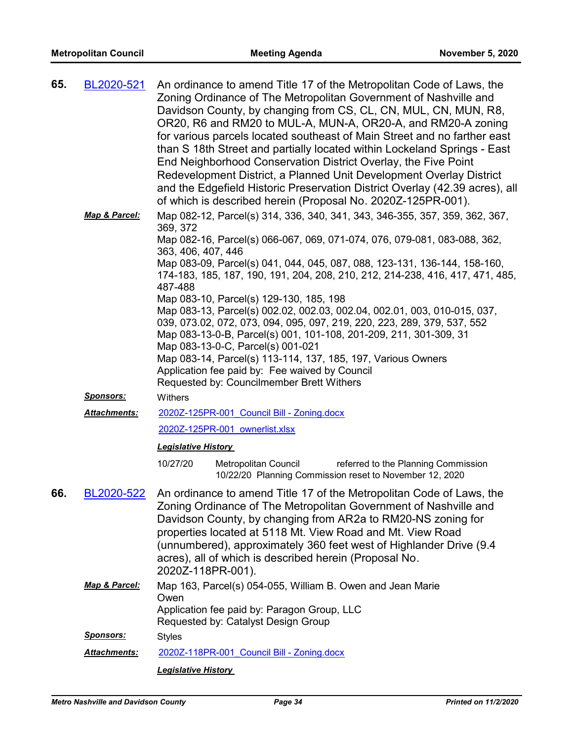| 65. | BL2020-521          | An ordinance to amend Title 17 of the Metropolitan Code of Laws, the<br>Zoning Ordinance of The Metropolitan Government of Nashville and<br>Davidson County, by changing from CS, CL, CN, MUL, CN, MUN, R8,<br>OR20, R6 and RM20 to MUL-A, MUN-A, OR20-A, and RM20-A zoning<br>for various parcels located southeast of Main Street and no farther east<br>than S 18th Street and partially located within Lockeland Springs - East<br>End Neighborhood Conservation District Overlay, the Five Point<br>Redevelopment District, a Planned Unit Development Overlay District<br>and the Edgefield Historic Preservation District Overlay (42.39 acres), all<br>of which is described herein (Proposal No. 2020Z-125PR-001).                                                                                                                   |  |  |
|-----|---------------------|-----------------------------------------------------------------------------------------------------------------------------------------------------------------------------------------------------------------------------------------------------------------------------------------------------------------------------------------------------------------------------------------------------------------------------------------------------------------------------------------------------------------------------------------------------------------------------------------------------------------------------------------------------------------------------------------------------------------------------------------------------------------------------------------------------------------------------------------------|--|--|
|     | Map & Parcel:       | Map 082-12, Parcel(s) 314, 336, 340, 341, 343, 346-355, 357, 359, 362, 367,<br>369, 372<br>Map 082-16, Parcel(s) 066-067, 069, 071-074, 076, 079-081, 083-088, 362,<br>363, 406, 407, 446<br>Map 083-09, Parcel(s) 041, 044, 045, 087, 088, 123-131, 136-144, 158-160,<br>174-183, 185, 187, 190, 191, 204, 208, 210, 212, 214-238, 416, 417, 471, 485,<br>487-488<br>Map 083-10, Parcel(s) 129-130, 185, 198<br>Map 083-13, Parcel(s) 002.02, 002.03, 002.04, 002.01, 003, 010-015, 037,<br>039, 073.02, 072, 073, 094, 095, 097, 219, 220, 223, 289, 379, 537, 552<br>Map 083-13-0-B, Parcel(s) 001, 101-108, 201-209, 211, 301-309, 31<br>Map 083-13-0-C, Parcel(s) 001-021<br>Map 083-14, Parcel(s) 113-114, 137, 185, 197, Various Owners<br>Application fee paid by: Fee waived by Council<br>Requested by: Councilmember Brett Withers |  |  |
|     | <u>Sponsors:</u>    | Withers                                                                                                                                                                                                                                                                                                                                                                                                                                                                                                                                                                                                                                                                                                                                                                                                                                       |  |  |
|     | <b>Attachments:</b> | 2020Z-125PR-001 Council Bill - Zoning.docx                                                                                                                                                                                                                                                                                                                                                                                                                                                                                                                                                                                                                                                                                                                                                                                                    |  |  |
|     |                     | 2020Z-125PR-001 ownerlist.xlsx                                                                                                                                                                                                                                                                                                                                                                                                                                                                                                                                                                                                                                                                                                                                                                                                                |  |  |
|     |                     | <b>Legislative History</b>                                                                                                                                                                                                                                                                                                                                                                                                                                                                                                                                                                                                                                                                                                                                                                                                                    |  |  |
|     |                     | 10/27/20<br>Metropolitan Council<br>referred to the Planning Commission<br>10/22/20 Planning Commission reset to November 12, 2020                                                                                                                                                                                                                                                                                                                                                                                                                                                                                                                                                                                                                                                                                                            |  |  |
| 66  |                     | BL2020-522 An ordinance to amend Title 17 of the Metropolitan Code of Laws, the<br>Zoning Ordinance of The Metropolitan Government of Nashville and<br>Davidson County, by changing from AR2a to RM20-NS zoning for<br>properties located at 5118 Mt. View Road and Mt. View Road<br>(unnumbered), approximately 360 feet west of Highlander Drive (9.4<br>acres), all of which is described herein (Proposal No.<br>2020Z-118PR-001).                                                                                                                                                                                                                                                                                                                                                                                                        |  |  |
|     | Map & Parcel:       | Map 163, Parcel(s) 054-055, William B. Owen and Jean Marie<br>Owen<br>Application fee paid by: Paragon Group, LLC                                                                                                                                                                                                                                                                                                                                                                                                                                                                                                                                                                                                                                                                                                                             |  |  |
|     |                     | Requested by: Catalyst Design Group                                                                                                                                                                                                                                                                                                                                                                                                                                                                                                                                                                                                                                                                                                                                                                                                           |  |  |
|     | <b>Sponsors:</b>    | <b>Styles</b>                                                                                                                                                                                                                                                                                                                                                                                                                                                                                                                                                                                                                                                                                                                                                                                                                                 |  |  |
|     | Attachments:        | 2020Z-118PR-001 Council Bill - Zoning.docx                                                                                                                                                                                                                                                                                                                                                                                                                                                                                                                                                                                                                                                                                                                                                                                                    |  |  |
|     |                     | <b>Legislative History</b>                                                                                                                                                                                                                                                                                                                                                                                                                                                                                                                                                                                                                                                                                                                                                                                                                    |  |  |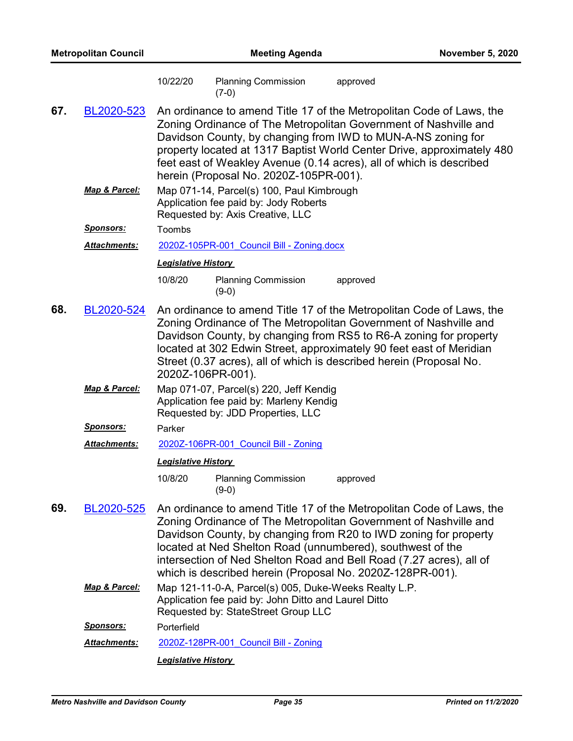| <b>Metropolitan Council</b> |                     | <b>Meeting Agenda</b>      |                                                                                                                                                                                                                                                                                                                                                                                                                |          | <b>November 5, 2020</b> |  |  |
|-----------------------------|---------------------|----------------------------|----------------------------------------------------------------------------------------------------------------------------------------------------------------------------------------------------------------------------------------------------------------------------------------------------------------------------------------------------------------------------------------------------------------|----------|-------------------------|--|--|
|                             |                     | 10/22/20                   | <b>Planning Commission</b><br>$(7-0)$                                                                                                                                                                                                                                                                                                                                                                          | approved |                         |  |  |
| 67.                         | BL2020-523          |                            | An ordinance to amend Title 17 of the Metropolitan Code of Laws, the<br>Zoning Ordinance of The Metropolitan Government of Nashville and<br>Davidson County, by changing from IWD to MUN-A-NS zoning for<br>property located at 1317 Baptist World Center Drive, approximately 480<br>feet east of Weakley Avenue (0.14 acres), all of which is described<br>herein (Proposal No. 2020Z-105PR-001).            |          |                         |  |  |
|                             | Map & Parcel:       |                            | Map 071-14, Parcel(s) 100, Paul Kimbrough<br>Application fee paid by: Jody Roberts<br>Requested by: Axis Creative, LLC                                                                                                                                                                                                                                                                                         |          |                         |  |  |
|                             | <u>Sponsors:</u>    | Toombs                     |                                                                                                                                                                                                                                                                                                                                                                                                                |          |                         |  |  |
|                             | <b>Attachments:</b> |                            | 2020Z-105PR-001 Council Bill - Zoning.docx                                                                                                                                                                                                                                                                                                                                                                     |          |                         |  |  |
|                             |                     | <b>Legislative History</b> |                                                                                                                                                                                                                                                                                                                                                                                                                |          |                         |  |  |
|                             |                     | 10/8/20                    | <b>Planning Commission</b><br>$(9-0)$                                                                                                                                                                                                                                                                                                                                                                          | approved |                         |  |  |
| 68.                         | BL2020-524          |                            | An ordinance to amend Title 17 of the Metropolitan Code of Laws, the<br>Zoning Ordinance of The Metropolitan Government of Nashville and<br>Davidson County, by changing from RS5 to R6-A zoning for property<br>located at 302 Edwin Street, approximately 90 feet east of Meridian<br>Street (0.37 acres), all of which is described herein (Proposal No.<br>2020Z-106PR-001).                               |          |                         |  |  |
|                             | Map & Parcel:       |                            | Map 071-07, Parcel(s) 220, Jeff Kendig<br>Application fee paid by: Marleny Kendig<br>Requested by: JDD Properties, LLC                                                                                                                                                                                                                                                                                         |          |                         |  |  |
|                             | <u>Sponsors:</u>    | Parker                     |                                                                                                                                                                                                                                                                                                                                                                                                                |          |                         |  |  |
|                             | <b>Attachments:</b> |                            | 2020Z-106PR-001 Council Bill - Zoning                                                                                                                                                                                                                                                                                                                                                                          |          |                         |  |  |
|                             |                     | <b>Legislative History</b> |                                                                                                                                                                                                                                                                                                                                                                                                                |          |                         |  |  |
|                             |                     | 10/8/20                    | <b>Planning Commission</b><br>$(9-0)$                                                                                                                                                                                                                                                                                                                                                                          | approved |                         |  |  |
| 69.                         | BL2020-525          |                            | An ordinance to amend Title 17 of the Metropolitan Code of Laws, the<br>Zoning Ordinance of The Metropolitan Government of Nashville and<br>Davidson County, by changing from R20 to IWD zoning for property<br>located at Ned Shelton Road (unnumbered), southwest of the<br>intersection of Ned Shelton Road and Bell Road (7.27 acres), all of<br>which is described herein (Proposal No. 2020Z-128PR-001). |          |                         |  |  |
|                             | Map & Parcel:       |                            | Map 121-11-0-A, Parcel(s) 005, Duke-Weeks Realty L.P.<br>Application fee paid by: John Ditto and Laurel Ditto<br>Requested by: StateStreet Group LLC                                                                                                                                                                                                                                                           |          |                         |  |  |
|                             | <b>Sponsors:</b>    | Porterfield                |                                                                                                                                                                                                                                                                                                                                                                                                                |          |                         |  |  |
|                             | Attachments:        |                            | 2020Z-128PR-001 Council Bill - Zoning                                                                                                                                                                                                                                                                                                                                                                          |          |                         |  |  |
|                             |                     | <b>Legislative History</b> |                                                                                                                                                                                                                                                                                                                                                                                                                |          |                         |  |  |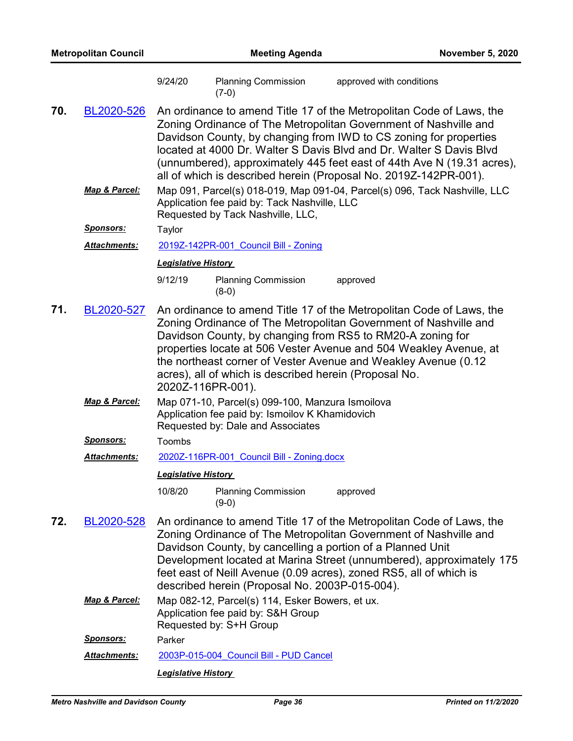| <b>Metropolitan Council</b> |                     | <b>Meeting Agenda</b>      |                                                                                                                                                                                                                                                                                                                                                                                                                                    | <b>November 5, 2020</b>  |  |
|-----------------------------|---------------------|----------------------------|------------------------------------------------------------------------------------------------------------------------------------------------------------------------------------------------------------------------------------------------------------------------------------------------------------------------------------------------------------------------------------------------------------------------------------|--------------------------|--|
|                             |                     | 9/24/20                    | <b>Planning Commission</b><br>$(7-0)$                                                                                                                                                                                                                                                                                                                                                                                              | approved with conditions |  |
| 70.                         | BL2020-526          |                            | An ordinance to amend Title 17 of the Metropolitan Code of Laws, the<br>Zoning Ordinance of The Metropolitan Government of Nashville and<br>Davidson County, by changing from IWD to CS zoning for properties<br>located at 4000 Dr. Walter S Davis Blvd and Dr. Walter S Davis Blvd<br>(unnumbered), approximately 445 feet east of 44th Ave N (19.31 acres),<br>all of which is described herein (Proposal No. 2019Z-142PR-001). |                          |  |
|                             | Map & Parcel:       |                            | Map 091, Parcel(s) 018-019, Map 091-04, Parcel(s) 096, Tack Nashville, LLC<br>Application fee paid by: Tack Nashville, LLC<br>Requested by Tack Nashville, LLC,                                                                                                                                                                                                                                                                    |                          |  |
|                             | <u>Sponsors:</u>    | Taylor                     |                                                                                                                                                                                                                                                                                                                                                                                                                                    |                          |  |
|                             | Attachments:        |                            | 2019Z-142PR-001 Council Bill - Zoning                                                                                                                                                                                                                                                                                                                                                                                              |                          |  |
|                             |                     | <b>Legislative History</b> |                                                                                                                                                                                                                                                                                                                                                                                                                                    |                          |  |
|                             |                     | 9/12/19                    | <b>Planning Commission</b><br>$(8-0)$                                                                                                                                                                                                                                                                                                                                                                                              | approved                 |  |
| 71.                         | BL2020-527          |                            | An ordinance to amend Title 17 of the Metropolitan Code of Laws, the<br>Zoning Ordinance of The Metropolitan Government of Nashville and<br>Davidson County, by changing from RS5 to RM20-A zoning for<br>properties locate at 506 Vester Avenue and 504 Weakley Avenue, at<br>the northeast corner of Vester Avenue and Weakley Avenue (0.12)<br>acres), all of which is described herein (Proposal No.<br>2020Z-116PR-001).      |                          |  |
|                             | Map & Parcel:       |                            | Map 071-10, Parcel(s) 099-100, Manzura Ismoilova<br>Application fee paid by: Ismoilov K Khamidovich<br>Requested by: Dale and Associates                                                                                                                                                                                                                                                                                           |                          |  |
|                             | <b>Sponsors:</b>    | Toombs                     |                                                                                                                                                                                                                                                                                                                                                                                                                                    |                          |  |
|                             | <b>Attachments:</b> |                            | 2020Z-116PR-001 Council Bill - Zoning.docx                                                                                                                                                                                                                                                                                                                                                                                         |                          |  |
|                             |                     | <b>Legislative History</b> |                                                                                                                                                                                                                                                                                                                                                                                                                                    |                          |  |
|                             |                     | 10/8/20                    | <b>Planning Commission</b><br>$(9-0)$                                                                                                                                                                                                                                                                                                                                                                                              | approved                 |  |
| 72.                         | BL2020-528          |                            | An ordinance to amend Title 17 of the Metropolitan Code of Laws, the<br>Zoning Ordinance of The Metropolitan Government of Nashville and<br>Davidson County, by cancelling a portion of a Planned Unit<br>Development located at Marina Street (unnumbered), approximately 175<br>feet east of Neill Avenue (0.09 acres), zoned RS5, all of which is<br>described herein (Proposal No. 2003P-015-004).                             |                          |  |
|                             | Map & Parcel:       |                            | Map 082-12, Parcel(s) 114, Esker Bowers, et ux.<br>Application fee paid by: S&H Group<br>Requested by: S+H Group                                                                                                                                                                                                                                                                                                                   |                          |  |
|                             | <u>Sponsors:</u>    | Parker                     |                                                                                                                                                                                                                                                                                                                                                                                                                                    |                          |  |
|                             | <b>Attachments:</b> |                            | 2003P-015-004 Council Bill - PUD Cancel                                                                                                                                                                                                                                                                                                                                                                                            |                          |  |
|                             |                     | <b>Legislative History</b> |                                                                                                                                                                                                                                                                                                                                                                                                                                    |                          |  |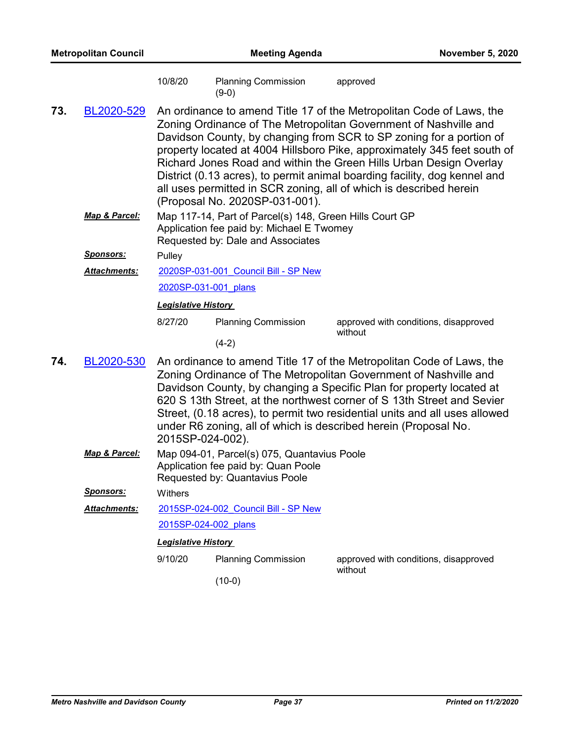| 10/8/20 | <b>Planning Commission</b> | approved |  |
|---------|----------------------------|----------|--|
|         | $(9-0)$                    |          |  |

- An ordinance to amend Title 17 of the Metropolitan Code of Laws, the Zoning Ordinance of The Metropolitan Government of Nashville and Davidson County, by changing from SCR to SP zoning for a portion of property located at 4004 Hillsboro Pike, approximately 345 feet south of Richard Jones Road and within the Green Hills Urban Design Overlay District (0.13 acres), to permit animal boarding facility, dog kennel and all uses permitted in SCR zoning, all of which is described herein (Proposal No. 2020SP-031-001). **73.** [BL2020-529](http://nashville.legistar.com/gateway.aspx?m=l&id=/matter.aspx?key=1357)
	- Map 117-14, Part of Parcel(s) 148, Green Hills Court GP Application fee paid by: Michael E Twomey Requested by: Dale and Associates *Map & Parcel:*

*Sponsors:* Pulley

[2020SP-031-001\\_Council Bill - SP New](http://nashville.legistar.com/gateway.aspx?M=F&ID=41844621-cc8d-4ea5-9ffe-0862df117b4c.pdf) *Attachments:*

[2020SP-031-001\\_plans](http://nashville.legistar.com/gateway.aspx?M=F&ID=5c919372-b6ef-45d1-8568-2c5b32f9739d.pdf)

*Legislative History* 

8/27/20 Planning Commission approved with conditions, disapproved without

- (4-2)
- An ordinance to amend Title 17 of the Metropolitan Code of Laws, the Zoning Ordinance of The Metropolitan Government of Nashville and Davidson County, by changing a Specific Plan for property located at 620 S 13th Street, at the northwest corner of S 13th Street and Sevier Street, (0.18 acres), to permit two residential units and all uses allowed under R6 zoning, all of which is described herein (Proposal No. 2015SP-024-002). **74.** [BL2020-530](http://nashville.legistar.com/gateway.aspx?m=l&id=/matter.aspx?key=1587)
	- Map 094-01, Parcel(s) 075, Quantavius Poole Application fee paid by: Quan Poole Requested by: Quantavius Poole *Map & Parcel:*

*Sponsors:* Withers

[2015SP-024-002\\_Council Bill - SP New](http://nashville.legistar.com/gateway.aspx?M=F&ID=a177eaf2-a557-4f06-aad4-2a06a256231e.docx) [2015SP-024-002\\_plans](http://nashville.legistar.com/gateway.aspx?M=F&ID=65fcd04d-8949-460c-88f6-0c8038f2a856.pdf) *Attachments:*

#### *Legislative History*

9/10/20 Planning Commission approved with conditions, disapproved without

(10-0)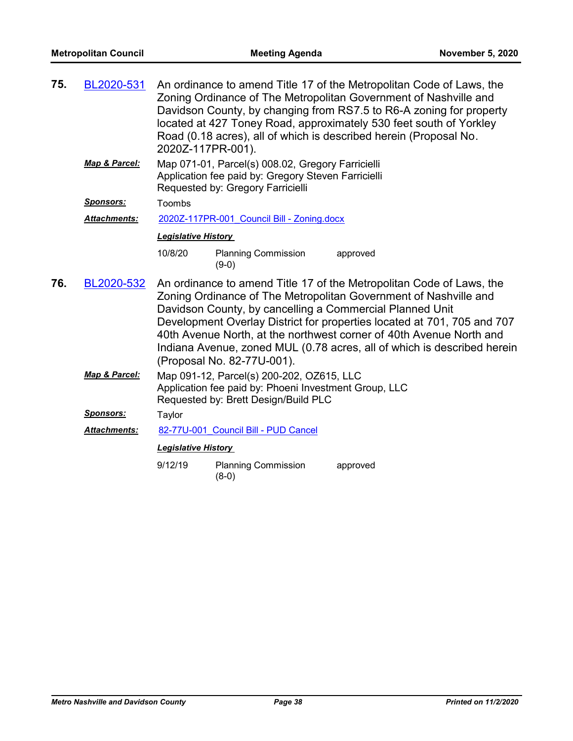| 75. | BL2020-531       | An ordinance to amend Title 17 of the Metropolitan Code of Laws, the<br>Zoning Ordinance of The Metropolitan Government of Nashville and<br>Davidson County, by changing from RS7.5 to R6-A zoning for property<br>located at 427 Toney Road, approximately 530 feet south of Yorkley<br>Road (0.18 acres), all of which is described herein (Proposal No.<br>2020Z-117PR-001). |                                            |                                                                                                                                                                                                                                                                                                                                                                                                                                   |  |  |
|-----|------------------|---------------------------------------------------------------------------------------------------------------------------------------------------------------------------------------------------------------------------------------------------------------------------------------------------------------------------------------------------------------------------------|--------------------------------------------|-----------------------------------------------------------------------------------------------------------------------------------------------------------------------------------------------------------------------------------------------------------------------------------------------------------------------------------------------------------------------------------------------------------------------------------|--|--|
|     | Map & Parcel:    | Map 071-01, Parcel(s) 008.02, Gregory Farricielli<br>Application fee paid by: Gregory Steven Farricielli<br>Requested by: Gregory Farricielli                                                                                                                                                                                                                                   |                                            |                                                                                                                                                                                                                                                                                                                                                                                                                                   |  |  |
|     | Sponsors:        | Toombs                                                                                                                                                                                                                                                                                                                                                                          |                                            |                                                                                                                                                                                                                                                                                                                                                                                                                                   |  |  |
|     | Attachments:     |                                                                                                                                                                                                                                                                                                                                                                                 | 2020Z-117PR-001 Council Bill - Zoning.docx |                                                                                                                                                                                                                                                                                                                                                                                                                                   |  |  |
|     |                  | <b>Legislative History</b>                                                                                                                                                                                                                                                                                                                                                      |                                            |                                                                                                                                                                                                                                                                                                                                                                                                                                   |  |  |
|     |                  | 10/8/20                                                                                                                                                                                                                                                                                                                                                                         | <b>Planning Commission</b><br>$(9-0)$      | approved                                                                                                                                                                                                                                                                                                                                                                                                                          |  |  |
| 76. | BL2020-532       |                                                                                                                                                                                                                                                                                                                                                                                 | (Proposal No. 82-77U-001).                 | An ordinance to amend Title 17 of the Metropolitan Code of Laws, the<br>Zoning Ordinance of The Metropolitan Government of Nashville and<br>Davidson County, by cancelling a Commercial Planned Unit<br>Development Overlay District for properties located at 701, 705 and 707<br>40th Avenue North, at the northwest corner of 40th Avenue North and<br>Indiana Avenue, zoned MUL (0.78 acres, all of which is described herein |  |  |
|     | Map & Parcel:    | Map 091-12, Parcel(s) 200-202, OZ615, LLC<br>Application fee paid by: Phoeni Investment Group, LLC<br>Requested by: Brett Design/Build PLC                                                                                                                                                                                                                                      |                                            |                                                                                                                                                                                                                                                                                                                                                                                                                                   |  |  |
|     | <u>Sponsors:</u> | Taylor                                                                                                                                                                                                                                                                                                                                                                          |                                            |                                                                                                                                                                                                                                                                                                                                                                                                                                   |  |  |
|     | Attachments:     |                                                                                                                                                                                                                                                                                                                                                                                 | 82-77U-001 Council Bill - PUD Cancel       |                                                                                                                                                                                                                                                                                                                                                                                                                                   |  |  |
|     |                  | <b>Legislative History</b>                                                                                                                                                                                                                                                                                                                                                      |                                            |                                                                                                                                                                                                                                                                                                                                                                                                                                   |  |  |
|     |                  | 9/12/19                                                                                                                                                                                                                                                                                                                                                                         | <b>Planning Commission</b><br>$(8-0)$      | approved                                                                                                                                                                                                                                                                                                                                                                                                                          |  |  |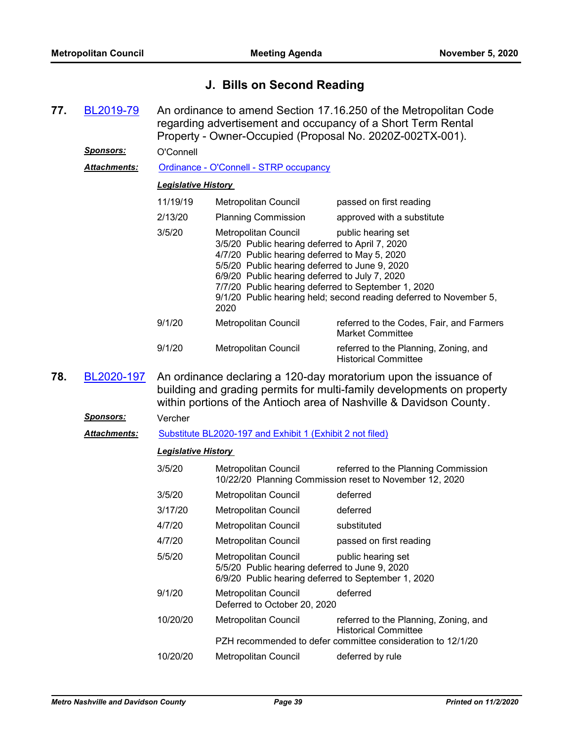## **J. Bills on Second Reading**

| 77. | BL2019-79           | An ordinance to amend Section 17.16.250 of the Metropolitan Code<br>regarding advertisement and occupancy of a Short Term Rental<br>Property - Owner-Occupied (Proposal No. 2020Z-002TX-001).                                                                                                                                                                                                     |                                                                                                                               |                                                                                                                                     |
|-----|---------------------|---------------------------------------------------------------------------------------------------------------------------------------------------------------------------------------------------------------------------------------------------------------------------------------------------------------------------------------------------------------------------------------------------|-------------------------------------------------------------------------------------------------------------------------------|-------------------------------------------------------------------------------------------------------------------------------------|
|     | <u>Sponsors:</u>    | O'Connell                                                                                                                                                                                                                                                                                                                                                                                         |                                                                                                                               |                                                                                                                                     |
|     | <b>Attachments:</b> |                                                                                                                                                                                                                                                                                                                                                                                                   | Ordinance - O'Connell - STRP occupancy                                                                                        |                                                                                                                                     |
|     |                     | <b>Legislative History</b>                                                                                                                                                                                                                                                                                                                                                                        |                                                                                                                               |                                                                                                                                     |
|     |                     | 11/19/19                                                                                                                                                                                                                                                                                                                                                                                          | <b>Metropolitan Council</b>                                                                                                   | passed on first reading                                                                                                             |
|     |                     | 2/13/20                                                                                                                                                                                                                                                                                                                                                                                           | <b>Planning Commission</b>                                                                                                    | approved with a substitute                                                                                                          |
|     |                     | 3/5/20<br>Metropolitan Council<br>public hearing set<br>3/5/20 Public hearing deferred to April 7, 2020<br>4/7/20 Public hearing deferred to May 5, 2020<br>5/5/20 Public hearing deferred to June 9, 2020<br>6/9/20 Public hearing deferred to July 7, 2020<br>7/7/20 Public hearing deferred to September 1, 2020<br>9/1/20 Public hearing held; second reading deferred to November 5,<br>2020 |                                                                                                                               |                                                                                                                                     |
|     |                     | 9/1/20                                                                                                                                                                                                                                                                                                                                                                                            | <b>Metropolitan Council</b>                                                                                                   | referred to the Codes, Fair, and Farmers<br><b>Market Committee</b>                                                                 |
|     |                     | 9/1/20                                                                                                                                                                                                                                                                                                                                                                                            | Metropolitan Council                                                                                                          | referred to the Planning, Zoning, and<br><b>Historical Committee</b>                                                                |
| 78. | BL2020-197          | An ordinance declaring a 120-day moratorium upon the issuance of<br>building and grading permits for multi-family developments on property<br>within portions of the Antioch area of Nashville & Davidson County.                                                                                                                                                                                 |                                                                                                                               |                                                                                                                                     |
|     | <u>Sponsors:</u>    | Vercher                                                                                                                                                                                                                                                                                                                                                                                           |                                                                                                                               |                                                                                                                                     |
|     | <b>Attachments:</b> |                                                                                                                                                                                                                                                                                                                                                                                                   | Substitute BL2020-197 and Exhibit 1 (Exhibit 2 not filed)                                                                     |                                                                                                                                     |
|     |                     | <b>Legislative History</b>                                                                                                                                                                                                                                                                                                                                                                        |                                                                                                                               |                                                                                                                                     |
|     |                     | 3/5/20                                                                                                                                                                                                                                                                                                                                                                                            | Metropolitan Council                                                                                                          | referred to the Planning Commission<br>10/22/20 Planning Commission reset to November 12, 2020                                      |
|     |                     | 3/5/20                                                                                                                                                                                                                                                                                                                                                                                            | Metropolitan Council                                                                                                          | deferred                                                                                                                            |
|     |                     | 3/17/20                                                                                                                                                                                                                                                                                                                                                                                           | Metropolitan Council                                                                                                          | deferred                                                                                                                            |
|     |                     | 4/7/20                                                                                                                                                                                                                                                                                                                                                                                            | Metropolitan Council                                                                                                          | substituted                                                                                                                         |
|     |                     | 4/7/20                                                                                                                                                                                                                                                                                                                                                                                            | Metropolitan Council                                                                                                          | passed on first reading                                                                                                             |
|     |                     | 5/5/20                                                                                                                                                                                                                                                                                                                                                                                            | Metropolitan Council<br>5/5/20 Public hearing deferred to June 9, 2020<br>6/9/20 Public hearing deferred to September 1, 2020 | public hearing set                                                                                                                  |
|     |                     | 9/1/20                                                                                                                                                                                                                                                                                                                                                                                            | Metropolitan Council<br>Deferred to October 20, 2020                                                                          | deferred                                                                                                                            |
|     |                     | 10/20/20                                                                                                                                                                                                                                                                                                                                                                                          | Metropolitan Council                                                                                                          | referred to the Planning, Zoning, and<br><b>Historical Committee</b><br>PZH recommended to defer committee consideration to 12/1/20 |
|     |                     | 10/20/20                                                                                                                                                                                                                                                                                                                                                                                          | Metropolitan Council                                                                                                          | deferred by rule                                                                                                                    |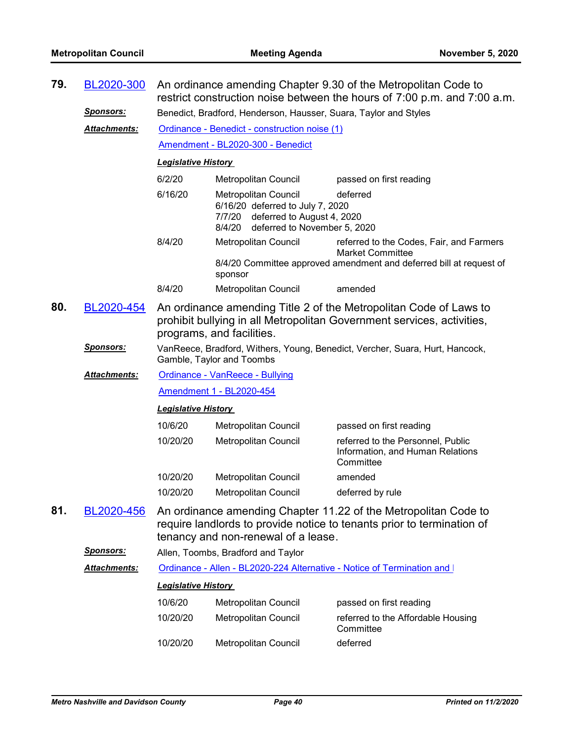|     | 79.<br>BL2020-300<br>An ordinance amending Chapter 9.30 of the Metropolitan Code to<br>restrict construction noise between the hours of 7:00 p.m. and 7:00 a.m. |                                                                                                                                                                          |                                                                                                                                         |                                                                                                                                            |  |  |
|-----|-----------------------------------------------------------------------------------------------------------------------------------------------------------------|--------------------------------------------------------------------------------------------------------------------------------------------------------------------------|-----------------------------------------------------------------------------------------------------------------------------------------|--------------------------------------------------------------------------------------------------------------------------------------------|--|--|
|     | <u>Sponsors:</u>                                                                                                                                                | Benedict, Bradford, Henderson, Hausser, Suara, Taylor and Styles                                                                                                         |                                                                                                                                         |                                                                                                                                            |  |  |
|     | <b>Attachments:</b>                                                                                                                                             | Ordinance - Benedict - construction noise (1)                                                                                                                            |                                                                                                                                         |                                                                                                                                            |  |  |
|     |                                                                                                                                                                 |                                                                                                                                                                          | Amendment - BL2020-300 - Benedict                                                                                                       |                                                                                                                                            |  |  |
|     |                                                                                                                                                                 | <b>Legislative History</b>                                                                                                                                               |                                                                                                                                         |                                                                                                                                            |  |  |
|     |                                                                                                                                                                 | 6/2/20                                                                                                                                                                   | Metropolitan Council                                                                                                                    | passed on first reading                                                                                                                    |  |  |
|     |                                                                                                                                                                 | 6/16/20                                                                                                                                                                  | Metropolitan Council<br>6/16/20 deferred to July 7, 2020<br>7/7/20 deferred to August 4, 2020<br>8/4/20<br>deferred to November 5, 2020 | deferred                                                                                                                                   |  |  |
|     |                                                                                                                                                                 | 8/4/20                                                                                                                                                                   | <b>Metropolitan Council</b>                                                                                                             | referred to the Codes, Fair, and Farmers<br><b>Market Committee</b><br>8/4/20 Committee approved amendment and deferred bill at request of |  |  |
|     |                                                                                                                                                                 |                                                                                                                                                                          | sponsor                                                                                                                                 |                                                                                                                                            |  |  |
|     |                                                                                                                                                                 | 8/4/20                                                                                                                                                                   | Metropolitan Council                                                                                                                    | amended                                                                                                                                    |  |  |
| 80. | BL2020-454                                                                                                                                                      | An ordinance amending Title 2 of the Metropolitan Code of Laws to<br>prohibit bullying in all Metropolitan Government services, activities,<br>programs, and facilities. |                                                                                                                                         |                                                                                                                                            |  |  |
|     | <u>Sponsors:</u>                                                                                                                                                | VanReece, Bradford, Withers, Young, Benedict, Vercher, Suara, Hurt, Hancock,<br>Gamble, Taylor and Toombs                                                                |                                                                                                                                         |                                                                                                                                            |  |  |
|     | <b>Attachments:</b>                                                                                                                                             | Ordinance - VanReece - Bullying                                                                                                                                          |                                                                                                                                         |                                                                                                                                            |  |  |
|     |                                                                                                                                                                 |                                                                                                                                                                          |                                                                                                                                         |                                                                                                                                            |  |  |
|     |                                                                                                                                                                 |                                                                                                                                                                          | Amendment 1 - BL2020-454                                                                                                                |                                                                                                                                            |  |  |
|     |                                                                                                                                                                 | <b>Legislative History</b>                                                                                                                                               |                                                                                                                                         |                                                                                                                                            |  |  |
|     |                                                                                                                                                                 | 10/6/20                                                                                                                                                                  | Metropolitan Council                                                                                                                    | passed on first reading                                                                                                                    |  |  |
|     |                                                                                                                                                                 | 10/20/20                                                                                                                                                                 | Metropolitan Council                                                                                                                    | referred to the Personnel, Public<br>Information, and Human Relations<br>Committee                                                         |  |  |
|     |                                                                                                                                                                 | 10/20/20                                                                                                                                                                 | Metropolitan Council                                                                                                                    | amended                                                                                                                                    |  |  |
|     |                                                                                                                                                                 | 10/20/20                                                                                                                                                                 | <b>Metropolitan Council</b>                                                                                                             | deferred by rule                                                                                                                           |  |  |
| 81. | BL2020-456                                                                                                                                                      |                                                                                                                                                                          | tenancy and non-renewal of a lease.                                                                                                     | An ordinance amending Chapter 11.22 of the Metropolitan Code to<br>require landlords to provide notice to tenants prior to termination of  |  |  |
|     | Sponsors:                                                                                                                                                       |                                                                                                                                                                          | Allen, Toombs, Bradford and Taylor                                                                                                      |                                                                                                                                            |  |  |
|     | Attachments:                                                                                                                                                    |                                                                                                                                                                          |                                                                                                                                         | Ordinance - Allen - BL2020-224 Alternative - Notice of Termination and I                                                                   |  |  |
|     |                                                                                                                                                                 | <b>Legislative History</b>                                                                                                                                               |                                                                                                                                         |                                                                                                                                            |  |  |
|     |                                                                                                                                                                 | 10/6/20                                                                                                                                                                  | Metropolitan Council                                                                                                                    | passed on first reading                                                                                                                    |  |  |
|     |                                                                                                                                                                 | 10/20/20                                                                                                                                                                 | Metropolitan Council                                                                                                                    | referred to the Affordable Housing<br>Committee                                                                                            |  |  |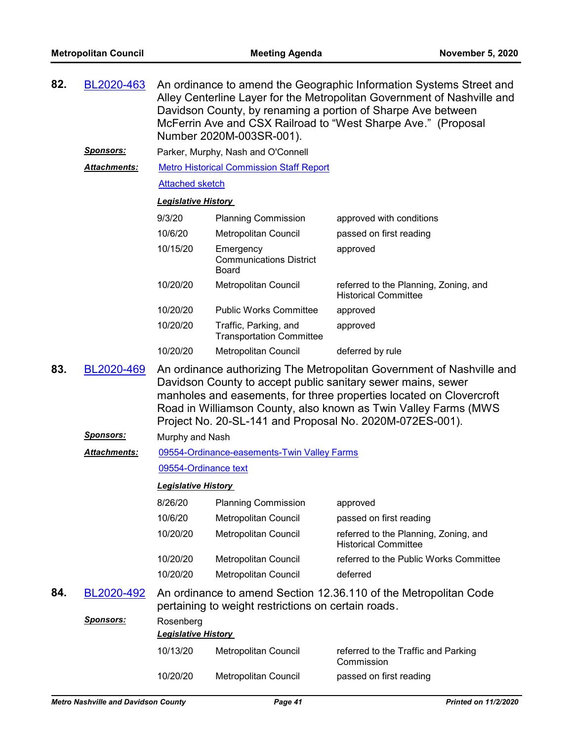| 82.<br>BL2020-463<br>Davidson County, by renaming a portion of Sharpe Ave between<br>McFerrin Ave and CSX Railroad to "West Sharpe Ave." (Proposal<br>Number 2020M-003SR-001). |                     |                                                                     |                                                             | An ordinance to amend the Geographic Information Systems Street and<br>Alley Centerline Layer for the Metropolitan Government of Nashville and                                                                                                                     |  |  |
|--------------------------------------------------------------------------------------------------------------------------------------------------------------------------------|---------------------|---------------------------------------------------------------------|-------------------------------------------------------------|--------------------------------------------------------------------------------------------------------------------------------------------------------------------------------------------------------------------------------------------------------------------|--|--|
|                                                                                                                                                                                | <u>Sponsors:</u>    |                                                                     | Parker, Murphy, Nash and O'Connell                          |                                                                                                                                                                                                                                                                    |  |  |
|                                                                                                                                                                                | Attachments:        |                                                                     | <b>Metro Historical Commission Staff Report</b>             |                                                                                                                                                                                                                                                                    |  |  |
|                                                                                                                                                                                |                     | <b>Attached sketch</b>                                              |                                                             |                                                                                                                                                                                                                                                                    |  |  |
|                                                                                                                                                                                |                     | <b>Legislative History</b>                                          |                                                             |                                                                                                                                                                                                                                                                    |  |  |
|                                                                                                                                                                                |                     | 9/3/20                                                              | <b>Planning Commission</b>                                  | approved with conditions                                                                                                                                                                                                                                           |  |  |
|                                                                                                                                                                                |                     | 10/6/20                                                             | Metropolitan Council                                        | passed on first reading                                                                                                                                                                                                                                            |  |  |
|                                                                                                                                                                                |                     | 10/15/20                                                            | Emergency<br><b>Communications District</b><br><b>Board</b> | approved                                                                                                                                                                                                                                                           |  |  |
|                                                                                                                                                                                |                     | 10/20/20                                                            | Metropolitan Council                                        | referred to the Planning, Zoning, and<br><b>Historical Committee</b>                                                                                                                                                                                               |  |  |
|                                                                                                                                                                                |                     | 10/20/20                                                            | <b>Public Works Committee</b>                               | approved                                                                                                                                                                                                                                                           |  |  |
|                                                                                                                                                                                |                     | 10/20/20                                                            | Traffic, Parking, and<br><b>Transportation Committee</b>    | approved                                                                                                                                                                                                                                                           |  |  |
|                                                                                                                                                                                |                     | 10/20/20                                                            | Metropolitan Council                                        | deferred by rule                                                                                                                                                                                                                                                   |  |  |
|                                                                                                                                                                                | <u>Sponsors:</u>    | Murphy and Nash                                                     |                                                             | Davidson County to accept public sanitary sewer mains, sewer<br>manholes and easements, for three properties located on Clovercroft<br>Road in Williamson County, also known as Twin Valley Farms (MWS<br>Project No. 20-SL-141 and Proposal No. 2020M-072ES-001). |  |  |
|                                                                                                                                                                                | <b>Attachments:</b> |                                                                     |                                                             |                                                                                                                                                                                                                                                                    |  |  |
|                                                                                                                                                                                |                     | 09554-Ordinance-easements-Twin Valley Farms<br>09554-Ordinance text |                                                             |                                                                                                                                                                                                                                                                    |  |  |
|                                                                                                                                                                                |                     |                                                                     |                                                             |                                                                                                                                                                                                                                                                    |  |  |
|                                                                                                                                                                                |                     | <b>Legislative History</b>                                          |                                                             |                                                                                                                                                                                                                                                                    |  |  |
|                                                                                                                                                                                |                     | 8/26/20                                                             | <b>Planning Commission</b>                                  | approved                                                                                                                                                                                                                                                           |  |  |
|                                                                                                                                                                                |                     | 10/6/20                                                             | <b>Metropolitan Council</b>                                 | passed on first reading                                                                                                                                                                                                                                            |  |  |
|                                                                                                                                                                                |                     | 10/20/20                                                            | Metropolitan Council                                        | referred to the Planning, Zoning, and<br><b>Historical Committee</b>                                                                                                                                                                                               |  |  |
|                                                                                                                                                                                |                     | 10/20/20                                                            | Metropolitan Council                                        | referred to the Public Works Committee                                                                                                                                                                                                                             |  |  |
|                                                                                                                                                                                |                     | 10/20/20                                                            | Metropolitan Council                                        | deferred                                                                                                                                                                                                                                                           |  |  |
| 84.                                                                                                                                                                            | BL2020-492          |                                                                     | pertaining to weight restrictions on certain roads.         | An ordinance to amend Section 12.36.110 of the Metropolitan Code                                                                                                                                                                                                   |  |  |
|                                                                                                                                                                                | <b>Sponsors:</b>    | Rosenberg<br><b>Legislative History</b>                             |                                                             |                                                                                                                                                                                                                                                                    |  |  |
|                                                                                                                                                                                |                     | 10/13/20                                                            | <b>Metropolitan Council</b>                                 | referred to the Traffic and Parking<br>Commission                                                                                                                                                                                                                  |  |  |
|                                                                                                                                                                                |                     | 10/20/20                                                            | Metropolitan Council                                        | passed on first reading                                                                                                                                                                                                                                            |  |  |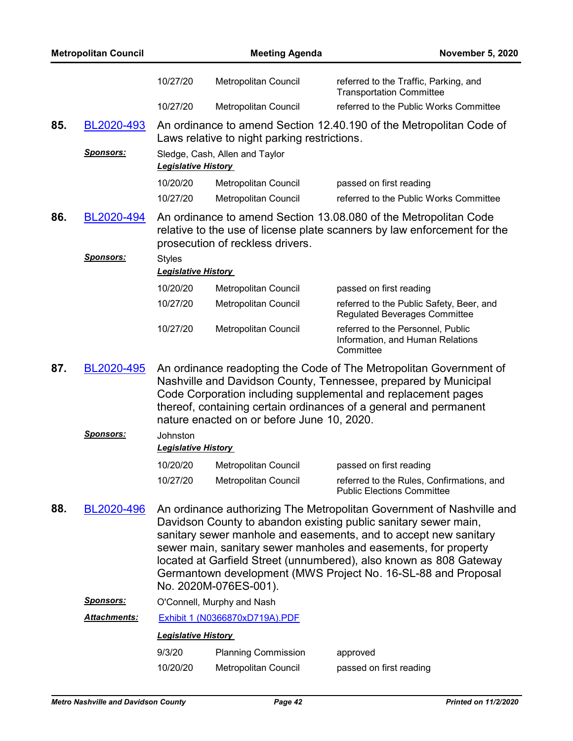| <b>Metropolitan Council</b> |                         |                                        | <b>Meeting Agenda</b><br><b>November 5, 2020</b> |                                                                                                                                                                                                                                                                                                                                                                                                                        |
|-----------------------------|-------------------------|----------------------------------------|--------------------------------------------------|------------------------------------------------------------------------------------------------------------------------------------------------------------------------------------------------------------------------------------------------------------------------------------------------------------------------------------------------------------------------------------------------------------------------|
|                             |                         | 10/27/20                               | Metropolitan Council                             | referred to the Traffic, Parking, and<br><b>Transportation Committee</b>                                                                                                                                                                                                                                                                                                                                               |
|                             |                         | 10/27/20                               | <b>Metropolitan Council</b>                      | referred to the Public Works Committee                                                                                                                                                                                                                                                                                                                                                                                 |
| 85.                         | BL2020-493              |                                        | Laws relative to night parking restrictions.     | An ordinance to amend Section 12.40.190 of the Metropolitan Code of                                                                                                                                                                                                                                                                                                                                                    |
|                             | <u>Sponsors:</u>        | <b>Legislative History</b>             | Sledge, Cash, Allen and Taylor                   |                                                                                                                                                                                                                                                                                                                                                                                                                        |
|                             |                         | 10/20/20                               | Metropolitan Council                             | passed on first reading                                                                                                                                                                                                                                                                                                                                                                                                |
|                             |                         | 10/27/20                               | Metropolitan Council                             | referred to the Public Works Committee                                                                                                                                                                                                                                                                                                                                                                                 |
| 86.                         | BL2020-494<br>Sponsors: | <b>Styles</b>                          | prosecution of reckless drivers.                 | An ordinance to amend Section 13.08.080 of the Metropolitan Code<br>relative to the use of license plate scanners by law enforcement for the                                                                                                                                                                                                                                                                           |
|                             |                         | <b>Legislative History</b>             |                                                  |                                                                                                                                                                                                                                                                                                                                                                                                                        |
|                             |                         | 10/20/20                               | Metropolitan Council                             | passed on first reading                                                                                                                                                                                                                                                                                                                                                                                                |
|                             |                         | 10/27/20                               | Metropolitan Council                             | referred to the Public Safety, Beer, and<br><b>Regulated Beverages Committee</b>                                                                                                                                                                                                                                                                                                                                       |
|                             |                         | 10/27/20                               | Metropolitan Council                             | referred to the Personnel, Public<br>Information, and Human Relations<br>Committee                                                                                                                                                                                                                                                                                                                                     |
| 87.                         | BL2020-495              |                                        | nature enacted on or before June 10, 2020.       | An ordinance readopting the Code of The Metropolitan Government of<br>Nashville and Davidson County, Tennessee, prepared by Municipal<br>Code Corporation including supplemental and replacement pages<br>thereof, containing certain ordinances of a general and permanent                                                                                                                                            |
|                             | <b>Sponsors:</b>        | Johnston<br><b>Legislative History</b> |                                                  |                                                                                                                                                                                                                                                                                                                                                                                                                        |
|                             |                         |                                        | 10/20/20 Metropolitan Council                    | passed on first reading                                                                                                                                                                                                                                                                                                                                                                                                |
|                             |                         | 10/27/20                               | Metropolitan Council                             | referred to the Rules, Confirmations, and<br><b>Public Elections Committee</b>                                                                                                                                                                                                                                                                                                                                         |
| 88.                         | BL2020-496              |                                        | No. 2020M-076ES-001).                            | An ordinance authorizing The Metropolitan Government of Nashville and<br>Davidson County to abandon existing public sanitary sewer main,<br>sanitary sewer manhole and easements, and to accept new sanitary<br>sewer main, sanitary sewer manholes and easements, for property<br>located at Garfield Street (unnumbered), also known as 808 Gateway<br>Germantown development (MWS Project No. 16-SL-88 and Proposal |
|                             | <b>Sponsors:</b>        |                                        | O'Connell, Murphy and Nash                       |                                                                                                                                                                                                                                                                                                                                                                                                                        |
|                             | Attachments:            |                                        | Exhibit 1 (N0366870xD719A).PDF                   |                                                                                                                                                                                                                                                                                                                                                                                                                        |
|                             |                         | <b>Legislative History</b>             |                                                  |                                                                                                                                                                                                                                                                                                                                                                                                                        |
|                             |                         | 9/3/20                                 | <b>Planning Commission</b>                       | approved                                                                                                                                                                                                                                                                                                                                                                                                               |
|                             |                         | 10/20/20                               | Metropolitan Council                             | passed on first reading                                                                                                                                                                                                                                                                                                                                                                                                |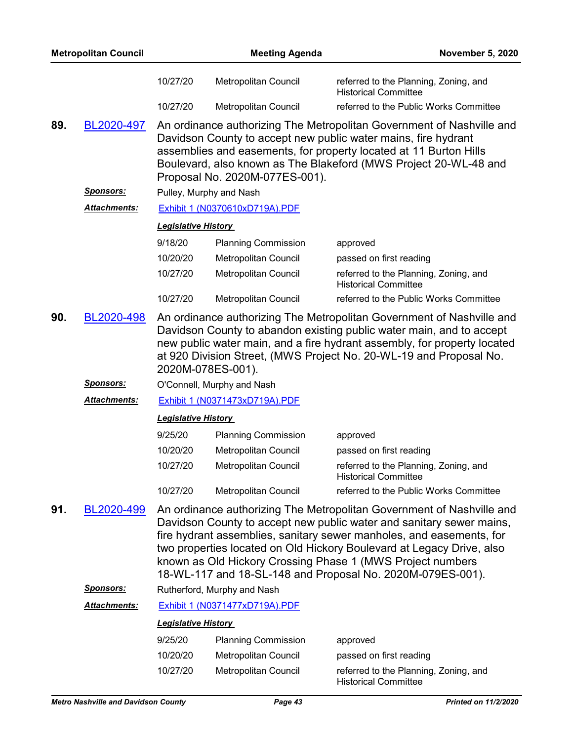|     | <b>Metropolitan Council</b>     |                                                                                                                                                                                                                                                                                                                                                    | <b>Meeting Agenda</b>                        | <b>November 5, 2020</b>                                                                                                                                                                                                                                                                                                                                                                                                    |  |
|-----|---------------------------------|----------------------------------------------------------------------------------------------------------------------------------------------------------------------------------------------------------------------------------------------------------------------------------------------------------------------------------------------------|----------------------------------------------|----------------------------------------------------------------------------------------------------------------------------------------------------------------------------------------------------------------------------------------------------------------------------------------------------------------------------------------------------------------------------------------------------------------------------|--|
|     |                                 | 10/27/20                                                                                                                                                                                                                                                                                                                                           | Metropolitan Council                         | referred to the Planning, Zoning, and<br><b>Historical Committee</b>                                                                                                                                                                                                                                                                                                                                                       |  |
|     |                                 | 10/27/20                                                                                                                                                                                                                                                                                                                                           | <b>Metropolitan Council</b>                  | referred to the Public Works Committee                                                                                                                                                                                                                                                                                                                                                                                     |  |
| 89. | BL2020-497                      |                                                                                                                                                                                                                                                                                                                                                    | Proposal No. 2020M-077ES-001).               | An ordinance authorizing The Metropolitan Government of Nashville and<br>Davidson County to accept new public water mains, fire hydrant<br>assemblies and easements, for property located at 11 Burton Hills<br>Boulevard, also known as The Blakeford (MWS Project 20-WL-48 and                                                                                                                                           |  |
|     | <u> Sponsors:</u>               |                                                                                                                                                                                                                                                                                                                                                    | Pulley, Murphy and Nash                      |                                                                                                                                                                                                                                                                                                                                                                                                                            |  |
|     | <b>Attachments:</b>             |                                                                                                                                                                                                                                                                                                                                                    | Exhibit 1 (N0370610xD719A).PDF               |                                                                                                                                                                                                                                                                                                                                                                                                                            |  |
|     |                                 | <b>Legislative History</b>                                                                                                                                                                                                                                                                                                                         |                                              |                                                                                                                                                                                                                                                                                                                                                                                                                            |  |
|     |                                 | 9/18/20                                                                                                                                                                                                                                                                                                                                            | <b>Planning Commission</b>                   | approved                                                                                                                                                                                                                                                                                                                                                                                                                   |  |
|     |                                 | 10/20/20                                                                                                                                                                                                                                                                                                                                           | Metropolitan Council                         | passed on first reading                                                                                                                                                                                                                                                                                                                                                                                                    |  |
|     |                                 | 10/27/20                                                                                                                                                                                                                                                                                                                                           | <b>Metropolitan Council</b>                  | referred to the Planning, Zoning, and<br><b>Historical Committee</b>                                                                                                                                                                                                                                                                                                                                                       |  |
|     |                                 | 10/27/20                                                                                                                                                                                                                                                                                                                                           | <b>Metropolitan Council</b>                  | referred to the Public Works Committee                                                                                                                                                                                                                                                                                                                                                                                     |  |
| 90. | BL2020-498<br><u> Sponsors:</u> | An ordinance authorizing The Metropolitan Government of Nashville and<br>Davidson County to abandon existing public water main, and to accept<br>new public water main, and a fire hydrant assembly, for property located<br>at 920 Division Street, (MWS Project No. 20-WL-19 and Proposal No.<br>2020M-078ES-001).<br>O'Connell, Murphy and Nash |                                              |                                                                                                                                                                                                                                                                                                                                                                                                                            |  |
|     | Attachments:                    |                                                                                                                                                                                                                                                                                                                                                    |                                              |                                                                                                                                                                                                                                                                                                                                                                                                                            |  |
|     |                                 | Exhibit 1 (N0371473xD719A).PDF<br><b>Legislative History</b>                                                                                                                                                                                                                                                                                       |                                              |                                                                                                                                                                                                                                                                                                                                                                                                                            |  |
|     |                                 |                                                                                                                                                                                                                                                                                                                                                    |                                              |                                                                                                                                                                                                                                                                                                                                                                                                                            |  |
|     |                                 | 9/25/20                                                                                                                                                                                                                                                                                                                                            | <b>Planning Commission</b>                   | approved                                                                                                                                                                                                                                                                                                                                                                                                                   |  |
|     |                                 | 10/20/20<br>10/27/20                                                                                                                                                                                                                                                                                                                               | Metropolitan Council<br>Metropolitan Council | passed on first reading                                                                                                                                                                                                                                                                                                                                                                                                    |  |
|     |                                 |                                                                                                                                                                                                                                                                                                                                                    |                                              | referred to the Planning, Zoning, and<br><b>Historical Committee</b>                                                                                                                                                                                                                                                                                                                                                       |  |
|     |                                 | 10/27/20                                                                                                                                                                                                                                                                                                                                           | <b>Metropolitan Council</b>                  | referred to the Public Works Committee                                                                                                                                                                                                                                                                                                                                                                                     |  |
| 91. | BL2020-499                      |                                                                                                                                                                                                                                                                                                                                                    |                                              | An ordinance authorizing The Metropolitan Government of Nashville and<br>Davidson County to accept new public water and sanitary sewer mains,<br>fire hydrant assemblies, sanitary sewer manholes, and easements, for<br>two properties located on Old Hickory Boulevard at Legacy Drive, also<br>known as Old Hickory Crossing Phase 1 (MWS Project numbers<br>18-WL-117 and 18-SL-148 and Proposal No. 2020M-079ES-001). |  |
|     | <b>Sponsors:</b>                |                                                                                                                                                                                                                                                                                                                                                    | Rutherford, Murphy and Nash                  |                                                                                                                                                                                                                                                                                                                                                                                                                            |  |
|     | Attachments:                    |                                                                                                                                                                                                                                                                                                                                                    | Exhibit 1 (N0371477xD719A).PDF               |                                                                                                                                                                                                                                                                                                                                                                                                                            |  |
|     |                                 | <b>Legislative History</b>                                                                                                                                                                                                                                                                                                                         |                                              |                                                                                                                                                                                                                                                                                                                                                                                                                            |  |
|     |                                 | 9/25/20                                                                                                                                                                                                                                                                                                                                            | <b>Planning Commission</b>                   | approved                                                                                                                                                                                                                                                                                                                                                                                                                   |  |
|     |                                 | 10/20/20                                                                                                                                                                                                                                                                                                                                           | Metropolitan Council                         | passed on first reading                                                                                                                                                                                                                                                                                                                                                                                                    |  |
|     |                                 | 10/27/20                                                                                                                                                                                                                                                                                                                                           | Metropolitan Council                         | referred to the Planning, Zoning, and<br><b>Historical Committee</b>                                                                                                                                                                                                                                                                                                                                                       |  |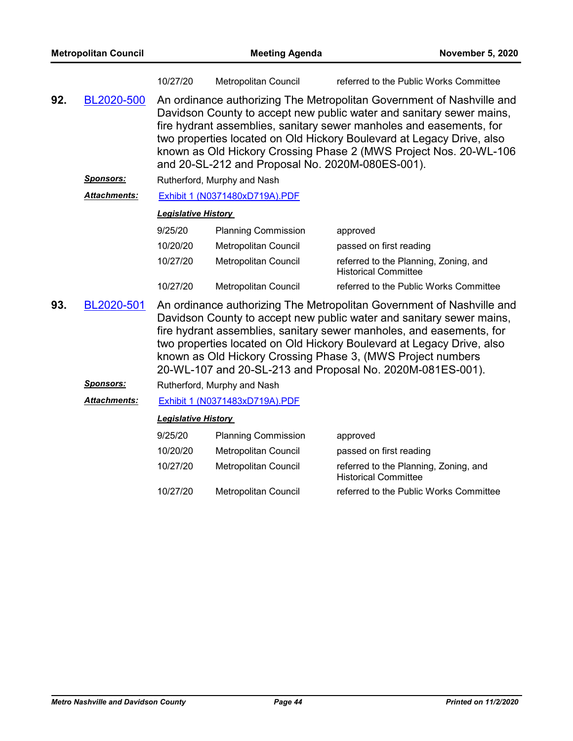|     | <b>Metropolitan Council</b> |                            | <b>Meeting Agenda</b>                            | <b>November 5, 2020</b>                                                                                                                                                                                                                                                                                                                                                                                                     |
|-----|-----------------------------|----------------------------|--------------------------------------------------|-----------------------------------------------------------------------------------------------------------------------------------------------------------------------------------------------------------------------------------------------------------------------------------------------------------------------------------------------------------------------------------------------------------------------------|
|     |                             | 10/27/20                   | Metropolitan Council                             | referred to the Public Works Committee                                                                                                                                                                                                                                                                                                                                                                                      |
| 92. | BL2020-500                  |                            | and 20-SL-212 and Proposal No. 2020M-080ES-001). | An ordinance authorizing The Metropolitan Government of Nashville and<br>Davidson County to accept new public water and sanitary sewer mains,<br>fire hydrant assemblies, sanitary sewer manholes and easements, for<br>two properties located on Old Hickory Boulevard at Legacy Drive, also<br>known as Old Hickory Crossing Phase 2 (MWS Project Nos. 20-WL-106                                                          |
|     | Sponsors:                   |                            | Rutherford, Murphy and Nash                      |                                                                                                                                                                                                                                                                                                                                                                                                                             |
|     | <b>Attachments:</b>         |                            | Exhibit 1 (N0371480xD719A).PDF                   |                                                                                                                                                                                                                                                                                                                                                                                                                             |
|     |                             | <b>Legislative History</b> |                                                  |                                                                                                                                                                                                                                                                                                                                                                                                                             |
|     |                             | 9/25/20                    | <b>Planning Commission</b>                       | approved                                                                                                                                                                                                                                                                                                                                                                                                                    |
|     |                             | 10/20/20                   | Metropolitan Council                             | passed on first reading                                                                                                                                                                                                                                                                                                                                                                                                     |
|     |                             | 10/27/20                   | Metropolitan Council                             | referred to the Planning, Zoning, and<br><b>Historical Committee</b>                                                                                                                                                                                                                                                                                                                                                        |
|     |                             | 10/27/20                   | <b>Metropolitan Council</b>                      | referred to the Public Works Committee                                                                                                                                                                                                                                                                                                                                                                                      |
| 93. | BL2020-501                  |                            |                                                  | An ordinance authorizing The Metropolitan Government of Nashville and<br>Davidson County to accept new public water and sanitary sewer mains,<br>fire hydrant assemblies, sanitary sewer manholes, and easements, for<br>two properties located on Old Hickory Boulevard at Legacy Drive, also<br>known as Old Hickory Crossing Phase 3, (MWS Project numbers<br>20-WL-107 and 20-SL-213 and Proposal No. 2020M-081ES-001). |
|     | <u>Sponsors:</u>            |                            | Rutherford, Murphy and Nash                      |                                                                                                                                                                                                                                                                                                                                                                                                                             |
|     | Attachments:                |                            | Exhibit 1 (N0371483xD719A).PDF                   |                                                                                                                                                                                                                                                                                                                                                                                                                             |
|     |                             | <b>Legislative History</b> |                                                  |                                                                                                                                                                                                                                                                                                                                                                                                                             |
|     |                             | 9/25/20                    | <b>Planning Commission</b>                       | approved                                                                                                                                                                                                                                                                                                                                                                                                                    |
|     |                             | 10/20/20                   | <b>Metropolitan Council</b>                      | passed on first reading                                                                                                                                                                                                                                                                                                                                                                                                     |
|     |                             | 10/27/20                   | Metropolitan Council                             | referred to the Planning, Zoning, and<br><b>Historical Committee</b>                                                                                                                                                                                                                                                                                                                                                        |
|     |                             | 10/27/20                   | <b>Metropolitan Council</b>                      | referred to the Public Works Committee                                                                                                                                                                                                                                                                                                                                                                                      |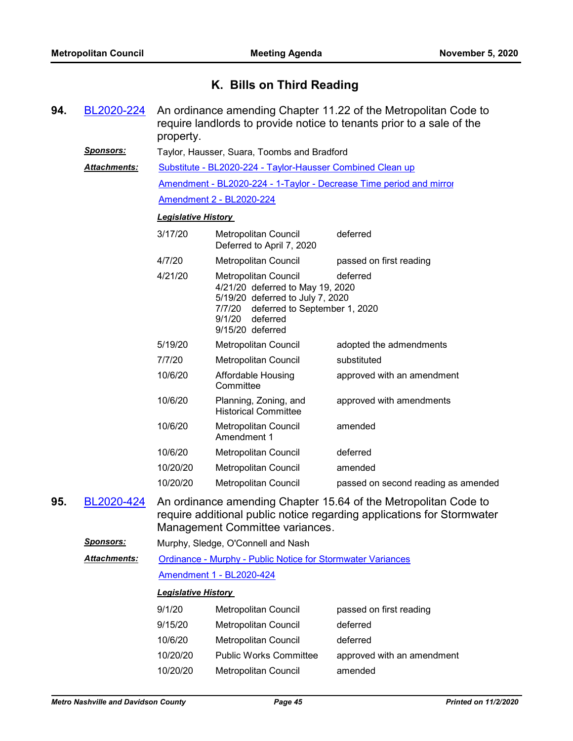## **K. Bills on Third Reading**

| 94. | BL2020-224           | property.                                                                                                                                                                                                | An ordinance amending Chapter 11.22 of the Metropolitan Code to<br>require landlords to provide notice to tenants prior to a sale of the |                                                                     |  |  |  |
|-----|----------------------|----------------------------------------------------------------------------------------------------------------------------------------------------------------------------------------------------------|------------------------------------------------------------------------------------------------------------------------------------------|---------------------------------------------------------------------|--|--|--|
|     | <u>Sponsors:</u>     | Taylor, Hausser, Suara, Toombs and Bradford                                                                                                                                                              |                                                                                                                                          |                                                                     |  |  |  |
|     | <u> Attachments:</u> |                                                                                                                                                                                                          | Substitute - BL2020-224 - Taylor-Hausser Combined Clean up                                                                               |                                                                     |  |  |  |
|     |                      |                                                                                                                                                                                                          |                                                                                                                                          | Amendment - BL2020-224 - 1-Taylor - Decrease Time period and mirror |  |  |  |
|     |                      |                                                                                                                                                                                                          | <b>Amendment 2 - BL2020-224</b>                                                                                                          |                                                                     |  |  |  |
|     |                      | <b>Legislative History</b>                                                                                                                                                                               |                                                                                                                                          |                                                                     |  |  |  |
|     |                      | 3/17/20                                                                                                                                                                                                  | Metropolitan Council<br>Deferred to April 7, 2020                                                                                        | deferred                                                            |  |  |  |
|     |                      | 4/7/20                                                                                                                                                                                                   | Metropolitan Council                                                                                                                     | passed on first reading                                             |  |  |  |
|     |                      | 4/21/20<br>Metropolitan Council<br>deferred<br>4/21/20 deferred to May 19, 2020<br>5/19/20 deferred to July 7, 2020<br>deferred to September 1, 2020<br>7/7/20<br>9/1/20<br>deferred<br>9/15/20 deferred |                                                                                                                                          |                                                                     |  |  |  |
|     |                      | 5/19/20                                                                                                                                                                                                  | Metropolitan Council                                                                                                                     | adopted the admendments                                             |  |  |  |
|     |                      | 7/7/20                                                                                                                                                                                                   | Metropolitan Council                                                                                                                     | substituted                                                         |  |  |  |
|     |                      | 10/6/20                                                                                                                                                                                                  | Affordable Housing<br>Committee                                                                                                          | approved with an amendment                                          |  |  |  |
|     |                      | 10/6/20                                                                                                                                                                                                  | Planning, Zoning, and<br><b>Historical Committee</b>                                                                                     | approved with amendments                                            |  |  |  |
|     |                      | 10/6/20                                                                                                                                                                                                  | Metropolitan Council<br>Amendment 1                                                                                                      | amended                                                             |  |  |  |
|     |                      | 10/6/20                                                                                                                                                                                                  | Metropolitan Council                                                                                                                     | deferred                                                            |  |  |  |
|     |                      | 10/20/20                                                                                                                                                                                                 | Metropolitan Council                                                                                                                     | amended                                                             |  |  |  |
|     |                      | 10/20/20                                                                                                                                                                                                 | Metropolitan Council                                                                                                                     | passed on second reading as amended                                 |  |  |  |
| 95. | .2020-424            | An ordinance amending Chapter 15.64 of the Metropolitan Code to<br>require additional public notice regarding applications for Stormwater<br>Management Committee variances.                             |                                                                                                                                          |                                                                     |  |  |  |
|     | <b>Sponsors:</b>     |                                                                                                                                                                                                          | Murphy, Sledge, O'Connell and Nash                                                                                                       |                                                                     |  |  |  |
|     | Attachments:         |                                                                                                                                                                                                          | Ordinance - Murphy - Public Notice for Stormwater Variances                                                                              |                                                                     |  |  |  |
|     |                      |                                                                                                                                                                                                          | <b>Amendment 1 - BL2020-424</b>                                                                                                          |                                                                     |  |  |  |
|     |                      | <b>Legislative History</b>                                                                                                                                                                               |                                                                                                                                          |                                                                     |  |  |  |
|     |                      | 9/1/20                                                                                                                                                                                                   | <b>Metropolitan Council</b>                                                                                                              | passed on first reading                                             |  |  |  |
|     |                      | 9/15/20                                                                                                                                                                                                  | Metropolitan Council                                                                                                                     | deferred                                                            |  |  |  |
|     |                      | 10/6/20                                                                                                                                                                                                  | Metropolitan Council                                                                                                                     | deferred                                                            |  |  |  |
|     |                      | 10/20/20                                                                                                                                                                                                 | <b>Public Works Committee</b>                                                                                                            | approved with an amendment                                          |  |  |  |
|     |                      | 10/20/20                                                                                                                                                                                                 | Metropolitan Council                                                                                                                     | amended                                                             |  |  |  |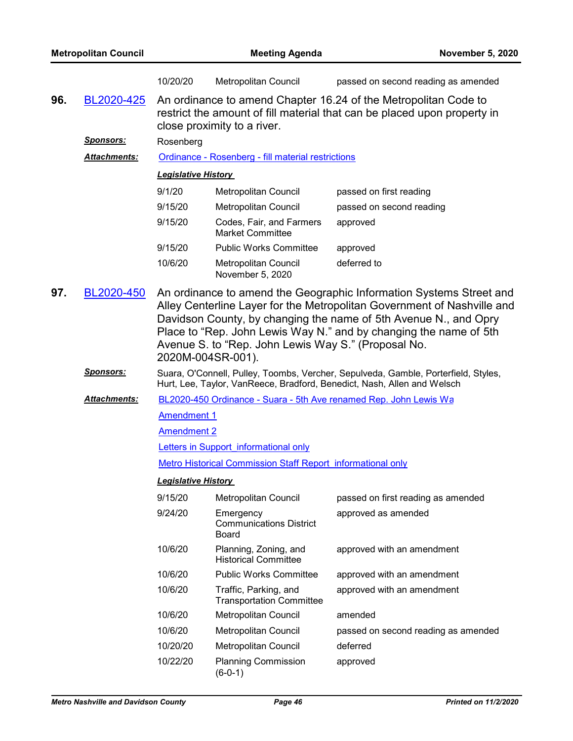|                                                                                                                                                                                   |                     | 10/20/20                                                                                                                                                                   | Metropolitan Council                                     | passed on second reading as amended                                                                                                                                                                                                                                                     |  |  |  |
|-----------------------------------------------------------------------------------------------------------------------------------------------------------------------------------|---------------------|----------------------------------------------------------------------------------------------------------------------------------------------------------------------------|----------------------------------------------------------|-----------------------------------------------------------------------------------------------------------------------------------------------------------------------------------------------------------------------------------------------------------------------------------------|--|--|--|
| 96.                                                                                                                                                                               | BL2020-425          | An ordinance to amend Chapter 16.24 of the Metropolitan Code to<br>restrict the amount of fill material that can be placed upon property in<br>close proximity to a river. |                                                          |                                                                                                                                                                                                                                                                                         |  |  |  |
|                                                                                                                                                                                   | <u>Sponsors:</u>    | Rosenberg                                                                                                                                                                  |                                                          |                                                                                                                                                                                                                                                                                         |  |  |  |
|                                                                                                                                                                                   | <b>Attachments:</b> |                                                                                                                                                                            | Ordinance - Rosenberg - fill material restrictions       |                                                                                                                                                                                                                                                                                         |  |  |  |
|                                                                                                                                                                                   |                     | <b>Legislative History</b>                                                                                                                                                 |                                                          |                                                                                                                                                                                                                                                                                         |  |  |  |
|                                                                                                                                                                                   |                     | 9/1/20                                                                                                                                                                     | Metropolitan Council                                     | passed on first reading                                                                                                                                                                                                                                                                 |  |  |  |
|                                                                                                                                                                                   |                     | 9/15/20                                                                                                                                                                    | Metropolitan Council                                     | passed on second reading                                                                                                                                                                                                                                                                |  |  |  |
|                                                                                                                                                                                   |                     | 9/15/20                                                                                                                                                                    | Codes, Fair, and Farmers<br><b>Market Committee</b>      | approved                                                                                                                                                                                                                                                                                |  |  |  |
|                                                                                                                                                                                   |                     | 9/15/20                                                                                                                                                                    | <b>Public Works Committee</b>                            | approved                                                                                                                                                                                                                                                                                |  |  |  |
|                                                                                                                                                                                   |                     | 10/6/20                                                                                                                                                                    | Metropolitan Council<br>November 5, 2020                 | deferred to                                                                                                                                                                                                                                                                             |  |  |  |
| 97.<br>BL2020-450<br>Avenue S. to "Rep. John Lewis Way S." (Proposal No.<br>2020M-004SR-001).                                                                                     |                     |                                                                                                                                                                            |                                                          | An ordinance to amend the Geographic Information Systems Street and<br>Alley Centerline Layer for the Metropolitan Government of Nashville and<br>Davidson County, by changing the name of 5th Avenue N., and Opry<br>Place to "Rep. John Lewis Way N." and by changing the name of 5th |  |  |  |
| <b>Sponsors:</b><br>Suara, O'Connell, Pulley, Toombs, Vercher, Sepulveda, Gamble, Porterfield, Styles,<br>Hurt, Lee, Taylor, VanReece, Bradford, Benedict, Nash, Allen and Welsch |                     |                                                                                                                                                                            |                                                          |                                                                                                                                                                                                                                                                                         |  |  |  |
|                                                                                                                                                                                   | <b>Attachments:</b> |                                                                                                                                                                            |                                                          | BL2020-450 Ordinance - Suara - 5th Ave renamed Rep. John Lewis Wa                                                                                                                                                                                                                       |  |  |  |
|                                                                                                                                                                                   |                     | <b>Amendment 1</b>                                                                                                                                                         |                                                          |                                                                                                                                                                                                                                                                                         |  |  |  |
|                                                                                                                                                                                   |                     | <b>Amendment 2</b>                                                                                                                                                         |                                                          |                                                                                                                                                                                                                                                                                         |  |  |  |
|                                                                                                                                                                                   |                     |                                                                                                                                                                            | Letters in Support informational only                    |                                                                                                                                                                                                                                                                                         |  |  |  |
|                                                                                                                                                                                   |                     | <b>Metro Historical Commission Staff Report informational only</b>                                                                                                         |                                                          |                                                                                                                                                                                                                                                                                         |  |  |  |
|                                                                                                                                                                                   |                     | <b>Legislative History</b>                                                                                                                                                 |                                                          |                                                                                                                                                                                                                                                                                         |  |  |  |
|                                                                                                                                                                                   |                     | 9/15/20                                                                                                                                                                    | Metropolitan Council                                     | passed on first reading as amended                                                                                                                                                                                                                                                      |  |  |  |
|                                                                                                                                                                                   |                     | 9/24/20                                                                                                                                                                    | Emergency<br><b>Communications District</b><br>Board     | approved as amended                                                                                                                                                                                                                                                                     |  |  |  |
|                                                                                                                                                                                   |                     | 10/6/20                                                                                                                                                                    | Planning, Zoning, and<br><b>Historical Committee</b>     | approved with an amendment                                                                                                                                                                                                                                                              |  |  |  |
|                                                                                                                                                                                   |                     | 10/6/20                                                                                                                                                                    | <b>Public Works Committee</b>                            | approved with an amendment                                                                                                                                                                                                                                                              |  |  |  |
|                                                                                                                                                                                   |                     | 10/6/20                                                                                                                                                                    | Traffic, Parking, and<br><b>Transportation Committee</b> | approved with an amendment                                                                                                                                                                                                                                                              |  |  |  |
|                                                                                                                                                                                   |                     | 10/6/20                                                                                                                                                                    | Metropolitan Council                                     | amended                                                                                                                                                                                                                                                                                 |  |  |  |
|                                                                                                                                                                                   |                     | 10/6/20                                                                                                                                                                    | <b>Metropolitan Council</b>                              | passed on second reading as amended                                                                                                                                                                                                                                                     |  |  |  |
|                                                                                                                                                                                   |                     | 10/20/20                                                                                                                                                                   | <b>Metropolitan Council</b>                              | deferred                                                                                                                                                                                                                                                                                |  |  |  |
|                                                                                                                                                                                   |                     | 10/22/20                                                                                                                                                                   | <b>Planning Commission</b><br>$(6-0-1)$                  | approved                                                                                                                                                                                                                                                                                |  |  |  |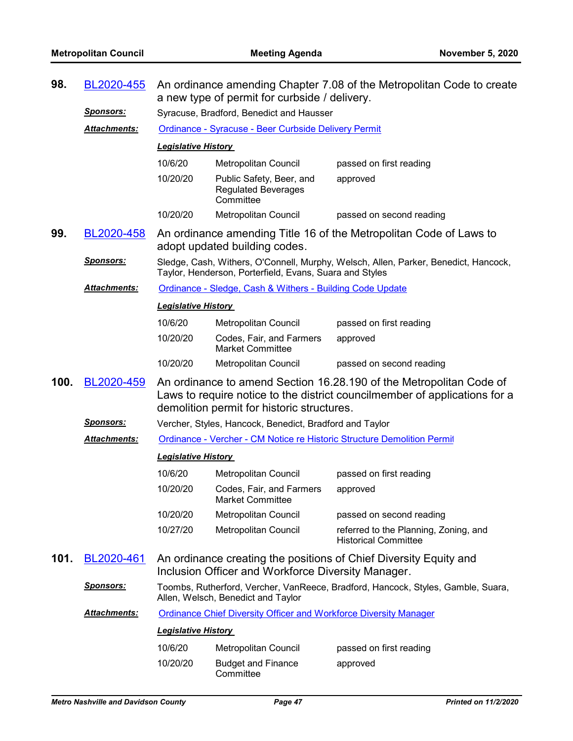| 98.  | BL2020-455          | An ordinance amending Chapter 7.08 of the Metropolitan Code to create<br>a new type of permit for curbside / delivery. |                                                                          |                                                                                                                                                   |  |  |
|------|---------------------|------------------------------------------------------------------------------------------------------------------------|--------------------------------------------------------------------------|---------------------------------------------------------------------------------------------------------------------------------------------------|--|--|
|      | <u>Sponsors:</u>    | Syracuse, Bradford, Benedict and Hausser                                                                               |                                                                          |                                                                                                                                                   |  |  |
|      | <b>Attachments:</b> |                                                                                                                        | Ordinance - Syracuse - Beer Curbside Delivery Permit                     |                                                                                                                                                   |  |  |
|      |                     | <b>Legislative History</b>                                                                                             |                                                                          |                                                                                                                                                   |  |  |
|      |                     | 10/6/20                                                                                                                | <b>Metropolitan Council</b>                                              | passed on first reading                                                                                                                           |  |  |
|      |                     | 10/20/20                                                                                                               | Public Safety, Beer, and<br><b>Regulated Beverages</b><br>Committee      | approved                                                                                                                                          |  |  |
|      |                     | 10/20/20                                                                                                               | <b>Metropolitan Council</b>                                              | passed on second reading                                                                                                                          |  |  |
| 99.  | BL2020-458          |                                                                                                                        | adopt updated building codes.                                            | An ordinance amending Title 16 of the Metropolitan Code of Laws to                                                                                |  |  |
|      | <u>Sponsors:</u>    |                                                                                                                        | Taylor, Henderson, Porterfield, Evans, Suara and Styles                  | Sledge, Cash, Withers, O'Connell, Murphy, Welsch, Allen, Parker, Benedict, Hancock,                                                               |  |  |
|      | <b>Attachments:</b> |                                                                                                                        | Ordinance - Sledge, Cash & Withers - Building Code Update                |                                                                                                                                                   |  |  |
|      |                     | <b>Legislative History</b>                                                                                             |                                                                          |                                                                                                                                                   |  |  |
|      |                     | 10/6/20                                                                                                                | Metropolitan Council                                                     | passed on first reading                                                                                                                           |  |  |
|      |                     | 10/20/20                                                                                                               | Codes, Fair, and Farmers<br><b>Market Committee</b>                      | approved                                                                                                                                          |  |  |
|      |                     | 10/20/20                                                                                                               | Metropolitan Council                                                     | passed on second reading                                                                                                                          |  |  |
| 100. | BL2020-459          |                                                                                                                        | demolition permit for historic structures.                               | An ordinance to amend Section 16.28.190 of the Metropolitan Code of<br>Laws to require notice to the district councilmember of applications for a |  |  |
|      | <u>Sponsors:</u>    |                                                                                                                        | Vercher, Styles, Hancock, Benedict, Bradford and Taylor                  |                                                                                                                                                   |  |  |
|      | <b>Attachments:</b> |                                                                                                                        |                                                                          | Ordinance - Vercher - CM Notice re Historic Structure Demolition Permit                                                                           |  |  |
|      |                     | <b>Legislative History</b>                                                                                             |                                                                          |                                                                                                                                                   |  |  |
|      |                     | 10/6/20                                                                                                                | Metropolitan Council                                                     | passed on first reading                                                                                                                           |  |  |
|      |                     | 10/20/20                                                                                                               | Codes, Fair, and Farmers<br><b>Market Committee</b>                      | approved                                                                                                                                          |  |  |
|      |                     | 10/20/20                                                                                                               | <b>Metropolitan Council</b>                                              | passed on second reading                                                                                                                          |  |  |
|      |                     | 10/27/20                                                                                                               | Metropolitan Council                                                     | referred to the Planning, Zoning, and<br><b>Historical Committee</b>                                                                              |  |  |
| 101. | BL2020-461          |                                                                                                                        | Inclusion Officer and Workforce Diversity Manager.                       | An ordinance creating the positions of Chief Diversity Equity and                                                                                 |  |  |
|      | <b>Sponsors:</b>    |                                                                                                                        | Allen, Welsch, Benedict and Taylor                                       | Toombs, Rutherford, Vercher, VanReece, Bradford, Hancock, Styles, Gamble, Suara,                                                                  |  |  |
|      | Attachments:        |                                                                                                                        | <b>Ordinance Chief Diversity Officer and Workforce Diversity Manager</b> |                                                                                                                                                   |  |  |
|      |                     | <b>Legislative History</b>                                                                                             |                                                                          |                                                                                                                                                   |  |  |
|      |                     | 10/6/20                                                                                                                | Metropolitan Council                                                     | passed on first reading                                                                                                                           |  |  |
|      |                     | 10/20/20                                                                                                               | <b>Budget and Finance</b><br>Committee                                   | approved                                                                                                                                          |  |  |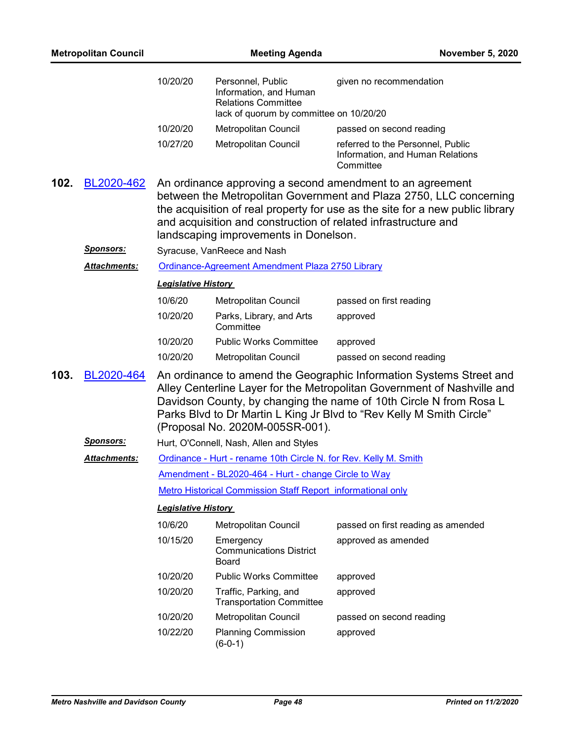| <b>Metropolitan Council</b> |                     |                                                                    | <b>November 5, 2020</b>                                                                                              |                                                                                                                                                                                                                                                                                              |  |
|-----------------------------|---------------------|--------------------------------------------------------------------|----------------------------------------------------------------------------------------------------------------------|----------------------------------------------------------------------------------------------------------------------------------------------------------------------------------------------------------------------------------------------------------------------------------------------|--|
|                             |                     | 10/20/20                                                           | Personnel, Public<br>Information, and Human<br><b>Relations Committee</b><br>lack of quorum by committee on 10/20/20 | given no recommendation                                                                                                                                                                                                                                                                      |  |
|                             |                     | 10/20/20                                                           | Metropolitan Council                                                                                                 | passed on second reading                                                                                                                                                                                                                                                                     |  |
|                             |                     | 10/27/20                                                           | Metropolitan Council                                                                                                 | referred to the Personnel, Public<br>Information, and Human Relations<br>Committee                                                                                                                                                                                                           |  |
| 102.                        | BL2020-462          |                                                                    | landscaping improvements in Donelson.                                                                                | An ordinance approving a second amendment to an agreement<br>between the Metropolitan Government and Plaza 2750, LLC concerning<br>the acquisition of real property for use as the site for a new public library<br>and acquisition and construction of related infrastructure and           |  |
|                             | <u>Sponsors:</u>    |                                                                    | Syracuse, VanReece and Nash                                                                                          |                                                                                                                                                                                                                                                                                              |  |
|                             | <b>Attachments:</b> |                                                                    | Ordinance-Agreement Amendment Plaza 2750 Library                                                                     |                                                                                                                                                                                                                                                                                              |  |
|                             |                     | <b>Legislative History</b>                                         |                                                                                                                      |                                                                                                                                                                                                                                                                                              |  |
|                             |                     | 10/6/20                                                            | Metropolitan Council                                                                                                 | passed on first reading                                                                                                                                                                                                                                                                      |  |
|                             |                     | 10/20/20                                                           | Parks, Library, and Arts<br>Committee                                                                                | approved                                                                                                                                                                                                                                                                                     |  |
|                             |                     | 10/20/20                                                           | <b>Public Works Committee</b>                                                                                        | approved                                                                                                                                                                                                                                                                                     |  |
|                             |                     | 10/20/20                                                           | Metropolitan Council                                                                                                 | passed on second reading                                                                                                                                                                                                                                                                     |  |
| 103.                        | BL2020-464          |                                                                    | (Proposal No. 2020M-005SR-001).                                                                                      | An ordinance to amend the Geographic Information Systems Street and<br>Alley Centerline Layer for the Metropolitan Government of Nashville and<br>Davidson County, by changing the name of 10th Circle N from Rosa L<br>Parks Blvd to Dr Martin L King Jr Blvd to "Rev Kelly M Smith Circle" |  |
|                             | <u>Sponsors:</u>    |                                                                    | Hurt, O'Connell, Nash, Allen and Styles                                                                              |                                                                                                                                                                                                                                                                                              |  |
|                             | <b>Attachments:</b> | Ordinance - Hurt - rename 10th Circle N. for Rev. Kelly M. Smith   |                                                                                                                      |                                                                                                                                                                                                                                                                                              |  |
|                             |                     | Amendment - BL2020-464 - Hurt - change Circle to Way               |                                                                                                                      |                                                                                                                                                                                                                                                                                              |  |
|                             |                     | <b>Metro Historical Commission Staff Report informational only</b> |                                                                                                                      |                                                                                                                                                                                                                                                                                              |  |
|                             |                     | <b>Legislative History</b>                                         |                                                                                                                      |                                                                                                                                                                                                                                                                                              |  |
|                             |                     | 10/6/20                                                            | Metropolitan Council                                                                                                 | passed on first reading as amended                                                                                                                                                                                                                                                           |  |
|                             |                     | 10/15/20                                                           | Emergency<br><b>Communications District</b><br>Board                                                                 | approved as amended                                                                                                                                                                                                                                                                          |  |
|                             |                     | 10/20/20                                                           | <b>Public Works Committee</b>                                                                                        | approved                                                                                                                                                                                                                                                                                     |  |
|                             |                     | 10/20/20                                                           | Traffic, Parking, and<br><b>Transportation Committee</b>                                                             | approved                                                                                                                                                                                                                                                                                     |  |
|                             |                     | 10/20/20                                                           | Metropolitan Council                                                                                                 | passed on second reading                                                                                                                                                                                                                                                                     |  |
|                             |                     | 10/22/20                                                           | <b>Planning Commission</b>                                                                                           | approved                                                                                                                                                                                                                                                                                     |  |

(6-0-1)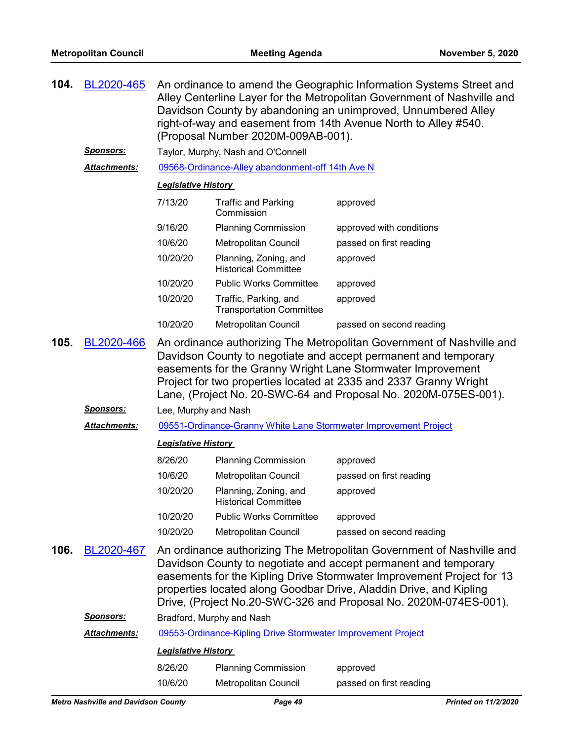| 104.                                                                                                                                                                                                                                                                                                                                                                  | BL2020-465          | An ordinance to amend the Geographic Information Systems Street and<br>Alley Centerline Layer for the Metropolitan Government of Nashville and<br>Davidson County by abandoning an unimproved, Unnumbered Alley<br>right-of-way and easement from 14th Avenue North to Alley #540.<br>(Proposal Number 2020M-009AB-001). |                                                              |                                                                                                                                                                                                                                                                                                                                                             |  |  |
|-----------------------------------------------------------------------------------------------------------------------------------------------------------------------------------------------------------------------------------------------------------------------------------------------------------------------------------------------------------------------|---------------------|--------------------------------------------------------------------------------------------------------------------------------------------------------------------------------------------------------------------------------------------------------------------------------------------------------------------------|--------------------------------------------------------------|-------------------------------------------------------------------------------------------------------------------------------------------------------------------------------------------------------------------------------------------------------------------------------------------------------------------------------------------------------------|--|--|
|                                                                                                                                                                                                                                                                                                                                                                       | <u>Sponsors:</u>    |                                                                                                                                                                                                                                                                                                                          | Taylor, Murphy, Nash and O'Connell                           |                                                                                                                                                                                                                                                                                                                                                             |  |  |
|                                                                                                                                                                                                                                                                                                                                                                       | Attachments:        | 09568-Ordinance-Alley abandonment-off 14th Ave N                                                                                                                                                                                                                                                                         |                                                              |                                                                                                                                                                                                                                                                                                                                                             |  |  |
|                                                                                                                                                                                                                                                                                                                                                                       |                     | <b>Legislative History</b>                                                                                                                                                                                                                                                                                               |                                                              |                                                                                                                                                                                                                                                                                                                                                             |  |  |
|                                                                                                                                                                                                                                                                                                                                                                       |                     | 7/13/20                                                                                                                                                                                                                                                                                                                  | <b>Traffic and Parking</b><br>Commission                     | approved                                                                                                                                                                                                                                                                                                                                                    |  |  |
|                                                                                                                                                                                                                                                                                                                                                                       |                     | 9/16/20                                                                                                                                                                                                                                                                                                                  | <b>Planning Commission</b>                                   | approved with conditions                                                                                                                                                                                                                                                                                                                                    |  |  |
|                                                                                                                                                                                                                                                                                                                                                                       |                     | 10/6/20                                                                                                                                                                                                                                                                                                                  | Metropolitan Council                                         | passed on first reading                                                                                                                                                                                                                                                                                                                                     |  |  |
|                                                                                                                                                                                                                                                                                                                                                                       |                     | 10/20/20                                                                                                                                                                                                                                                                                                                 | Planning, Zoning, and<br><b>Historical Committee</b>         | approved                                                                                                                                                                                                                                                                                                                                                    |  |  |
|                                                                                                                                                                                                                                                                                                                                                                       |                     | 10/20/20                                                                                                                                                                                                                                                                                                                 | <b>Public Works Committee</b>                                | approved                                                                                                                                                                                                                                                                                                                                                    |  |  |
|                                                                                                                                                                                                                                                                                                                                                                       |                     | 10/20/20                                                                                                                                                                                                                                                                                                                 | Traffic, Parking, and<br><b>Transportation Committee</b>     | approved                                                                                                                                                                                                                                                                                                                                                    |  |  |
|                                                                                                                                                                                                                                                                                                                                                                       |                     | 10/20/20                                                                                                                                                                                                                                                                                                                 | Metropolitan Council                                         | passed on second reading                                                                                                                                                                                                                                                                                                                                    |  |  |
| 105.<br>BL2020-466<br>An ordinance authorizing The Metropolitan Government of Nashville and<br>Davidson County to negotiate and accept permanent and temporary<br>easements for the Granny Wright Lane Stormwater Improvement<br>Project for two properties located at 2335 and 2337 Granny Wright<br>Lane, (Project No. 20-SWC-64 and Proposal No. 2020M-075ES-001). |                     |                                                                                                                                                                                                                                                                                                                          |                                                              |                                                                                                                                                                                                                                                                                                                                                             |  |  |
|                                                                                                                                                                                                                                                                                                                                                                       | <u>Sponsors:</u>    | Lee, Murphy and Nash                                                                                                                                                                                                                                                                                                     |                                                              |                                                                                                                                                                                                                                                                                                                                                             |  |  |
|                                                                                                                                                                                                                                                                                                                                                                       | <b>Attachments:</b> |                                                                                                                                                                                                                                                                                                                          |                                                              | 09551-Ordinance-Granny White Lane Stormwater Improvement Project                                                                                                                                                                                                                                                                                            |  |  |
|                                                                                                                                                                                                                                                                                                                                                                       |                     | <b>Legislative History</b>                                                                                                                                                                                                                                                                                               |                                                              |                                                                                                                                                                                                                                                                                                                                                             |  |  |
|                                                                                                                                                                                                                                                                                                                                                                       |                     | 8/26/20                                                                                                                                                                                                                                                                                                                  | <b>Planning Commission</b>                                   | approved                                                                                                                                                                                                                                                                                                                                                    |  |  |
|                                                                                                                                                                                                                                                                                                                                                                       |                     | 10/6/20                                                                                                                                                                                                                                                                                                                  | <b>Metropolitan Council</b>                                  | passed on first reading                                                                                                                                                                                                                                                                                                                                     |  |  |
|                                                                                                                                                                                                                                                                                                                                                                       |                     | 10/20/20                                                                                                                                                                                                                                                                                                                 | Planning, Zoning, and<br><b>Historical Committee</b>         | approved                                                                                                                                                                                                                                                                                                                                                    |  |  |
|                                                                                                                                                                                                                                                                                                                                                                       |                     | 10/20/20                                                                                                                                                                                                                                                                                                                 | <b>Public Works Committee</b>                                | approved                                                                                                                                                                                                                                                                                                                                                    |  |  |
|                                                                                                                                                                                                                                                                                                                                                                       |                     | 10/20/20                                                                                                                                                                                                                                                                                                                 | Metropolitan Council                                         | passed on second reading                                                                                                                                                                                                                                                                                                                                    |  |  |
| 106.                                                                                                                                                                                                                                                                                                                                                                  | BL2020-467          |                                                                                                                                                                                                                                                                                                                          |                                                              | An ordinance authorizing The Metropolitan Government of Nashville and<br>Davidson County to negotiate and accept permanent and temporary<br>easements for the Kipling Drive Stormwater Improvement Project for 13<br>properties located along Goodbar Drive, Aladdin Drive, and Kipling<br>Drive, (Project No.20-SWC-326 and Proposal No. 2020M-074ES-001). |  |  |
|                                                                                                                                                                                                                                                                                                                                                                       | <u>Sponsors:</u>    |                                                                                                                                                                                                                                                                                                                          | Bradford, Murphy and Nash                                    |                                                                                                                                                                                                                                                                                                                                                             |  |  |
|                                                                                                                                                                                                                                                                                                                                                                       | Attachments:        |                                                                                                                                                                                                                                                                                                                          | 09553-Ordinance-Kipling Drive Stormwater Improvement Project |                                                                                                                                                                                                                                                                                                                                                             |  |  |
|                                                                                                                                                                                                                                                                                                                                                                       |                     | <b>Legislative History</b>                                                                                                                                                                                                                                                                                               |                                                              |                                                                                                                                                                                                                                                                                                                                                             |  |  |
|                                                                                                                                                                                                                                                                                                                                                                       |                     | 8/26/20                                                                                                                                                                                                                                                                                                                  | <b>Planning Commission</b>                                   | approved                                                                                                                                                                                                                                                                                                                                                    |  |  |
|                                                                                                                                                                                                                                                                                                                                                                       |                     | 10/6/20                                                                                                                                                                                                                                                                                                                  | Metropolitan Council                                         | passed on first reading                                                                                                                                                                                                                                                                                                                                     |  |  |